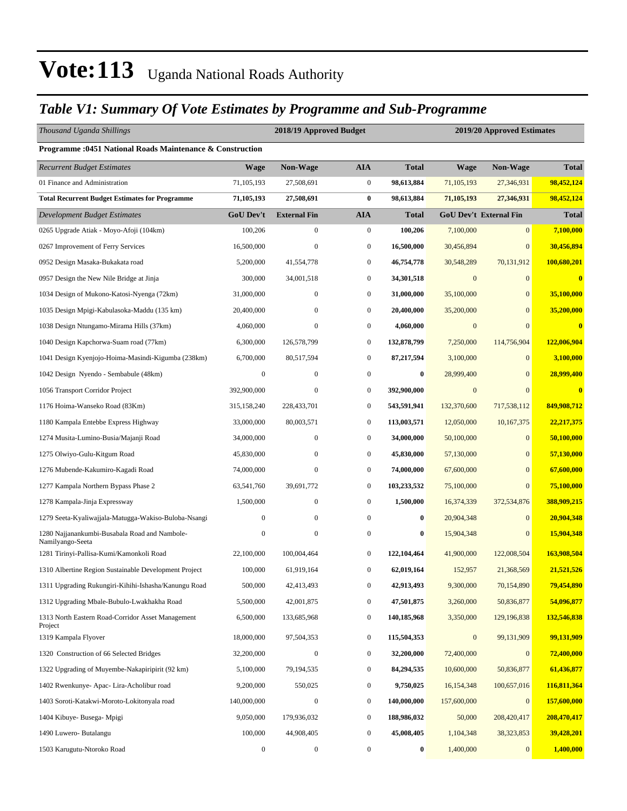#### *Table V1: Summary Of Vote Estimates by Programme and Sub-Programme*

| Thousand Uganda Shillings                                            |                  | 2018/19 Approved Budget |                  |              | 2019/20 Approved Estimates |                               |                         |  |
|----------------------------------------------------------------------|------------------|-------------------------|------------------|--------------|----------------------------|-------------------------------|-------------------------|--|
| <b>Programme: 0451 National Roads Maintenance &amp; Construction</b> |                  |                         |                  |              |                            |                               |                         |  |
| <b>Recurrent Budget Estimates</b>                                    | <b>Wage</b>      | Non-Wage                | <b>AIA</b>       | <b>Total</b> | Wage                       | Non-Wage                      | <b>Total</b>            |  |
| 01 Finance and Administration                                        | 71,105,193       | 27,508,691              | $\boldsymbol{0}$ | 98,613,884   | 71,105,193                 | 27,346,931                    | 98,452,124              |  |
| <b>Total Recurrent Budget Estimates for Programme</b>                | 71,105,193       | 27,508,691              | $\bf{0}$         | 98,613,884   | 71, 105, 193               | 27,346,931                    | 98,452,124              |  |
| Development Budget Estimates                                         | GoU Dev't        | <b>External Fin</b>     | <b>AIA</b>       | <b>Total</b> |                            | <b>GoU Dev't External Fin</b> | <b>Total</b>            |  |
| 0265 Upgrade Atiak - Moyo-Afoji (104km)                              | 100,206          | $\boldsymbol{0}$        | $\boldsymbol{0}$ | 100,206      | 7,100,000                  | $\mathbf{0}$                  | 7,100,000               |  |
| 0267 Improvement of Ferry Services                                   | 16,500,000       | $\boldsymbol{0}$        | $\boldsymbol{0}$ | 16,500,000   | 30,456,894                 | $\mathbf{0}$                  | 30,456,894              |  |
| 0952 Design Masaka-Bukakata road                                     | 5,200,000        | 41,554,778              | $\boldsymbol{0}$ | 46,754,778   | 30,548,289                 | 70,131,912                    | 100,680,201             |  |
| 0957 Design the New Nile Bridge at Jinja                             | 300,000          | 34,001,518              | $\boldsymbol{0}$ | 34,301,518   | $\boldsymbol{0}$           | $\mathbf{0}$                  | $\overline{\mathbf{0}}$ |  |
| 1034 Design of Mukono-Katosi-Nyenga (72km)                           | 31,000,000       | $\boldsymbol{0}$        | $\boldsymbol{0}$ | 31,000,000   | 35,100,000                 | $\mathbf{0}$                  | 35,100,000              |  |
| 1035 Design Mpigi-Kabulasoka-Maddu (135 km)                          | 20,400,000       | $\mathbf{0}$            | $\boldsymbol{0}$ | 20,400,000   | 35,200,000                 | $\mathbf{0}$                  | 35,200,000              |  |
| 1038 Design Ntungamo-Mirama Hills (37km)                             | 4,060,000        | $\boldsymbol{0}$        | $\boldsymbol{0}$ | 4,060,000    | $\boldsymbol{0}$           | $\mathbf{0}$                  | $\bf{0}$                |  |
| 1040 Design Kapchorwa-Suam road (77km)                               | 6,300,000        | 126,578,799             | $\boldsymbol{0}$ | 132,878,799  | 7,250,000                  | 114,756,904                   | 122,006,904             |  |
| 1041 Design Kyenjojo-Hoima-Masindi-Kigumba (238km)                   | 6,700,000        | 80,517,594              | $\boldsymbol{0}$ | 87,217,594   | 3,100,000                  | $\mathbf{0}$                  | 3,100,000               |  |
| 1042 Design Nyendo - Sembabule (48km)                                | $\boldsymbol{0}$ | $\mathbf{0}$            | $\boldsymbol{0}$ | 0            | 28,999,400                 | $\mathbf{0}$                  | 28,999,400              |  |
| 1056 Transport Corridor Project                                      | 392,900,000      | $\mathbf{0}$            | $\boldsymbol{0}$ | 392,900,000  | $\boldsymbol{0}$           | $\overline{0}$                | $\overline{\mathbf{0}}$ |  |
| 1176 Hoima-Wanseko Road (83Km)                                       | 315,158,240      | 228,433,701             | $\boldsymbol{0}$ | 543,591,941  | 132,370,600                | 717,538,112                   | 849,908,712             |  |
| 1180 Kampala Entebbe Express Highway                                 | 33,000,000       | 80,003,571              | $\boldsymbol{0}$ | 113,003,571  | 12,050,000                 | 10,167,375                    | 22, 217, 375            |  |
| 1274 Musita-Lumino-Busia/Majanji Road                                | 34,000,000       | $\boldsymbol{0}$        | $\boldsymbol{0}$ | 34,000,000   | 50,100,000                 | $\mathbf{0}$                  | 50,100,000              |  |
| 1275 Olwiyo-Gulu-Kitgum Road                                         | 45,830,000       | $\boldsymbol{0}$        | $\boldsymbol{0}$ | 45,830,000   | 57,130,000                 | $\mathbf{0}$                  | 57,130,000              |  |
| 1276 Mubende-Kakumiro-Kagadi Road                                    | 74,000,000       | $\mathbf{0}$            | $\boldsymbol{0}$ | 74,000,000   | 67,600,000                 | $\mathbf{0}$                  | 67,600,000              |  |
| 1277 Kampala Northern Bypass Phase 2                                 | 63,541,760       | 39,691,772              | $\boldsymbol{0}$ | 103,233,532  | 75,100,000                 | $\mathbf{0}$                  | 75,100,000              |  |
| 1278 Kampala-Jinja Expressway                                        | 1,500,000        | $\boldsymbol{0}$        | $\boldsymbol{0}$ | 1,500,000    | 16,374,339                 | 372,534,876                   | 388,909,215             |  |
| 1279 Seeta-Kyaliwajjala-Matugga-Wakiso-Buloba-Nsangi                 | $\mathbf{0}$     | $\boldsymbol{0}$        | $\boldsymbol{0}$ | 0            | 20,904,348                 | $\mathbf{0}$                  | 20,904,348              |  |
| 1280 Najjanankumbi-Busabala Road and Nambole-<br>Namilyango-Seeta    | 0                | $\boldsymbol{0}$        | $\boldsymbol{0}$ | 0            | 15,904,348                 | $\mathbf{0}$                  | 15,904,348              |  |
| 1281 Tirinyi-Pallisa-Kumi/Kamonkoli Road                             | 22,100,000       | 100,004,464             | $\overline{0}$   | 122,104,464  | 41,900,000                 | 122,008,504                   | 163,908,504             |  |
| 1310 Albertine Region Sustainable Development Project                | 100,000          | 61,919,164              | $\boldsymbol{0}$ | 62,019,164   | 152,957                    | 21,368,569                    | 21,521,526              |  |
| 1311 Upgrading Rukungiri-Kihihi-Ishasha/Kanungu Road                 | 500,000          | 42,413,493              | $\boldsymbol{0}$ | 42,913,493   | 9,300,000                  | 70,154,890                    | 79,454,890              |  |
| 1312 Upgrading Mbale-Bubulo-Lwakhakha Road                           | 5,500,000        | 42,001,875              | $\boldsymbol{0}$ | 47,501,875   | 3,260,000                  | 50,836,877                    | 54,096,877              |  |
| 1313 North Eastern Road-Corridor Asset Management<br>Project         | 6,500,000        | 133,685,968             | $\boldsymbol{0}$ | 140,185,968  | 3,350,000                  | 129,196,838                   | 132,546,838             |  |
| 1319 Kampala Flyover                                                 | 18,000,000       | 97,504,353              | 0                | 115,504,353  | $\boldsymbol{0}$           | 99,131,909                    | 99,131,909              |  |
| 1320 Construction of 66 Selected Bridges                             | 32,200,000       | $\boldsymbol{0}$        | $\boldsymbol{0}$ | 32,200,000   | 72,400,000                 | $\mathbf{0}$                  | 72,400,000              |  |
| 1322 Upgrading of Muyembe-Nakapiripirit (92 km)                      | 5,100,000        | 79,194,535              | $\boldsymbol{0}$ | 84,294,535   | 10,600,000                 | 50,836,877                    | 61,436,877              |  |
| 1402 Rwenkunye- Apac- Lira-Acholibur road                            | 9,200,000        | 550,025                 | $\boldsymbol{0}$ | 9,750,025    | 16,154,348                 | 100,657,016                   | 116,811,364             |  |
| 1403 Soroti-Katakwi-Moroto-Lokitonyala road                          | 140,000,000      | $\boldsymbol{0}$        | $\boldsymbol{0}$ | 140,000,000  | 157,600,000                | $\mathbf{0}$                  | 157,600,000             |  |
| 1404 Kibuye- Busega- Mpigi                                           | 9,050,000        | 179,936,032             | $\boldsymbol{0}$ | 188,986,032  | 50,000                     | 208,420,417                   | 208,470,417             |  |
| 1490 Luwero- Butalangu                                               | 100,000          | 44,908,405              | $\boldsymbol{0}$ | 45,008,405   | 1,104,348                  | 38, 323, 853                  | 39,428,201              |  |
| 1503 Karugutu-Ntoroko Road                                           | $\boldsymbol{0}$ | $\boldsymbol{0}$        | $\boldsymbol{0}$ | $\bf{0}$     | 1,400,000                  | $\boldsymbol{0}$              | 1,400,000               |  |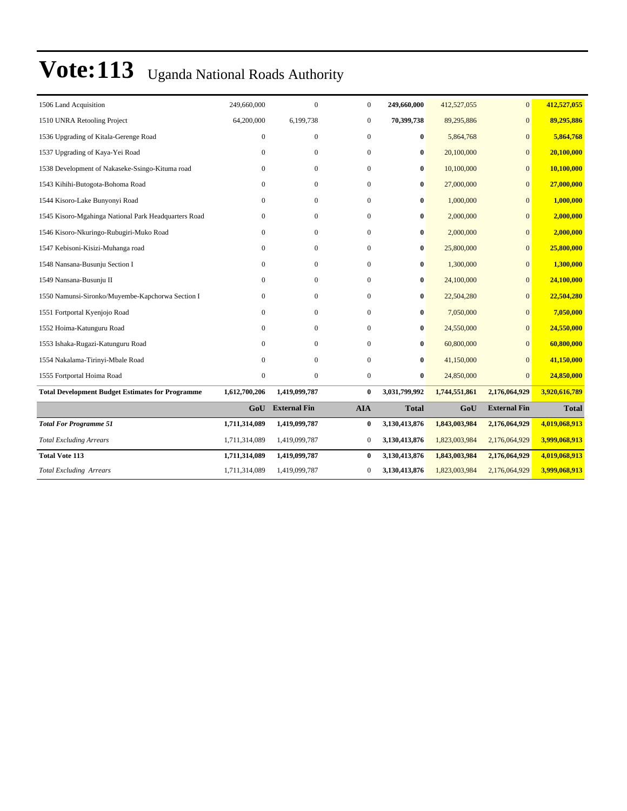| 1506 Land Acquisition                                   | 249,660,000      | $\overline{0}$      | $\mathbf{0}$     | 249,660,000   | 412,527,055   | $\overline{0}$      | 412,527,055   |
|---------------------------------------------------------|------------------|---------------------|------------------|---------------|---------------|---------------------|---------------|
| 1510 UNRA Retooling Project                             | 64,200,000       | 6,199,738           | $\mathbf{0}$     | 70,399,738    | 89,295,886    | $\overline{0}$      | 89,295,886    |
| 1536 Upgrading of Kitala-Gerenge Road                   | $\boldsymbol{0}$ | $\boldsymbol{0}$    | $\mathbf{0}$     | $\bf{0}$      | 5,864,768     | $\overline{0}$      | 5,864,768     |
| 1537 Upgrading of Kaya-Yei Road                         | $\mathbf{0}$     | $\mathbf{0}$        | $\mathbf{0}$     | $\bf{0}$      | 20,100,000    | $\overline{0}$      | 20,100,000    |
| 1538 Development of Nakaseke-Ssingo-Kituma road         | 0                | $\boldsymbol{0}$    | $\boldsymbol{0}$ | $\bf{0}$      | 10,100,000    | $\overline{0}$      | 10,100,000    |
| 1543 Kihihi-Butogota-Bohoma Road                        | $\mathbf{0}$     | $\mathbf{0}$        | $\mathbf{0}$     | $\bf{0}$      | 27,000,000    | $\overline{0}$      | 27,000,000    |
| 1544 Kisoro-Lake Bunyonyi Road                          | 0                | $\mathbf{0}$        | $\mathbf{0}$     | $\bf{0}$      | 1,000,000     | $\overline{0}$      | 1,000,000     |
| 1545 Kisoro-Mgahinga National Park Headquarters Road    | $\theta$         | $\mathbf{0}$        | $\mathbf{0}$     | $\bf{0}$      | 2,000,000     | $\Omega$            | 2,000,000     |
| 1546 Kisoro-Nkuringo-Rubugiri-Muko Road                 | 0                | $\boldsymbol{0}$    | $\mathbf{0}$     | $\bf{0}$      | 2,000,000     | $\overline{0}$      | 2,000,000     |
| 1547 Kebisoni-Kisizi-Muhanga road                       | $\overline{0}$   | $\mathbf{0}$        | $\mathbf{0}$     | $\bf{0}$      | 25,800,000    | $\overline{0}$      | 25,800,000    |
| 1548 Nansana-Busunju Section I                          | $\mathbf{0}$     | $\boldsymbol{0}$    | $\mathbf{0}$     | $\bf{0}$      | 1,300,000     | $\overline{0}$      | 1,300,000     |
| 1549 Nansana-Busunju II                                 | 0                | $\boldsymbol{0}$    | $\mathbf{0}$     | $\bf{0}$      | 24,100,000    | $\overline{0}$      | 24,100,000    |
| 1550 Namunsi-Sironko/Muyembe-Kapchorwa Section I        | $\Omega$         | $\mathbf{0}$        | $\mathbf{0}$     | $\bf{0}$      | 22,504,280    | $\Omega$            | 22,504,280    |
| 1551 Fortportal Kyenjojo Road                           | 0                | $\mathbf{0}$        | $\mathbf{0}$     | $\bf{0}$      | 7,050,000     | $\mathbf{0}$        | 7,050,000     |
| 1552 Hoima-Katunguru Road                               | $\Omega$         | $\mathbf{0}$        | $\mathbf{0}$     | $\bf{0}$      | 24,550,000    | $\Omega$            | 24,550,000    |
| 1553 Ishaka-Rugazi-Katunguru Road                       | $\Omega$         | $\mathbf{0}$        | $\mathbf{0}$     | $\bf{0}$      | 60,800,000    | $\Omega$            | 60,800,000    |
| 1554 Nakalama-Tirinyi-Mbale Road                        | $\theta$         | $\mathbf{0}$        | $\boldsymbol{0}$ | $\bf{0}$      | 41,150,000    | $\Omega$            | 41,150,000    |
| 1555 Fortportal Hoima Road                              | $\mathbf{0}$     | $\boldsymbol{0}$    | $\boldsymbol{0}$ | $\bf{0}$      | 24,850,000    | $\overline{0}$      | 24,850,000    |
| <b>Total Development Budget Estimates for Programme</b> | 1,612,700,206    | 1,419,099,787       | $\bf{0}$         | 3,031,799,992 | 1,744,551,861 | 2,176,064,929       | 3,920,616,789 |
|                                                         | GoU              | <b>External Fin</b> | <b>AIA</b>       | <b>Total</b>  | GoU           | <b>External Fin</b> | <b>Total</b>  |
| <b>Total For Programme 51</b>                           | 1,711,314,089    | 1,419,099,787       | $\bf{0}$         | 3,130,413,876 | 1,843,003,984 | 2,176,064,929       | 4,019,068,913 |
| <b>Total Excluding Arrears</b>                          | 1,711,314,089    | 1,419,099,787       | $\mathbf{0}$     | 3,130,413,876 | 1,823,003,984 | 2,176,064,929       | 3,999,068,913 |
| <b>Total Vote 113</b>                                   | 1,711,314,089    | 1,419,099,787       | $\bf{0}$         | 3,130,413,876 | 1,843,003,984 | 2,176,064,929       | 4,019,068,913 |
| <b>Total Excluding Arrears</b>                          | 1,711,314,089    | 1,419,099,787       | $\bf{0}$         | 3,130,413,876 | 1,823,003,984 | 2,176,064,929       | 3,999,068,913 |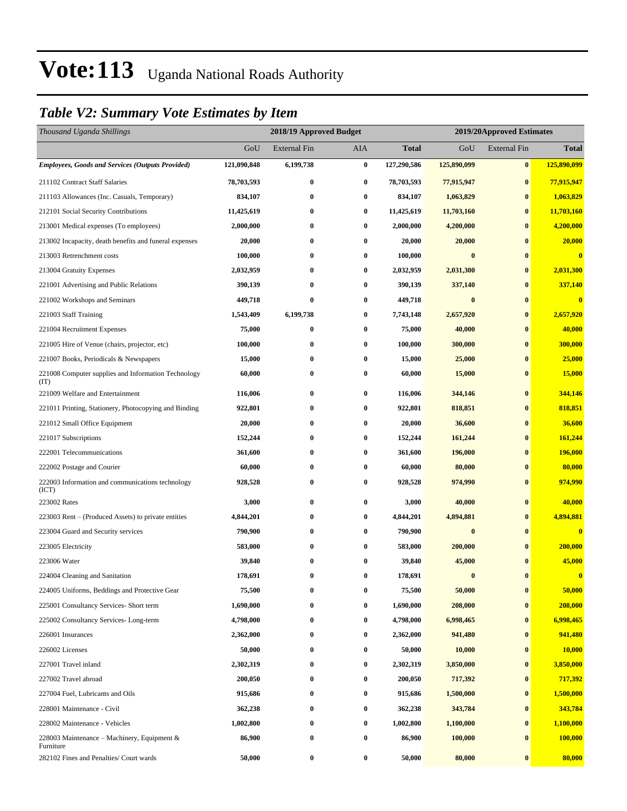#### *Table V2: Summary Vote Estimates by Item*

| Thousand Uganda Shillings                                   |             | 2018/19 Approved Budget |          |             | 2019/20Approved Estimates |                     |              |  |  |
|-------------------------------------------------------------|-------------|-------------------------|----------|-------------|---------------------------|---------------------|--------------|--|--|
|                                                             | GoU         | <b>External Fin</b>     | AIA      | Total       | GoU                       | <b>External Fin</b> | <b>Total</b> |  |  |
| <b>Employees, Goods and Services (Outputs Provided)</b>     | 121,090,848 | 6,199,738               | $\bf{0}$ | 127,290,586 | 125,890,099               | $\bf{0}$            | 125,890,099  |  |  |
| 211102 Contract Staff Salaries                              | 78,703,593  | 0                       | $\bf{0}$ | 78,703,593  | 77,915,947                | $\bf{0}$            | 77,915,947   |  |  |
| 211103 Allowances (Inc. Casuals, Temporary)                 | 834,107     | 0                       | $\bf{0}$ | 834,107     | 1,063,829                 | $\bf{0}$            | 1,063,829    |  |  |
| 212101 Social Security Contributions                        | 11,425,619  | 0                       | $\bf{0}$ | 11,425,619  | 11,703,160                | $\bf{0}$            | 11,703,160   |  |  |
| 213001 Medical expenses (To employees)                      | 2,000,000   | 0                       | $\bf{0}$ | 2,000,000   | 4,200,000                 | $\bf{0}$            | 4,200,000    |  |  |
| 213002 Incapacity, death benefits and funeral expenses      | 20,000      | 0                       | $\bf{0}$ | 20,000      | 20,000                    | $\bf{0}$            | 20,000       |  |  |
| 213003 Retrenchment costs                                   | 100,000     | 0                       | $\bf{0}$ | 100,000     | $\bf{0}$                  | $\bf{0}$            | $\bf{0}$     |  |  |
| 213004 Gratuity Expenses                                    | 2,032,959   | 0                       | $\bf{0}$ | 2,032,959   | 2,031,300                 | $\bf{0}$            | 2,031,300    |  |  |
| 221001 Advertising and Public Relations                     | 390,139     | 0                       | $\bf{0}$ | 390,139     | 337,140                   | $\bf{0}$            | 337,140      |  |  |
| 221002 Workshops and Seminars                               | 449,718     | $\bf{0}$                | $\bf{0}$ | 449,718     | $\bf{0}$                  | $\bf{0}$            | $\bf{0}$     |  |  |
| 221003 Staff Training                                       | 1,543,409   | 6,199,738               | $\bf{0}$ | 7,743,148   | 2,657,920                 | $\bf{0}$            | 2,657,920    |  |  |
| 221004 Recruitment Expenses                                 | 75,000      | 0                       | $\bf{0}$ | 75,000      | 40,000                    | $\bf{0}$            | 40,000       |  |  |
| 221005 Hire of Venue (chairs, projector, etc)               | 100,000     | 0                       | $\bf{0}$ | 100,000     | 300,000                   | $\bf{0}$            | 300,000      |  |  |
| 221007 Books, Periodicals & Newspapers                      | 15,000      | 0                       | $\bf{0}$ | 15,000      | 25,000                    | $\bf{0}$            | 25,000       |  |  |
| 221008 Computer supplies and Information Technology<br>(TT) | 60,000      | 0                       | $\bf{0}$ | 60,000      | 15,000                    | $\bf{0}$            | 15,000       |  |  |
| 221009 Welfare and Entertainment                            | 116,006     | 0                       | $\bf{0}$ | 116,006     | 344,146                   | $\bf{0}$            | 344,146      |  |  |
| 221011 Printing, Stationery, Photocopying and Binding       | 922,801     | 0                       | $\bf{0}$ | 922,801     | 818,851                   | $\bf{0}$            | 818,851      |  |  |
| 221012 Small Office Equipment                               | 20,000      | 0                       | $\bf{0}$ | 20,000      | 36,600                    | $\bf{0}$            | 36,600       |  |  |
| 221017 Subscriptions                                        | 152,244     | 0                       | $\bf{0}$ | 152,244     | 161,244                   | $\bf{0}$            | 161,244      |  |  |
| 222001 Telecommunications                                   | 361,600     | 0                       | $\bf{0}$ | 361,600     | 196,000                   | $\bf{0}$            | 196,000      |  |  |
| 222002 Postage and Courier                                  | 60,000      | 0                       | $\bf{0}$ | 60,000      | 80,000                    | $\bf{0}$            | 80,000       |  |  |
| 222003 Information and communications technology<br>(ICT)   | 928,528     | 0                       | $\bf{0}$ | 928,528     | 974,990                   | $\bf{0}$            | 974,990      |  |  |
| 223002 Rates                                                | 3,000       | 0                       | $\bf{0}$ | 3,000       | 40,000                    | $\bf{0}$            | 40,000       |  |  |
| 223003 Rent – (Produced Assets) to private entities         | 4,844,201   | 0                       | $\bf{0}$ | 4,844,201   | 4,894,881                 | $\bf{0}$            | 4,894,881    |  |  |
| 223004 Guard and Security services                          | 790,900     | 0                       | $\bf{0}$ | 790,900     | $\bf{0}$                  | $\bf{0}$            | $\bf{0}$     |  |  |
| 223005 Electricity                                          | 583,000     | 0                       | $\bf{0}$ | 583,000     | 200,000                   | $\bf{0}$            | 200,000      |  |  |
| 223006 Water                                                | 39,840      | 0                       | $\bf{0}$ | 39,840      | 45,000                    | $\bf{0}$            | 45,000       |  |  |
| 224004 Cleaning and Sanitation                              | 178,691     | $\bf{0}$                | $\bf{0}$ | 178.691     | $\bf{0}$                  | $\bf{0}$            | $\bf{0}$     |  |  |
| 224005 Uniforms, Beddings and Protective Gear               | 75,500      | 0                       | $\bf{0}$ | 75,500      | 50,000                    | $\pmb{0}$           | 50,000       |  |  |
| 225001 Consultancy Services- Short term                     | 1,690,000   | 0                       | $\bf{0}$ | 1,690,000   | 208,000                   | $\bf{0}$            | 208,000      |  |  |
| 225002 Consultancy Services-Long-term                       | 4,798,000   | 0                       | $\bf{0}$ | 4,798,000   | 6,998,465                 | $\bf{0}$            | 6,998,465    |  |  |
| 226001 Insurances                                           | 2,362,000   | 0                       | $\bf{0}$ | 2,362,000   | 941,480                   | $\bf{0}$            | 941,480      |  |  |
| 226002 Licenses                                             | 50,000      | 0                       | $\bf{0}$ | 50,000      | 10,000                    | $\pmb{0}$           | 10,000       |  |  |
| 227001 Travel inland                                        | 2,302,319   | 0                       | $\bf{0}$ | 2,302,319   | 3,850,000                 | $\bf{0}$            | 3,850,000    |  |  |
| 227002 Travel abroad                                        | 200,050     | 0                       | $\bf{0}$ | 200,050     | 717,392                   | $\bf{0}$            | 717,392      |  |  |
| 227004 Fuel, Lubricants and Oils                            | 915,686     | 0                       | $\bf{0}$ | 915,686     | 1,500,000                 | $\bf{0}$            | 1,500,000    |  |  |
| 228001 Maintenance - Civil                                  | 362,238     | 0                       | $\bf{0}$ | 362,238     | 343,784                   | $\bf{0}$            | 343,784      |  |  |
| 228002 Maintenance - Vehicles                               | 1,002,800   | 0                       | $\bf{0}$ | 1,002,800   | 1,100,000                 | $\bf{0}$            | 1,100,000    |  |  |
| 228003 Maintenance - Machinery, Equipment &<br>Furniture    | 86,900      | 0                       | $\bf{0}$ | 86,900      | 100,000                   | $\bf{0}$            | 100,000      |  |  |
| 282102 Fines and Penalties/ Court wards                     | 50,000      | 0                       | $\bf{0}$ | 50,000      | 80,000                    | $\bf{0}$            | 80,000       |  |  |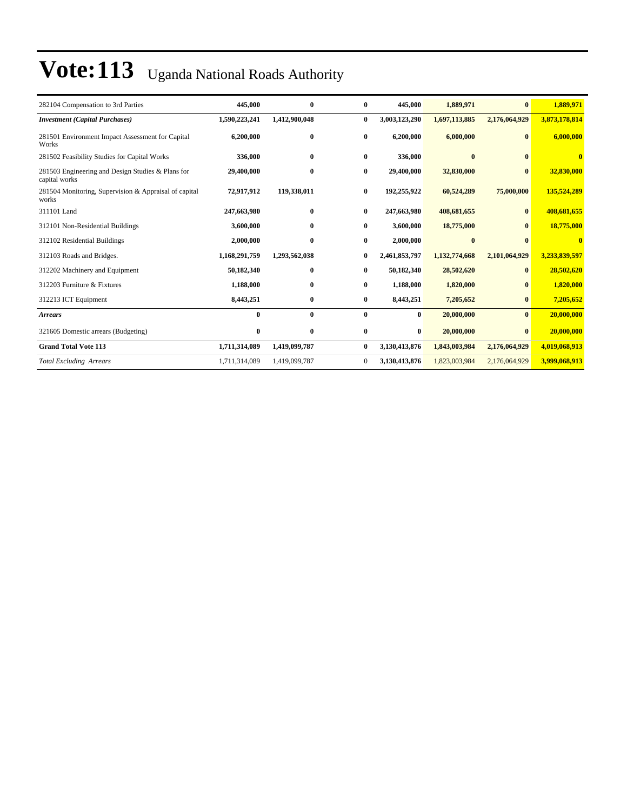| 282104 Compensation to 3rd Parties                                 | 445,000       | $\mathbf{0}$  | $\mathbf{0}$ | 445,000       | 1,889,971     | $\mathbf{0}$  | 1,889,971     |
|--------------------------------------------------------------------|---------------|---------------|--------------|---------------|---------------|---------------|---------------|
| <b>Investment (Capital Purchases)</b>                              | 1,590,223,241 | 1,412,900,048 | $\mathbf{0}$ | 3,003,123,290 | 1,697,113,885 | 2,176,064,929 | 3,873,178,814 |
| 281501 Environment Impact Assessment for Capital<br>Works          | 6,200,000     | $\bf{0}$      | $\bf{0}$     | 6,200,000     | 6,000,000     | $\mathbf{0}$  | 6,000,000     |
| 281502 Feasibility Studies for Capital Works                       | 336,000       | $\bf{0}$      | $\bf{0}$     | 336,000       | $\bf{0}$      | $\bf{0}$      | $\mathbf{0}$  |
| 281503 Engineering and Design Studies & Plans for<br>capital works | 29,400,000    | $\bf{0}$      | $\bf{0}$     | 29,400,000    | 32,830,000    | $\bf{0}$      | 32,830,000    |
| 281504 Monitoring, Supervision & Appraisal of capital<br>works     | 72,917,912    | 119,338,011   | $\bf{0}$     | 192,255,922   | 60,524,289    | 75,000,000    | 135,524,289   |
| 311101 Land                                                        | 247,663,980   | $\bf{0}$      | $\bf{0}$     | 247,663,980   | 408,681,655   | $\bf{0}$      | 408,681,655   |
| 312101 Non-Residential Buildings                                   | 3,600,000     | $\mathbf{0}$  | $\bf{0}$     | 3,600,000     | 18,775,000    | $\mathbf{0}$  | 18,775,000    |
| 312102 Residential Buildings                                       | 2,000,000     | $\bf{0}$      | $\bf{0}$     | 2,000,000     | $\bf{0}$      | $\bf{0}$      | $\bf{0}$      |
| 312103 Roads and Bridges.                                          | 1,168,291,759 | 1,293,562,038 | $\bf{0}$     | 2,461,853,797 | 1,132,774,668 | 2,101,064,929 | 3,233,839,597 |
| 312202 Machinery and Equipment                                     | 50,182,340    | $\bf{0}$      | $\bf{0}$     | 50,182,340    | 28,502,620    | $\bf{0}$      | 28,502,620    |
| 312203 Furniture & Fixtures                                        | 1,188,000     | $\bf{0}$      | $\bf{0}$     | 1,188,000     | 1,820,000     | $\bf{0}$      | 1,820,000     |
| 312213 ICT Equipment                                               | 8,443,251     | $\bf{0}$      | $\bf{0}$     | 8,443,251     | 7,205,652     | $\bf{0}$      | 7,205,652     |
| <b>Arrears</b>                                                     | 0             | $\bf{0}$      | $\bf{0}$     | $\bf{0}$      | 20,000,000    | $\bf{0}$      | 20,000,000    |
| 321605 Domestic arrears (Budgeting)                                | 0             | $\bf{0}$      | $\bf{0}$     | $\bf{0}$      | 20,000,000    | $\mathbf{0}$  | 20,000,000    |
| <b>Grand Total Vote 113</b>                                        | 1,711,314,089 | 1,419,099,787 | $\mathbf{0}$ | 3,130,413,876 | 1,843,003,984 | 2,176,064,929 | 4,019,068,913 |
| <b>Total Excluding Arrears</b>                                     | 1,711,314,089 | 1,419,099,787 | $\mathbf{0}$ | 3,130,413,876 | 1,823,003,984 | 2,176,064,929 | 3,999,068,913 |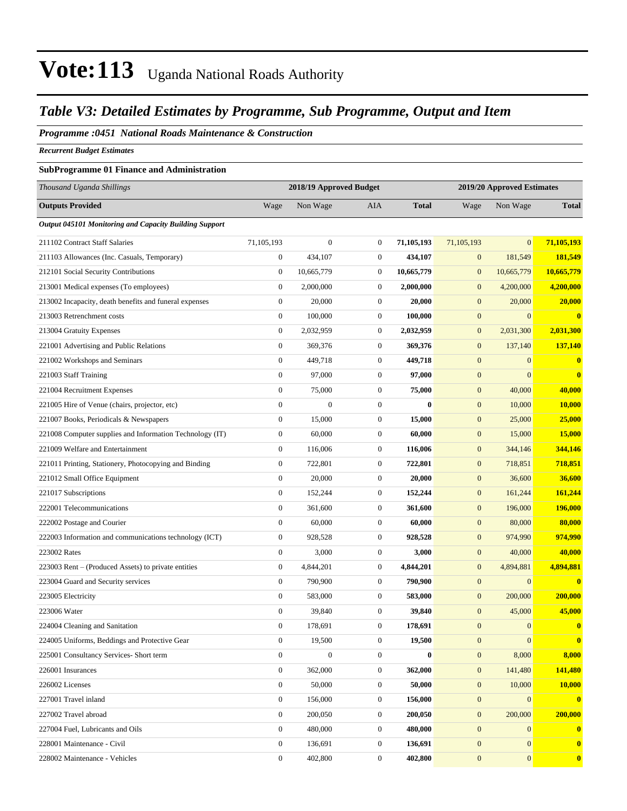#### *Table V3: Detailed Estimates by Programme, Sub Programme, Output and Item*

#### *Programme :0451 National Roads Maintenance & Construction*

*Recurrent Budget Estimates*

#### **SubProgramme 01 Finance and Administration**

| Thousand Uganda Shillings                                     |                  | 2018/19 Approved Budget |                  |              | 2019/20 Approved Estimates |                  |                         |  |
|---------------------------------------------------------------|------------------|-------------------------|------------------|--------------|----------------------------|------------------|-------------------------|--|
| <b>Outputs Provided</b>                                       | Wage             | Non Wage                | <b>AIA</b>       | <b>Total</b> | Wage                       | Non Wage         | <b>Total</b>            |  |
| <b>Output 045101 Monitoring and Capacity Building Support</b> |                  |                         |                  |              |                            |                  |                         |  |
| 211102 Contract Staff Salaries                                | 71,105,193       | $\boldsymbol{0}$        | $\boldsymbol{0}$ | 71,105,193   | 71,105,193                 | $\overline{0}$   | 71,105,193              |  |
| 211103 Allowances (Inc. Casuals, Temporary)                   | $\mathbf{0}$     | 434,107                 | $\mathbf{0}$     | 434,107      | $\mathbf{0}$               | 181,549          | 181,549                 |  |
| 212101 Social Security Contributions                          | $\boldsymbol{0}$ | 10,665,779              | $\mathbf{0}$     | 10,665,779   | $\boldsymbol{0}$           | 10,665,779       | 10,665,779              |  |
| 213001 Medical expenses (To employees)                        | $\mathbf{0}$     | 2,000,000               | $\boldsymbol{0}$ | 2,000,000    | $\mathbf{0}$               | 4,200,000        | 4,200,000               |  |
| 213002 Incapacity, death benefits and funeral expenses        | $\mathbf{0}$     | 20,000                  | $\mathbf{0}$     | 20,000       | $\mathbf{0}$               | 20,000           | 20,000                  |  |
| 213003 Retrenchment costs                                     | $\mathbf{0}$     | 100,000                 | $\mathbf{0}$     | 100,000      | $\boldsymbol{0}$           | $\overline{0}$   | $\bf{0}$                |  |
| 213004 Gratuity Expenses                                      | $\boldsymbol{0}$ | 2,032,959               | $\mathbf{0}$     | 2,032,959    | $\boldsymbol{0}$           | 2,031,300        | 2,031,300               |  |
| 221001 Advertising and Public Relations                       | $\boldsymbol{0}$ | 369,376                 | $\mathbf{0}$     | 369,376      | $\mathbf{0}$               | 137,140          | 137,140                 |  |
| 221002 Workshops and Seminars                                 | $\boldsymbol{0}$ | 449,718                 | $\boldsymbol{0}$ | 449,718      | $\mathbf{0}$               | $\overline{0}$   | $\overline{\mathbf{0}}$ |  |
| 221003 Staff Training                                         | $\boldsymbol{0}$ | 97,000                  | $\boldsymbol{0}$ | 97,000       | $\boldsymbol{0}$           | $\overline{0}$   | $\bf{0}$                |  |
| 221004 Recruitment Expenses                                   | $\mathbf{0}$     | 75,000                  | $\mathbf{0}$     | 75,000       | $\mathbf{0}$               | 40,000           | 40,000                  |  |
| 221005 Hire of Venue (chairs, projector, etc)                 | $\boldsymbol{0}$ | $\boldsymbol{0}$        | $\mathbf{0}$     | $\bf{0}$     | $\mathbf{0}$               | 10,000           | 10,000                  |  |
| 221007 Books, Periodicals & Newspapers                        | $\mathbf{0}$     | 15,000                  | $\mathbf{0}$     | 15,000       | $\mathbf{0}$               | 25,000           | 25,000                  |  |
| 221008 Computer supplies and Information Technology (IT)      | $\boldsymbol{0}$ | 60,000                  | $\boldsymbol{0}$ | 60,000       | $\boldsymbol{0}$           | 15,000           | 15,000                  |  |
| 221009 Welfare and Entertainment                              | $\boldsymbol{0}$ | 116,006                 | $\boldsymbol{0}$ | 116,006      | $\mathbf{0}$               | 344,146          | 344,146                 |  |
| 221011 Printing, Stationery, Photocopying and Binding         | $\mathbf{0}$     | 722,801                 | $\mathbf{0}$     | 722,801      | $\boldsymbol{0}$           | 718,851          | 718,851                 |  |
| 221012 Small Office Equipment                                 | $\boldsymbol{0}$ | 20,000                  | $\mathbf{0}$     | 20,000       | $\mathbf{0}$               | 36,600           | 36,600                  |  |
| 221017 Subscriptions                                          | $\mathbf{0}$     | 152,244                 | $\mathbf{0}$     | 152,244      | $\boldsymbol{0}$           | 161,244          | 161,244                 |  |
| 222001 Telecommunications                                     | $\boldsymbol{0}$ | 361,600                 | $\boldsymbol{0}$ | 361,600      | $\mathbf{0}$               | 196,000          | 196,000                 |  |
| 222002 Postage and Courier                                    | $\boldsymbol{0}$ | 60,000                  | $\mathbf{0}$     | 60,000       | $\boldsymbol{0}$           | 80,000           | 80,000                  |  |
| 222003 Information and communications technology (ICT)        | $\boldsymbol{0}$ | 928,528                 | $\mathbf{0}$     | 928,528      | $\mathbf{0}$               | 974,990          | 974,990                 |  |
| 223002 Rates                                                  | $\boldsymbol{0}$ | 3,000                   | $\mathbf{0}$     | 3,000        | $\mathbf{0}$               | 40,000           | 40,000                  |  |
| 223003 Rent – (Produced Assets) to private entities           | $\mathbf{0}$     | 4,844,201               | $\mathbf{0}$     | 4,844,201    | $\boldsymbol{0}$           | 4,894,881        | 4,894,881               |  |
| 223004 Guard and Security services                            | $\mathbf{0}$     | 790,900                 | $\boldsymbol{0}$ | 790,900      | $\mathbf{0}$               | $\mathbf{0}$     | $\bf{0}$                |  |
| 223005 Electricity                                            | $\boldsymbol{0}$ | 583,000                 | $\boldsymbol{0}$ | 583,000      | $\mathbf{0}$               | 200,000          | 200,000                 |  |
| 223006 Water                                                  | $\boldsymbol{0}$ | 39,840                  | $\mathbf{0}$     | 39,840       | $\boldsymbol{0}$           | 45,000           | 45,000                  |  |
| 224004 Cleaning and Sanitation                                | $\boldsymbol{0}$ | 178,691                 | $\mathbf{0}$     | 178,691      | $\mathbf{0}$               | $\boldsymbol{0}$ | $\bf{0}$                |  |
| 224005 Uniforms, Beddings and Protective Gear                 | $\boldsymbol{0}$ | 19,500                  | $\boldsymbol{0}$ | 19,500       | $\boldsymbol{0}$           | $\overline{0}$   | $\overline{\mathbf{0}}$ |  |
| 225001 Consultancy Services- Short term                       | $\boldsymbol{0}$ | $\boldsymbol{0}$        | $\mathbf{0}$     | $\bf{0}$     | $\mathbf{0}$               | 8,000            | 8,000                   |  |
| 226001 Insurances                                             | $\mathbf{0}$     | 362,000                 | $\boldsymbol{0}$ | 362,000      | $\mathbf{0}$               | 141,480          | 141,480                 |  |
| 226002 Licenses                                               | $\boldsymbol{0}$ | 50,000                  | $\boldsymbol{0}$ | 50,000       | $\mathbf{0}$               | 10,000           | 10,000                  |  |
| 227001 Travel inland                                          | $\overline{0}$   | 156,000                 | $\boldsymbol{0}$ | 156,000      | $\boldsymbol{0}$           | $\overline{0}$   | $\bf{0}$                |  |
| 227002 Travel abroad                                          | $\boldsymbol{0}$ | 200,050                 | $\mathbf{0}$     | 200,050      | $\mathbf{0}$               | 200,000          | 200,000                 |  |
| 227004 Fuel, Lubricants and Oils                              | $\overline{0}$   | 480,000                 | $\boldsymbol{0}$ | 480,000      | $\boldsymbol{0}$           | $\mathbf{0}$     | $\bf{0}$                |  |
| 228001 Maintenance - Civil                                    | $\overline{0}$   | 136,691                 | $\mathbf{0}$     | 136,691      | $\mathbf{0}$               | $\boldsymbol{0}$ | $\bf{0}$                |  |
| 228002 Maintenance - Vehicles                                 | $\overline{0}$   | 402,800                 | $\boldsymbol{0}$ | 402,800      | $\mathbf{0}$               | $\mathbf{0}$     | $\bf{0}$                |  |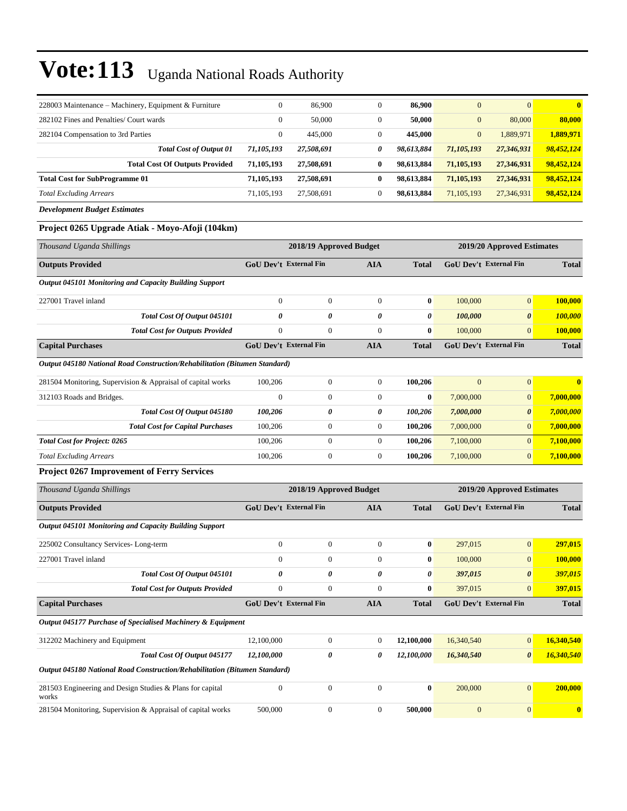| 228003 Maintenance – Machinery, Equipment & Furniture                             | $\boldsymbol{0}$              | 86,900                  | $\boldsymbol{0}$ | 86,900           | $\mathbf{0}$     | $\mathbf{0}$                  | $\bf{0}$         |
|-----------------------------------------------------------------------------------|-------------------------------|-------------------------|------------------|------------------|------------------|-------------------------------|------------------|
| 282102 Fines and Penalties/ Court wards                                           | $\mathbf{0}$                  | 50,000                  | $\mathbf{0}$     | 50,000           | $\boldsymbol{0}$ | 80,000                        | 80,000           |
| 282104 Compensation to 3rd Parties                                                | $\boldsymbol{0}$              | 445,000                 | $\boldsymbol{0}$ | 445,000          | $\boldsymbol{0}$ | 1,889,971                     | 1,889,971        |
| <b>Total Cost of Output 01</b>                                                    | 71,105,193                    | 27,508,691              | 0                | 98,613,884       | 71,105,193       | 27,346,931                    | 98,452,124       |
| <b>Total Cost Of Outputs Provided</b>                                             | 71,105,193                    | 27,508,691              | 0                | 98,613,884       | 71,105,193       | 27,346,931                    | 98,452,124       |
| <b>Total Cost for SubProgramme 01</b>                                             | 71,105,193                    | 27,508,691              | 0                | 98,613,884       | 71, 105, 193     | 27,346,931                    | 98,452,124       |
| <b>Total Excluding Arrears</b>                                                    | 71,105,193                    | 27,508,691              | $\boldsymbol{0}$ | 98,613,884       | 71, 105, 193     | 27,346,931                    | 98,452,124       |
| <b>Development Budget Estimates</b>                                               |                               |                         |                  |                  |                  |                               |                  |
| Project 0265 Upgrade Atiak - Moyo-Afoji (104km)                                   |                               |                         |                  |                  |                  |                               |                  |
| Thousand Uganda Shillings                                                         | 2018/19 Approved Budget       |                         |                  |                  |                  | 2019/20 Approved Estimates    |                  |
| <b>Outputs Provided</b>                                                           | <b>GoU Dev't External Fin</b> |                         | <b>AIA</b>       | <b>Total</b>     |                  | GoU Dev't External Fin        | <b>Total</b>     |
| <b>Output 045101 Monitoring and Capacity Building Support</b>                     |                               |                         |                  |                  |                  |                               |                  |
| 227001 Travel inland                                                              | $\boldsymbol{0}$              | $\boldsymbol{0}$        | $\mathbf{0}$     | 0                | 100,000          | $\mathbf{0}$                  | 100,000          |
| Total Cost Of Output 045101                                                       | $\boldsymbol{\theta}$         | 0                       | 0                | 0                | 100,000          | $\boldsymbol{\theta}$         | 100,000          |
| <b>Total Cost for Outputs Provided</b>                                            | $\mathbf{0}$                  | $\boldsymbol{0}$        | $\mathbf{0}$     | $\bf{0}$         | 100,000          | $\mathbf{0}$                  | 100,000          |
| <b>Capital Purchases</b>                                                          | <b>GoU Dev't External Fin</b> |                         | <b>AIA</b>       | <b>Total</b>     |                  | <b>GoU Dev't External Fin</b> | <b>Total</b>     |
| <b>Output 045180 National Road Construction/Rehabilitation (Bitumen Standard)</b> |                               |                         |                  |                  |                  |                               |                  |
| 281504 Monitoring, Supervision & Appraisal of capital works                       | 100,206                       | $\boldsymbol{0}$        | $\boldsymbol{0}$ | 100,206          | $\boldsymbol{0}$ | $\boldsymbol{0}$              | $\bf{0}$         |
| 312103 Roads and Bridges.                                                         | $\boldsymbol{0}$              | $\boldsymbol{0}$        | $\boldsymbol{0}$ | $\bf{0}$         | 7,000,000        | $\boldsymbol{0}$              | 7,000,000        |
| Total Cost Of Output 045180                                                       | 100,206                       | 0                       | 0                | 100,206          | 7,000,000        | $\boldsymbol{\theta}$         | 7,000,000        |
| <b>Total Cost for Capital Purchases</b>                                           | 100,206                       | $\boldsymbol{0}$        | $\boldsymbol{0}$ | 100,206          | 7,000,000        | $\mathbf{0}$                  | 7,000,000        |
| <b>Total Cost for Project: 0265</b>                                               | 100,206                       | $\boldsymbol{0}$        | $\overline{0}$   | 100,206          | 7,100,000        | $\mathbf{0}$                  | 7,100,000        |
| <b>Total Excluding Arrears</b>                                                    | 100,206                       | $\boldsymbol{0}$        | $\boldsymbol{0}$ | 100,206          | 7,100,000        | $\mathbf{0}$                  | 7,100,000        |
| <b>Project 0267 Improvement of Ferry Services</b>                                 |                               |                         |                  |                  |                  |                               |                  |
| Thousand Uganda Shillings                                                         |                               | 2018/19 Approved Budget |                  |                  |                  | 2019/20 Approved Estimates    |                  |
| <b>Outputs Provided</b>                                                           | GoU Dev't External Fin        |                         | <b>AIA</b>       | <b>Total</b>     |                  | GoU Dev't External Fin        | <b>Total</b>     |
| Output 045101 Monitoring and Capacity Building Support                            |                               |                         |                  |                  |                  |                               |                  |
| 225002 Consultancy Services-Long-term                                             | $\boldsymbol{0}$              | $\boldsymbol{0}$        | $\boldsymbol{0}$ | $\bf{0}$         | 297,015          | $\mathbf{0}$                  | 297,015          |
| 227001 Travel inland                                                              | $\overline{0}$                | $\boldsymbol{0}$        | $\boldsymbol{0}$ | $\boldsymbol{0}$ | 100,000          | $\boldsymbol{0}$              | <b>100,000</b>   |
| Total Cost Of Output 045101                                                       | 0                             | 0                       | 0                | 0                | 397,015          | $\boldsymbol{\theta}$         | 397,015          |
| <b>Total Cost for Outputs Provided</b>                                            | $\boldsymbol{0}$              | $\boldsymbol{0}$        | $\boldsymbol{0}$ | $\bf{0}$         | 397,015          | $\mathbf{0}$                  | 397,015          |
| <b>Capital Purchases</b>                                                          | GoU Dev't External Fin        |                         | <b>AIA</b>       | <b>Total</b>     |                  | GoU Dev't External Fin        | <b>Total</b>     |
| Output 045177 Purchase of Specialised Machinery & Equipment                       |                               |                         |                  |                  |                  |                               |                  |
| 312202 Machinery and Equipment                                                    | 12,100,000                    | $\boldsymbol{0}$        | $\boldsymbol{0}$ | 12,100,000       | 16,340,540       | $\boldsymbol{0}$              | 16,340,540       |
| Total Cost Of Output 045177                                                       | 12,100,000                    | 0                       | 0                | 12,100,000       | 16,340,540       | $\boldsymbol{\theta}$         | 16,340,540       |
| <b>Output 045180 National Road Construction/Rehabilitation (Bitumen Standard)</b> |                               |                         |                  |                  |                  |                               |                  |
| 281503 Engineering and Design Studies & Plans for capital<br>works                | $\boldsymbol{0}$              | $\boldsymbol{0}$        | $\boldsymbol{0}$ | $\boldsymbol{0}$ | 200,000          | $\boldsymbol{0}$              | 200,000          |
| 281504 Monitoring, Supervision & Appraisal of capital works                       | 500,000                       | $\boldsymbol{0}$        | $\boldsymbol{0}$ | 500,000          | $\boldsymbol{0}$ | $\mathbf{0}$                  | $\boldsymbol{0}$ |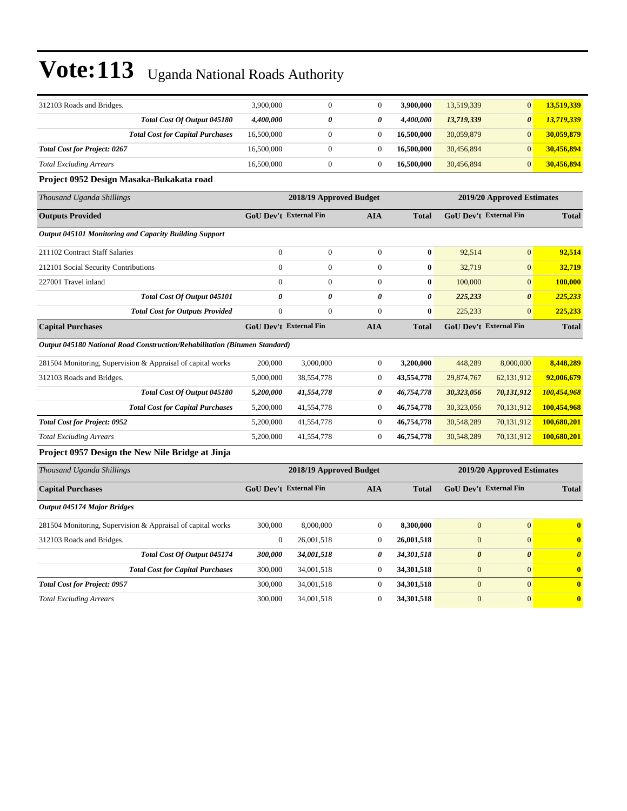| 312103 Roads and Bridges.                                                         | 3,900,000        | $\boldsymbol{0}$              | $\mathbf{0}$          | 3,900,000             | 13,519,339            | $\boldsymbol{0}$              | 13,519,339            |
|-----------------------------------------------------------------------------------|------------------|-------------------------------|-----------------------|-----------------------|-----------------------|-------------------------------|-----------------------|
| Total Cost Of Output 045180                                                       | 4,400,000        | 0                             | 0                     | 4,400,000             | 13,719,339            | 0                             | 13,719,339            |
| <b>Total Cost for Capital Purchases</b>                                           | 16,500,000       | $\boldsymbol{0}$              | $\mathbf{0}$          | 16,500,000            | 30,059,879            | $\overline{0}$                | 30,059,879            |
| <b>Total Cost for Project: 0267</b>                                               | 16,500,000       | $\boldsymbol{0}$              | $\boldsymbol{0}$      | 16,500,000            | 30,456,894            | $\overline{0}$                | 30,456,894            |
| <b>Total Excluding Arrears</b>                                                    | 16,500,000       | $\boldsymbol{0}$              | $\mathbf{0}$          | 16,500,000            | 30,456,894            | $\overline{0}$                | 30,456,894            |
| Project 0952 Design Masaka-Bukakata road                                          |                  |                               |                       |                       |                       |                               |                       |
| Thousand Uganda Shillings                                                         |                  | 2018/19 Approved Budget       |                       |                       |                       | 2019/20 Approved Estimates    |                       |
| <b>Outputs Provided</b>                                                           |                  | <b>GoU Dev't External Fin</b> | <b>AIA</b>            | <b>Total</b>          |                       | <b>GoU Dev't External Fin</b> | <b>Total</b>          |
| <b>Output 045101 Monitoring and Capacity Building Support</b>                     |                  |                               |                       |                       |                       |                               |                       |
| 211102 Contract Staff Salaries                                                    | $\overline{0}$   | $\boldsymbol{0}$              | $\boldsymbol{0}$      | $\bf{0}$              | 92,514                | $\overline{0}$                | 92,514                |
| 212101 Social Security Contributions                                              | $\overline{0}$   | $\mathbf{0}$                  | $\theta$              | $\bf{0}$              | 32,719                | $\mathbf{0}$                  | 32,719                |
| 227001 Travel inland                                                              | $\overline{0}$   | $\mathbf{0}$                  | $\theta$              | $\bf{0}$              | 100,000               | $\boldsymbol{0}$              | 100,000               |
| Total Cost Of Output 045101                                                       | 0                | $\theta$                      | $\boldsymbol{\theta}$ | $\boldsymbol{\theta}$ | 225,233               | $\boldsymbol{\theta}$         | 225,233               |
| <b>Total Cost for Outputs Provided</b>                                            | $\overline{0}$   | $\mathbf{0}$                  | $\overline{0}$        | $\bf{0}$              | 225,233               | $\overline{0}$                | 225,233               |
| <b>Capital Purchases</b>                                                          |                  | GoU Dev't External Fin        | <b>AIA</b>            | <b>Total</b>          |                       | GoU Dev't External Fin        | <b>Total</b>          |
| <b>Output 045180 National Road Construction/Rehabilitation (Bitumen Standard)</b> |                  |                               |                       |                       |                       |                               |                       |
| 281504 Monitoring, Supervision & Appraisal of capital works                       | 200,000          | 3,000,000                     | $\boldsymbol{0}$      | 3,200,000             | 448,289               | 8,000,000                     | 8,448,289             |
| 312103 Roads and Bridges.                                                         | 5,000,000        | 38,554,778                    | $\theta$              | 43,554,778            | 29,874,767            | 62,131,912                    | 92,006,679            |
| Total Cost Of Output 045180                                                       | 5,200,000        | 41,554,778                    | 0                     | 46,754,778            | 30,323,056            | 70,131,912                    | 100,454,968           |
| <b>Total Cost for Capital Purchases</b>                                           | 5,200,000        | 41,554,778                    | $\theta$              | 46,754,778            | 30,323,056            | 70,131,912                    | 100,454,968           |
| <b>Total Cost for Project: 0952</b>                                               | 5,200,000        | 41,554,778                    | $\boldsymbol{0}$      | 46,754,778            | 30,548,289            | 70,131,912                    | 100,680,201           |
| <b>Total Excluding Arrears</b>                                                    | 5,200,000        | 41,554,778                    | $\mathbf{0}$          | 46,754,778            | 30,548,289            | 70,131,912                    | 100,680,201           |
| Project 0957 Design the New Nile Bridge at Jinja                                  |                  |                               |                       |                       |                       |                               |                       |
| Thousand Uganda Shillings                                                         |                  | 2018/19 Approved Budget       |                       |                       |                       | 2019/20 Approved Estimates    |                       |
| <b>Capital Purchases</b>                                                          |                  | <b>GoU Dev't External Fin</b> | <b>AIA</b>            | <b>Total</b>          |                       | <b>GoU Dev't External Fin</b> | <b>Total</b>          |
| <b>Output 045174 Major Bridges</b>                                                |                  |                               |                       |                       |                       |                               |                       |
| 281504 Monitoring, Supervision & Appraisal of capital works                       | 300,000          | 8,000,000                     | $\theta$              | 8,300,000             | $\overline{0}$        | $\overline{0}$                | $\bf{0}$              |
| 312103 Roads and Bridges.                                                         | $\boldsymbol{0}$ | 26,001,518                    | $\boldsymbol{0}$      | 26,001,518            | $\overline{0}$        | $\overline{0}$                | $\bf{0}$              |
| Total Cost Of Output 045174                                                       | 300,000          | 34,001,518                    | 0                     | 34,301,518            | $\boldsymbol{\theta}$ | $\boldsymbol{\theta}$         | $\boldsymbol{\theta}$ |
| <b>Total Cost for Capital Purchases</b>                                           | 300,000          | 34,001,518                    | $\theta$              | 34,301,518            | $\boldsymbol{0}$      | $\boldsymbol{0}$              | $\bf{0}$              |
| <b>Total Cost for Project: 0957</b>                                               | 300,000          | 34,001,518                    | $\mathbf{0}$          | 34,301,518            | $\overline{0}$        | $\boldsymbol{0}$              | $\bf{0}$              |
| <b>Total Excluding Arrears</b>                                                    | 300,000          | 34,001,518                    | $\theta$              | 34,301,518            | $\overline{0}$        | $\overline{0}$                | $\bf{0}$              |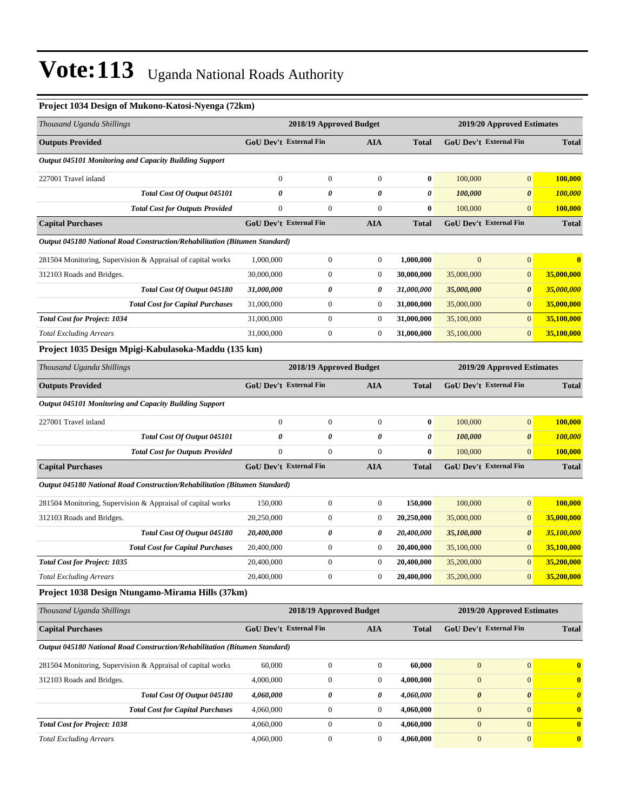| Project 1034 Design of Mukono-Katosi-Nyenga (72km)                                |                  |                               |                  |              |                  |                               |                       |
|-----------------------------------------------------------------------------------|------------------|-------------------------------|------------------|--------------|------------------|-------------------------------|-----------------------|
| Thousand Uganda Shillings                                                         |                  | 2018/19 Approved Budget       |                  |              |                  | 2019/20 Approved Estimates    |                       |
| <b>Outputs Provided</b>                                                           |                  | <b>GoU Dev't External Fin</b> | <b>AIA</b>       | <b>Total</b> |                  | GoU Dev't External Fin        | <b>Total</b>          |
| <b>Output 045101 Monitoring and Capacity Building Support</b>                     |                  |                               |                  |              |                  |                               |                       |
| 227001 Travel inland                                                              | $\boldsymbol{0}$ | $\boldsymbol{0}$              | $\mathbf{0}$     | $\bf{0}$     | 100,000          | $\boldsymbol{0}$              | 100,000               |
| Total Cost Of Output 045101                                                       | 0                | 0                             | 0                | 0            | 100,000          | $\boldsymbol{\theta}$         | 100,000               |
| <b>Total Cost for Outputs Provided</b>                                            | $\boldsymbol{0}$ | $\boldsymbol{0}$              | $\boldsymbol{0}$ | $\bf{0}$     | 100,000          | $\mathbf{0}$                  | <b>100,000</b>        |
| <b>Capital Purchases</b>                                                          |                  | <b>GoU Dev't External Fin</b> | <b>AIA</b>       | <b>Total</b> |                  | <b>GoU Dev't External Fin</b> | <b>Total</b>          |
| Output 045180 National Road Construction/Rehabilitation (Bitumen Standard)        |                  |                               |                  |              |                  |                               |                       |
| 281504 Monitoring, Supervision & Appraisal of capital works                       | 1,000,000        | $\boldsymbol{0}$              | $\mathbf{0}$     | 1,000,000    | $\mathbf{0}$     | $\mathbf{0}$                  | $\bf{0}$              |
| 312103 Roads and Bridges.                                                         | 30,000,000       | $\boldsymbol{0}$              | $\boldsymbol{0}$ | 30,000,000   | 35,000,000       | $\mathbf{0}$                  | 35,000,000            |
| Total Cost Of Output 045180                                                       | 31,000,000       | 0                             | 0                | 31,000,000   | 35,000,000       | $\boldsymbol{\theta}$         | 35,000,000            |
| <b>Total Cost for Capital Purchases</b>                                           | 31,000,000       | $\mathbf{0}$                  | $\boldsymbol{0}$ | 31,000,000   | 35,000,000       | $\mathbf{0}$                  | 35,000,000            |
| <b>Total Cost for Project: 1034</b>                                               | 31,000,000       | $\boldsymbol{0}$              | $\boldsymbol{0}$ | 31,000,000   | 35,100,000       | $\mathbf{0}$                  | 35,100,000            |
| <b>Total Excluding Arrears</b>                                                    | 31,000,000       | $\boldsymbol{0}$              | $\boldsymbol{0}$ | 31,000,000   | 35,100,000       | $\mathbf{0}$                  | 35,100,000            |
| Project 1035 Design Mpigi-Kabulasoka-Maddu (135 km)                               |                  |                               |                  |              |                  |                               |                       |
| Thousand Uganda Shillings                                                         |                  | 2018/19 Approved Budget       |                  |              |                  | 2019/20 Approved Estimates    |                       |
| <b>Outputs Provided</b>                                                           |                  | GoU Dev't External Fin        | <b>AIA</b>       | <b>Total</b> |                  | GoU Dev't External Fin        | <b>Total</b>          |
| <b>Output 045101 Monitoring and Capacity Building Support</b>                     |                  |                               |                  |              |                  |                               |                       |
| 227001 Travel inland                                                              | $\boldsymbol{0}$ | $\boldsymbol{0}$              | $\boldsymbol{0}$ | $\bf{0}$     | 100,000          | $\boldsymbol{0}$              | 100,000               |
| Total Cost Of Output 045101                                                       | 0                | 0                             | 0                | 0            | 100,000          | $\boldsymbol{\theta}$         | 100,000               |
| <b>Total Cost for Outputs Provided</b>                                            | $\mathbf{0}$     | $\mathbf{0}$                  | $\overline{0}$   | $\bf{0}$     | 100,000          | $\mathbf{0}$                  | 100,000               |
| <b>Capital Purchases</b>                                                          |                  | GoU Dev't External Fin        | <b>AIA</b>       | <b>Total</b> |                  | GoU Dev't External Fin        | <b>Total</b>          |
| Output 045180 National Road Construction/Rehabilitation (Bitumen Standard)        |                  |                               |                  |              |                  |                               |                       |
| 281504 Monitoring, Supervision & Appraisal of capital works                       | 150,000          | $\boldsymbol{0}$              | $\boldsymbol{0}$ | 150,000      | 100,000          | $\overline{0}$                | 100,000               |
| 312103 Roads and Bridges.                                                         | 20,250,000       | $\boldsymbol{0}$              | $\boldsymbol{0}$ | 20,250,000   | 35,000,000       | $\mathbf{0}$                  | 35,000,000            |
| Total Cost Of Output 045180                                                       | 20,400,000       | 0                             | 0                | 20,400,000   | 35,100,000       | $\boldsymbol{\theta}$         | 35,100,000            |
| <b>Total Cost for Capital Purchases</b>                                           | 20,400,000       | $\mathbf{0}$                  | $\boldsymbol{0}$ | 20,400,000   | 35,100,000       | $\overline{0}$                | 35,100,000            |
| <b>Total Cost for Project: 1035</b>                                               | 20,400,000       | $\boldsymbol{0}$              | $\boldsymbol{0}$ | 20,400,000   | 35,200,000       | $\mathbf{0}$                  | 35,200,000            |
| <b>Total Excluding Arrears</b>                                                    | 20,400,000       | $\boldsymbol{0}$              | $\boldsymbol{0}$ | 20,400,000   | 35,200,000       | $\mathbf{0}$                  | 35,200,000            |
| Project 1038 Design Ntungamo-Mirama Hills (37km)                                  |                  |                               |                  |              |                  |                               |                       |
| Thousand Uganda Shillings                                                         |                  | 2018/19 Approved Budget       |                  |              |                  | 2019/20 Approved Estimates    |                       |
| <b>Capital Purchases</b>                                                          |                  | <b>GoU Dev't External Fin</b> | <b>AIA</b>       | <b>Total</b> |                  | GoU Dev't External Fin        | <b>Total</b>          |
| <b>Output 045180 National Road Construction/Rehabilitation (Bitumen Standard)</b> |                  |                               |                  |              |                  |                               |                       |
| 281504 Monitoring, Supervision & Appraisal of capital works                       | 60,000           | $\boldsymbol{0}$              | $\boldsymbol{0}$ | 60,000       | $\boldsymbol{0}$ | $\mathbf{0}$                  | $\bf{0}$              |
| 312103 Roads and Bridges.                                                         | 4,000,000        | $\boldsymbol{0}$              | $\boldsymbol{0}$ | 4,000,000    | $\boldsymbol{0}$ | $\mathbf{0}$                  | $\mathbf{0}$          |
| Total Cost Of Output 045180                                                       | 4,060,000        | 0                             | 0                | 4,060,000    | $\pmb{\theta}$   | $\boldsymbol{\theta}$         | $\boldsymbol{\theta}$ |
| <b>Total Cost for Capital Purchases</b>                                           | 4,060,000        | $\boldsymbol{0}$              | $\boldsymbol{0}$ | 4,060,000    | $\mathbf{0}$     | $\mathbf{0}$                  | $\bf{0}$              |
| <b>Total Cost for Project: 1038</b>                                               | 4,060,000        | $\boldsymbol{0}$              | $\boldsymbol{0}$ | 4,060,000    | $\boldsymbol{0}$ | $\mathbf{0}$                  | $\mathbf{0}$          |

*Total Excluding Arrears* 4,060,000 0 0 **4,060,000** 0 0 **0**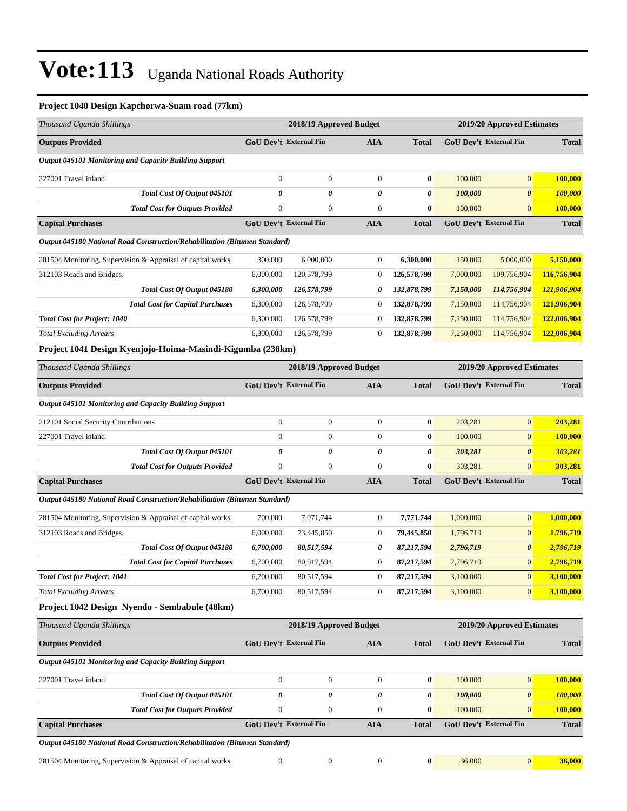#### **Project 1040 Design Kapchorwa-Suam road (77km)**

| Thousand Uganda Shillings                                                         | 2018/19 Approved Budget<br>2019/20 Approved Estimates |                         |                  |                  |           |                               |              |
|-----------------------------------------------------------------------------------|-------------------------------------------------------|-------------------------|------------------|------------------|-----------|-------------------------------|--------------|
| <b>Outputs Provided</b>                                                           | <b>GoU Dev't External Fin</b>                         |                         | <b>AIA</b>       | <b>Total</b>     |           | GoU Dev't External Fin        | <b>Total</b> |
| Output 045101 Monitoring and Capacity Building Support                            |                                                       |                         |                  |                  |           |                               |              |
| 227001 Travel inland                                                              | $\mathbf{0}$                                          | $\boldsymbol{0}$        | $\boldsymbol{0}$ | $\bf{0}$         | 100,000   | $\mathbf{0}$                  | 100,000      |
| Total Cost Of Output 045101                                                       | 0                                                     | 0                       | 0                | 0                | 100,000   | $\boldsymbol{\theta}$         | 100,000      |
| <b>Total Cost for Outputs Provided</b>                                            | $\mathbf{0}$                                          | $\boldsymbol{0}$        | $\boldsymbol{0}$ | $\bf{0}$         | 100,000   | $\mathbf{0}$                  | 100,000      |
| <b>Capital Purchases</b>                                                          | <b>GoU Dev't External Fin</b>                         |                         | AIA              | <b>Total</b>     |           | <b>GoU Dev't External Fin</b> | <b>Total</b> |
| <b>Output 045180 National Road Construction/Rehabilitation (Bitumen Standard)</b> |                                                       |                         |                  |                  |           |                               |              |
| 281504 Monitoring, Supervision & Appraisal of capital works                       | 300,000                                               | 6,000,000               | $\mathbf{0}$     | 6,300,000        | 150,000   | 5,000,000                     | 5,150,000    |
| 312103 Roads and Bridges.                                                         | 6,000,000                                             | 120,578,799             | $\boldsymbol{0}$ | 126,578,799      | 7,000,000 | 109,756,904                   | 116,756,904  |
| Total Cost Of Output 045180                                                       | 6,300,000                                             | 126,578,799             | 0                | 132,878,799      | 7,150,000 | 114,756,904                   | 121,906,904  |
| <b>Total Cost for Capital Purchases</b>                                           | 6,300,000                                             | 126,578,799             | $\boldsymbol{0}$ | 132,878,799      | 7,150,000 | 114,756,904                   | 121,906,904  |
| <b>Total Cost for Project: 1040</b>                                               | 6,300,000                                             | 126,578,799             | $\boldsymbol{0}$ | 132,878,799      | 7,250,000 | 114,756,904                   | 122,006,904  |
| <b>Total Excluding Arrears</b>                                                    | 6,300,000                                             | 126,578,799             | $\boldsymbol{0}$ | 132,878,799      | 7,250,000 | 114,756,904                   | 122,006,904  |
| Project 1041 Design Kyenjojo-Hoima-Masindi-Kigumba (238km)                        |                                                       |                         |                  |                  |           |                               |              |
| Thousand Uganda Shillings                                                         |                                                       | 2018/19 Approved Budget |                  |                  |           | 2019/20 Approved Estimates    |              |
| <b>Outputs Provided</b>                                                           | GoU Dev't External Fin                                |                         | <b>AIA</b>       | <b>Total</b>     |           | GoU Dev't External Fin        | <b>Total</b> |
| <b>Output 045101 Monitoring and Capacity Building Support</b>                     |                                                       |                         |                  |                  |           |                               |              |
| 212101 Social Security Contributions                                              | $\boldsymbol{0}$                                      | $\boldsymbol{0}$        | $\boldsymbol{0}$ | $\boldsymbol{0}$ | 203,281   | $\mathbf{0}$                  | 203,281      |
| 227001 Travel inland                                                              | $\mathbf{0}$                                          | $\boldsymbol{0}$        | $\boldsymbol{0}$ | 0                | 100,000   | $\mathbf{0}$                  | 100,000      |
| Total Cost Of Output 045101                                                       | 0                                                     | 0                       | 0                | 0                | 303,281   | $\boldsymbol{\theta}$         | 303,281      |
| <b>Total Cost for Outputs Provided</b>                                            | $\mathbf{0}$                                          | $\boldsymbol{0}$        | $\boldsymbol{0}$ | $\bf{0}$         | 303,281   | $\mathbf{0}$                  | 303,281      |
| <b>Capital Purchases</b>                                                          | GoU Dev't External Fin                                |                         | <b>AIA</b>       | <b>Total</b>     |           | <b>GoU Dev't External Fin</b> | <b>Total</b> |
| <b>Output 045180 National Road Construction/Rehabilitation (Bitumen Standard)</b> |                                                       |                         |                  |                  |           |                               |              |
| 281504 Monitoring, Supervision & Appraisal of capital works                       | 700,000                                               | 7,071,744               | $\boldsymbol{0}$ | 7,771,744        | 1,000,000 | $\mathbf{0}$                  | 1,000,000    |
| 312103 Roads and Bridges.                                                         | 6,000,000                                             | 73,445,850              | $\boldsymbol{0}$ | 79,445,850       | 1,796,719 | $\mathbf{0}$                  | 1,796,719    |
| Total Cost Of Output 045180                                                       | 6,700,000                                             | 80,517,594              | 0                | 87,217,594       | 2,796,719 | $\boldsymbol{\theta}$         | 2,796,719    |
| <b>Total Cost for Capital Purchases</b>                                           | 6,700,000                                             | 80,517,594              | $\boldsymbol{0}$ | 87,217,594       | 2,796,719 | $\mathbf{0}$                  | 2,796,719    |
| <b>Total Cost for Project: 1041</b>                                               | 6,700,000                                             | 80,517,594              | $\boldsymbol{0}$ | 87,217,594       | 3,100,000 | $\boldsymbol{0}$              | 3,100,000    |
| <b>Total Excluding Arrears</b>                                                    | 6,700,000                                             | 80,517,594              | $\boldsymbol{0}$ | 87,217,594       | 3,100,000 | $\mathbf{0}$                  | 3,100,000    |
| Project 1042 Design Nyendo - Sembabule (48km)                                     |                                                       |                         |                  |                  |           |                               |              |
| Thousand Uganda Shillings                                                         |                                                       | 2018/19 Approved Budget |                  |                  |           | 2019/20 Approved Estimates    |              |
| <b>Outputs Provided</b>                                                           | GoU Dev't External Fin                                |                         | <b>AIA</b>       | <b>Total</b>     |           | GoU Dev't External Fin        | <b>Total</b> |
| <b>Output 045101 Monitoring and Capacity Building Support</b>                     |                                                       |                         |                  |                  |           |                               |              |
| 227001 Travel inland                                                              | $\boldsymbol{0}$                                      | $\boldsymbol{0}$        | $\boldsymbol{0}$ | $\boldsymbol{0}$ | 100,000   | $\boldsymbol{0}$              | 100,000      |
| Total Cost Of Output 045101                                                       | $\pmb{\theta}$                                        | 0                       | 0                | 0                | 100,000   | $\pmb{\theta}$                | 100,000      |
| <b>Total Cost for Outputs Provided</b>                                            | $\boldsymbol{0}$                                      | $\boldsymbol{0}$        | $\boldsymbol{0}$ | $\bf{0}$         | 100,000   | $\mathbf{0}$                  | 100,000      |
| <b>Capital Purchases</b>                                                          | GoU Dev't External Fin                                |                         | <b>AIA</b>       | <b>Total</b>     |           | <b>GoU Dev't External Fin</b> | <b>Total</b> |
| Output 045180 National Road Construction/Rehabilitation (Bitumen Standard)        |                                                       |                         |                  |                  |           |                               |              |
| 281504 Monitoring, Supervision & Appraisal of capital works                       | $\boldsymbol{0}$                                      | $\boldsymbol{0}$        | $\boldsymbol{0}$ | $\bf{0}$         | 36,000    | $\vert 0 \vert$               | 36,000       |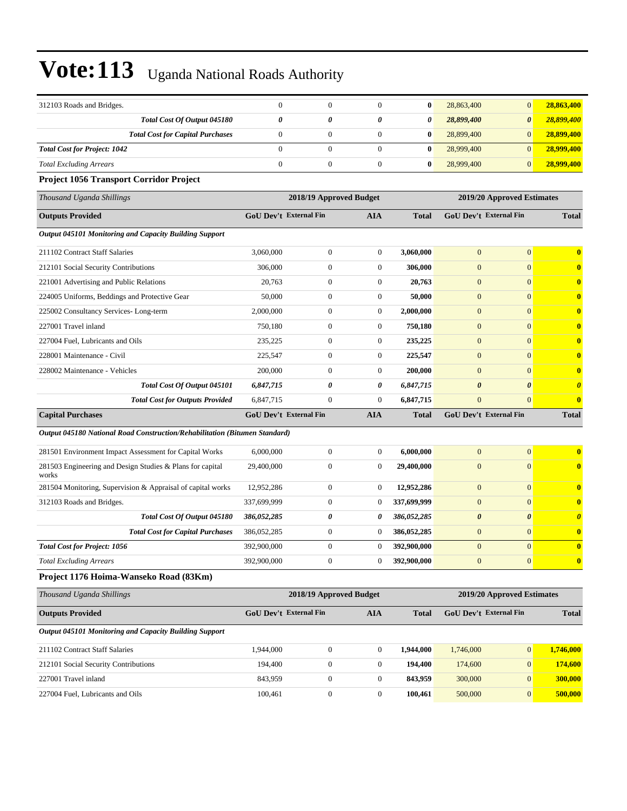| 312103 Roads and Bridges.                                                         | $\overline{0}$                | $\mathbf{0}$            | $\mathbf{0}$     | $\bf{0}$     | 28,863,400                    | $\boldsymbol{0}$           | 28,863,400            |
|-----------------------------------------------------------------------------------|-------------------------------|-------------------------|------------------|--------------|-------------------------------|----------------------------|-----------------------|
| Total Cost Of Output 045180                                                       | $\theta$                      | 0                       | 0                | 0            | 28,899,400                    | $\boldsymbol{\theta}$      | 28,899,400            |
| <b>Total Cost for Capital Purchases</b>                                           | $\boldsymbol{0}$              | $\boldsymbol{0}$        | $\boldsymbol{0}$ | $\bf{0}$     | 28,899,400                    | $\mathbf{0}$               | 28,899,400            |
| <b>Total Cost for Project: 1042</b>                                               | $\boldsymbol{0}$              | $\mathbf{0}$            | $\mathbf{0}$     | $\bf{0}$     | 28,999,400                    | $\boldsymbol{0}$           | 28,999,400            |
| <b>Total Excluding Arrears</b>                                                    | $\boldsymbol{0}$              | $\boldsymbol{0}$        | $\boldsymbol{0}$ | $\bf{0}$     | 28,999,400                    | $\mathbf{0}$               | 28,999,400            |
| Project 1056 Transport Corridor Project                                           |                               |                         |                  |              |                               |                            |                       |
| Thousand Uganda Shillings                                                         |                               | 2018/19 Approved Budget |                  |              |                               | 2019/20 Approved Estimates |                       |
| <b>Outputs Provided</b>                                                           | <b>GoU Dev't External Fin</b> |                         | <b>AIA</b>       | <b>Total</b> | <b>GoU Dev't External Fin</b> |                            | <b>Total</b>          |
| Output 045101 Monitoring and Capacity Building Support                            |                               |                         |                  |              |                               |                            |                       |
| 211102 Contract Staff Salaries                                                    | 3,060,000                     | $\boldsymbol{0}$        | $\overline{0}$   | 3,060,000    | $\mathbf{0}$                  | $\overline{0}$             | $\bf{0}$              |
| 212101 Social Security Contributions                                              | 306,000                       | $\boldsymbol{0}$        | $\mathbf{0}$     | 306,000      | $\mathbf{0}$                  | $\overline{0}$             | $\bf{0}$              |
| 221001 Advertising and Public Relations                                           | 20,763                        | $\mathbf{0}$            | $\mathbf{0}$     | 20,763       | $\boldsymbol{0}$              | $\boldsymbol{0}$           | $\bf{0}$              |
| 224005 Uniforms, Beddings and Protective Gear                                     | 50,000                        | $\mathbf{0}$            | $\mathbf{0}$     | 50,000       | $\boldsymbol{0}$              | $\boldsymbol{0}$           | $\bf{0}$              |
| 225002 Consultancy Services-Long-term                                             | 2,000,000                     | $\boldsymbol{0}$        | $\mathbf{0}$     | 2,000,000    | $\boldsymbol{0}$              | $\mathbf{0}$               | $\bf{0}$              |
| 227001 Travel inland                                                              | 750,180                       | $\mathbf{0}$            | $\overline{0}$   | 750,180      | $\boldsymbol{0}$              | $\overline{0}$             | $\bf{0}$              |
| 227004 Fuel, Lubricants and Oils                                                  | 235,225                       | $\mathbf{0}$            | $\mathbf{0}$     | 235,225      | $\boldsymbol{0}$              | $\overline{0}$             | $\bf{0}$              |
| 228001 Maintenance - Civil                                                        | 225,547                       | $\boldsymbol{0}$        | $\boldsymbol{0}$ | 225,547      | $\boldsymbol{0}$              | $\boldsymbol{0}$           | $\bf{0}$              |
| 228002 Maintenance - Vehicles                                                     | 200,000                       | $\mathbf{0}$            | $\mathbf{0}$     | 200,000      | $\boldsymbol{0}$              | $\boldsymbol{0}$           | $\bf{0}$              |
| Total Cost Of Output 045101                                                       | 6,847,715                     | 0                       | 0                | 6,847,715    | $\boldsymbol{\theta}$         | $\boldsymbol{\theta}$      | $\boldsymbol{\theta}$ |
| <b>Total Cost for Outputs Provided</b>                                            | 6,847,715                     | $\mathbf{0}$            | $\overline{0}$   | 6,847,715    | $\overline{0}$                | $\boldsymbol{0}$           | $\bf{0}$              |
| <b>Capital Purchases</b>                                                          | <b>GoU Dev't External Fin</b> |                         | <b>AIA</b>       | <b>Total</b> | <b>GoU Dev't External Fin</b> |                            | <b>Total</b>          |
| <b>Output 045180 National Road Construction/Rehabilitation (Bitumen Standard)</b> |                               |                         |                  |              |                               |                            |                       |
| 281501 Environment Impact Assessment for Capital Works                            | 6,000,000                     | $\mathbf{0}$            | $\overline{0}$   | 6,000,000    | $\mathbf{0}$                  | $\mathbf{0}$               | $\bf{0}$              |
| 281503 Engineering and Design Studies & Plans for capital<br>works                | 29,400,000                    | $\boldsymbol{0}$        | $\mathbf{0}$     | 29,400,000   | $\boldsymbol{0}$              | $\mathbf{0}$               | $\bf{0}$              |
| 281504 Monitoring, Supervision & Appraisal of capital works                       | 12,952,286                    | $\mathbf{0}$            | $\boldsymbol{0}$ | 12,952,286   | $\boldsymbol{0}$              | $\boldsymbol{0}$           | $\bf{0}$              |
| 312103 Roads and Bridges.                                                         | 337,699,999                   | $\mathbf{0}$            | $\mathbf{0}$     | 337,699,999  | $\mathbf{0}$                  | $\boldsymbol{0}$           | $\bf{0}$              |
| Total Cost Of Output 045180                                                       | 386,052,285                   | 0                       | 0                | 386,052,285  | $\boldsymbol{\theta}$         | $\boldsymbol{\theta}$      | $\boldsymbol{\theta}$ |
| <b>Total Cost for Capital Purchases</b>                                           | 386,052,285                   | $\mathbf{0}$            | $\mathbf{0}$     | 386,052,285  | $\boldsymbol{0}$              | $\boldsymbol{0}$           | $\bf{0}$              |
| <b>Total Cost for Project: 1056</b>                                               | 392,900,000                   | $\mathbf{0}$            | $\mathbf{0}$     | 392,900,000  | $\mathbf{0}$                  | $\overline{0}$             | $\bf{0}$              |
| <b>Total Excluding Arrears</b>                                                    | 392,900,000                   | $\boldsymbol{0}$        | $\boldsymbol{0}$ | 392,900,000  | $\mathbf{0}$                  | $\boldsymbol{0}$           | $\bf{0}$              |
| Project 1176 Hoima-Wanseko Road (83Km)                                            |                               |                         |                  |              |                               |                            |                       |
| Thousand Uganda Shillings                                                         |                               | 2018/19 Approved Budget |                  |              |                               | 2019/20 Approved Estimates |                       |
| <b>Outputs Provided</b>                                                           | <b>GoU Dev't External Fin</b> |                         | <b>AIA</b>       | <b>Total</b> | <b>GoU Dev't External Fin</b> |                            | <b>Total</b>          |
| <b>Output 045101 Monitoring and Capacity Building Support</b>                     |                               |                         |                  |              |                               |                            |                       |
| 211102 Contract Staff Salaries                                                    | 1,944,000                     | $\boldsymbol{0}$        | $\mathbf{0}$     | 1,944,000    | 1,746,000                     | $\boldsymbol{0}$           | 1,746,000             |
| 212101 Social Security Contributions                                              | 194,400                       | $\boldsymbol{0}$        | $\boldsymbol{0}$ | 194,400      | 174,600                       | $\mathbf{0}$               | 174,600               |
| 227001 Travel inland                                                              | 843,959                       | $\boldsymbol{0}$        | $\mathbf{0}$     | 843,959      | 300,000                       | $\boldsymbol{0}$           | 300,000               |
| 227004 Fuel, Lubricants and Oils                                                  | 100,461                       | $\overline{0}$          | $\mathbf{0}$     | 100,461      | 500,000                       | $\mathbf{0}$               | 500,000               |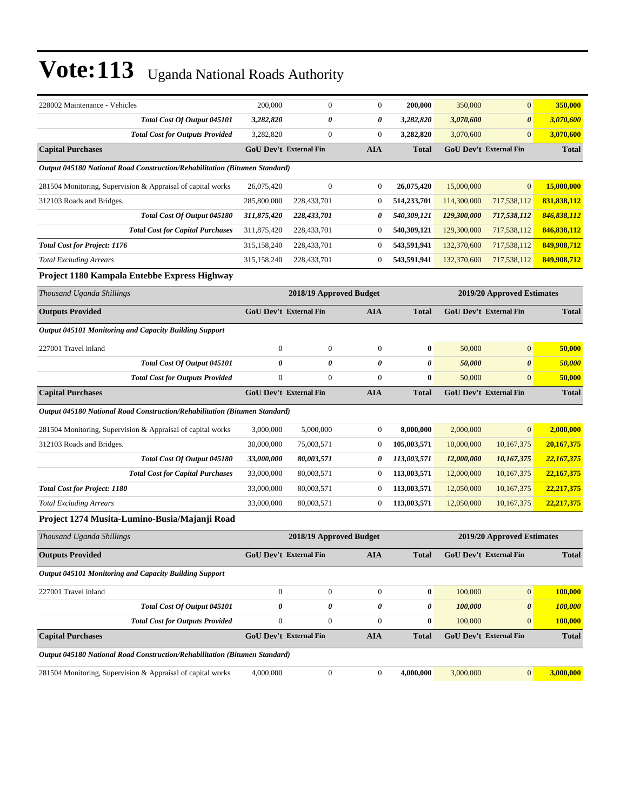| 228002 Maintenance - Vehicles                                              | 200,000                       | $\boldsymbol{0}$        | $\mathbf{0}$          | 200,000      | 350,000                | $\boldsymbol{0}$           | 350,000        |
|----------------------------------------------------------------------------|-------------------------------|-------------------------|-----------------------|--------------|------------------------|----------------------------|----------------|
| Total Cost Of Output 045101                                                | 3,282,820                     | 0                       | 0                     | 3,282,820    | 3,070,600              | $\pmb{\theta}$             | 3,070,600      |
| <b>Total Cost for Outputs Provided</b>                                     | 3,282,820                     | $\mathbf{0}$            | $\boldsymbol{0}$      | 3,282,820    | 3,070,600              | $\boldsymbol{0}$           | 3,070,600      |
| <b>Capital Purchases</b>                                                   | GoU Dev't External Fin        |                         | <b>AIA</b>            | Total        |                        | GoU Dev't External Fin     | <b>Total</b>   |
| Output 045180 National Road Construction/Rehabilitation (Bitumen Standard) |                               |                         |                       |              |                        |                            |                |
| 281504 Monitoring, Supervision & Appraisal of capital works                | 26,075,420                    | $\boldsymbol{0}$        | $\mathbf{0}$          | 26,075,420   | 15,000,000             | $\boldsymbol{0}$           | 15,000,000     |
| 312103 Roads and Bridges.                                                  | 285,800,000                   | 228,433,701             | $\mathbf{0}$          | 514,233,701  | 114,300,000            | 717,538,112                | 831,838,112    |
| Total Cost Of Output 045180                                                | 311,875,420                   | 228,433,701             | 0                     | 540,309,121  | 129,300,000            | 717,538,112                | 846,838,112    |
| <b>Total Cost for Capital Purchases</b>                                    | 311,875,420                   | 228,433,701             | $\mathbf{0}$          | 540,309,121  | 129,300,000            | 717,538,112                | 846,838,112    |
| <b>Total Cost for Project: 1176</b>                                        | 315,158,240                   | 228,433,701             | $\mathbf{0}$          | 543,591,941  | 132,370,600            | 717,538,112                | 849,908,712    |
| <b>Total Excluding Arrears</b>                                             | 315,158,240                   | 228,433,701             | $\boldsymbol{0}$      | 543,591,941  | 132,370,600            | 717,538,112                | 849,908,712    |
| Project 1180 Kampala Entebbe Express Highway                               |                               |                         |                       |              |                        |                            |                |
| Thousand Uganda Shillings                                                  |                               | 2018/19 Approved Budget |                       |              |                        | 2019/20 Approved Estimates |                |
| <b>Outputs Provided</b>                                                    | <b>GoU Dev't External Fin</b> |                         | <b>AIA</b>            | <b>Total</b> |                        | GoU Dev't External Fin     | <b>Total</b>   |
| <b>Output 045101 Monitoring and Capacity Building Support</b>              |                               |                         |                       |              |                        |                            |                |
| 227001 Travel inland                                                       | $\boldsymbol{0}$              | $\mathbf{0}$            | $\mathbf{0}$          | $\bf{0}$     | 50,000                 | $\boldsymbol{0}$           | 50,000         |
| Total Cost Of Output 045101                                                | 0                             | 0                       | $\boldsymbol{\theta}$ | 0            | 50,000                 | $\boldsymbol{\theta}$      | 50,000         |
| <b>Total Cost for Outputs Provided</b>                                     | $\boldsymbol{0}$              | $\mathbf{0}$            | $\boldsymbol{0}$      | $\bf{0}$     | 50,000                 | $\overline{0}$             | 50,000         |
| <b>Capital Purchases</b>                                                   | <b>GoU Dev't External Fin</b> |                         | <b>AIA</b>            | <b>Total</b> |                        | GoU Dev't External Fin     | <b>Total</b>   |
|                                                                            |                               |                         |                       |              |                        |                            |                |
| Output 045180 National Road Construction/Rehabilitation (Bitumen Standard) |                               |                         |                       |              |                        |                            |                |
| 281504 Monitoring, Supervision & Appraisal of capital works                | 3,000,000                     | 5,000,000               | $\mathbf{0}$          | 8,000,000    | 2,000,000              | $\overline{0}$             | 2,000,000      |
| 312103 Roads and Bridges.                                                  | 30,000,000                    | 75,003,571              | $\mathbf{0}$          | 105,003,571  | 10,000,000             | 10,167,375                 | 20,167,375     |
| Total Cost Of Output 045180                                                | 33,000,000                    | 80,003,571              | 0                     | 113,003,571  | 12,000,000             | 10,167,375                 | 22,167,375     |
| <b>Total Cost for Capital Purchases</b>                                    | 33,000,000                    | 80,003,571              | $\mathbf{0}$          | 113,003,571  | 12,000,000             | 10,167,375                 | 22,167,375     |
| <b>Total Cost for Project: 1180</b>                                        | 33,000,000                    | 80,003,571              | $\boldsymbol{0}$      | 113,003,571  | 12,050,000             | 10,167,375                 | 22,217,375     |
| <b>Total Excluding Arrears</b>                                             | 33,000,000                    | 80,003,571              | $\mathbf{0}$          | 113,003,571  | 12,050,000             | 10,167,375                 | 22,217,375     |
| Project 1274 Musita-Lumino-Busia/Majanji Road                              |                               |                         |                       |              |                        |                            |                |
| Thousand Uganda Shillings                                                  |                               | 2018/19 Approved Budget |                       |              |                        | 2019/20 Approved Estimates |                |
| <b>Outputs Provided</b>                                                    | GoU Dev't External Fin        |                         | <b>AIA</b>            | Total        | GoU Dev't External Fin |                            | <b>Total</b>   |
| Output 045101 Monitoring and Capacity Building Support                     |                               |                         |                       |              |                        |                            |                |
| 227001 Travel inland                                                       | $\boldsymbol{0}$              | $\boldsymbol{0}$        | $\mathbf{0}$          | $\bf{0}$     | 100,000                | $\overline{0}$             | 100,000        |
| Total Cost Of Output 045101                                                | 0                             | $\pmb{\theta}$          | 0                     | 0            | 100,000                | 0                          | <b>100,000</b> |
| <b>Total Cost for Outputs Provided</b>                                     | $\boldsymbol{0}$              | $\boldsymbol{0}$        | $\mathbf{0}$          | $\bf{0}$     | 100,000                | $\overline{0}$             | 100,000        |
| <b>Capital Purchases</b>                                                   | <b>GoU Dev't External Fin</b> |                         | <b>AIA</b>            | <b>Total</b> |                        | GoU Dev't External Fin     | <b>Total</b>   |
| Output 045180 National Road Construction/Rehabilitation (Bitumen Standard) |                               |                         |                       |              |                        |                            |                |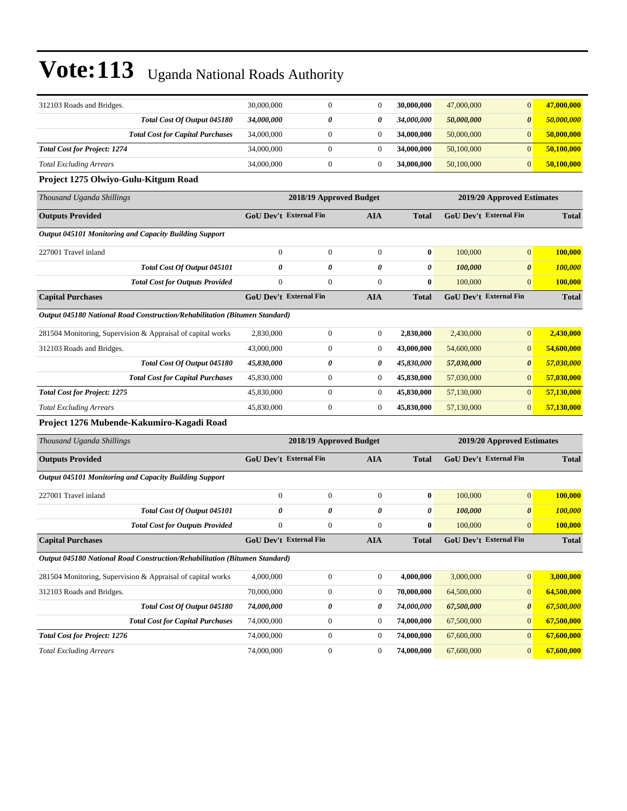| 312103 Roads and Bridges.                                                         | 30,000,000                    | $\overline{0}$          | $\boldsymbol{0}$ | 30,000,000            | 47,000,000                 | $\boldsymbol{0}$              | 47,000,000     |
|-----------------------------------------------------------------------------------|-------------------------------|-------------------------|------------------|-----------------------|----------------------------|-------------------------------|----------------|
| Total Cost Of Output 045180                                                       | 34,000,000                    | 0                       | 0                | 34,000,000            | 50,000,000                 | $\boldsymbol{\theta}$         | 50,000,000     |
| <b>Total Cost for Capital Purchases</b>                                           | 34,000,000                    | $\boldsymbol{0}$        | $\boldsymbol{0}$ | 34,000,000            | 50,000,000                 | $\boldsymbol{0}$              | 50,000,000     |
| <b>Total Cost for Project: 1274</b>                                               | 34,000,000                    | $\boldsymbol{0}$        | $\boldsymbol{0}$ | 34,000,000            | 50,100,000                 | $\boldsymbol{0}$              | 50,100,000     |
| <b>Total Excluding Arrears</b>                                                    | 34,000,000                    | $\boldsymbol{0}$        | $\boldsymbol{0}$ | 34,000,000            | 50,100,000                 | $\boldsymbol{0}$              | 50,100,000     |
| Project 1275 Olwiyo-Gulu-Kitgum Road                                              |                               |                         |                  |                       |                            |                               |                |
| Thousand Uganda Shillings                                                         |                               | 2018/19 Approved Budget |                  |                       |                            | 2019/20 Approved Estimates    |                |
| <b>Outputs Provided</b>                                                           | GoU Dev't External Fin        |                         | AIA              | <b>Total</b>          | GoU Dev't External Fin     |                               | <b>Total</b>   |
| Output 045101 Monitoring and Capacity Building Support                            |                               |                         |                  |                       |                            |                               |                |
| 227001 Travel inland                                                              | $\boldsymbol{0}$              | $\boldsymbol{0}$        | $\boldsymbol{0}$ | $\bf{0}$              | 100,000                    | $\boldsymbol{0}$              | 100,000        |
| Total Cost Of Output 045101                                                       | $\boldsymbol{\theta}$         | 0                       | 0                | $\boldsymbol{\theta}$ | 100,000                    | $\boldsymbol{\theta}$         | 100,000        |
| <b>Total Cost for Outputs Provided</b>                                            | $\boldsymbol{0}$              | $\boldsymbol{0}$        | $\boldsymbol{0}$ | $\bf{0}$              | 100,000                    | $\mathbf{0}$                  | 100,000        |
| <b>Capital Purchases</b>                                                          | <b>GoU Dev't External Fin</b> |                         | <b>AIA</b>       | <b>Total</b>          | GoU Dev't External Fin     |                               | <b>Total</b>   |
| Output 045180 National Road Construction/Rehabilitation (Bitumen Standard)        |                               |                         |                  |                       |                            |                               |                |
| 281504 Monitoring, Supervision & Appraisal of capital works                       | 2,830,000                     | $\boldsymbol{0}$        | $\mathbf{0}$     | 2,830,000             | 2,430,000                  | $\boldsymbol{0}$              | 2,430,000      |
| 312103 Roads and Bridges.                                                         | 43,000,000                    | $\mathbf{0}$            | $\boldsymbol{0}$ | 43,000,000            | 54,600,000                 | $\boldsymbol{0}$              | 54,600,000     |
| Total Cost Of Output 045180                                                       | 45,830,000                    | 0                       | 0                | 45,830,000            | 57,030,000                 | $\boldsymbol{\theta}$         | 57,030,000     |
| <b>Total Cost for Capital Purchases</b>                                           | 45,830,000                    | $\boldsymbol{0}$        | $\boldsymbol{0}$ | 45,830,000            | 57,030,000                 | $\boldsymbol{0}$              | 57,030,000     |
| <b>Total Cost for Project: 1275</b>                                               | 45,830,000                    | $\boldsymbol{0}$        | $\boldsymbol{0}$ | 45,830,000            | 57,130,000                 | $\mathbf{0}$                  | 57,130,000     |
| <b>Total Excluding Arrears</b>                                                    | 45,830,000                    | $\boldsymbol{0}$        | $\boldsymbol{0}$ | 45,830,000            | 57,130,000                 | $\mathbf{0}$                  | 57,130,000     |
| Project 1276 Mubende-Kakumiro-Kagadi Road                                         |                               |                         |                  |                       |                            |                               |                |
| Thousand Uganda Shillings                                                         |                               | 2018/19 Approved Budget |                  |                       | 2019/20 Approved Estimates |                               |                |
| <b>Outputs Provided</b>                                                           | <b>GoU Dev't External Fin</b> |                         | AIA              | <b>Total</b>          | GoU Dev't External Fin     |                               | <b>Total</b>   |
| Output 045101 Monitoring and Capacity Building Support                            |                               |                         |                  |                       |                            |                               |                |
| 227001 Travel inland                                                              | $\boldsymbol{0}$              | $\mathbf{0}$            | $\mathbf{0}$     | $\bf{0}$              | 100,000                    | $\mathbf{0}$                  | 100,000        |
| Total Cost Of Output 045101                                                       | 0                             | 0                       | 0                | 0                     | 100,000                    | $\boldsymbol{\theta}$         | 100,000        |
| <b>Total Cost for Outputs Provided</b>                                            | $\boldsymbol{0}$              | $\boldsymbol{0}$        | $\boldsymbol{0}$ | $\bf{0}$              | 100,000                    | $\mathbf{0}$                  | <b>100,000</b> |
| <b>Capital Purchases</b>                                                          | <b>GoU Dev't External Fin</b> |                         | AIA              | <b>Total</b>          |                            | <b>GoU Dev't External Fin</b> | <b>Total</b>   |
| <b>Output 045180 National Road Construction/Rehabilitation (Bitumen Standard)</b> |                               |                         |                  |                       |                            |                               |                |
| 281504 Monitoring, Supervision & Appraisal of capital works                       | 4,000,000                     | $\boldsymbol{0}$        | $\mathbf{0}$     | 4,000,000             | 3,000,000                  | $\boldsymbol{0}$              | 3,000,000      |
| 312103 Roads and Bridges.                                                         | 70,000,000                    | $\boldsymbol{0}$        | $\boldsymbol{0}$ | 70,000,000            | 64,500,000                 | $\boldsymbol{0}$              | 64,500,000     |
| <b>Total Cost Of Output 045180</b>                                                | 74,000,000                    | 0                       | 0                | 74,000,000            | 67,500,000                 | $\boldsymbol{\theta}$         | 67,500,000     |
| <b>Total Cost for Capital Purchases</b>                                           | 74,000,000                    | $\boldsymbol{0}$        | $\boldsymbol{0}$ | 74,000,000            | 67,500,000                 | $\boldsymbol{0}$              | 67,500,000     |
| <b>Total Cost for Project: 1276</b>                                               | 74,000,000                    | $\boldsymbol{0}$        | $\boldsymbol{0}$ | 74,000,000            | 67,600,000                 | $\mathbf{0}$                  | 67,600,000     |
| <b>Total Excluding Arrears</b>                                                    | 74,000,000                    | $\boldsymbol{0}$        | $\boldsymbol{0}$ | 74,000,000            | 67,600,000                 | $\mathbf{0}$                  | 67,600,000     |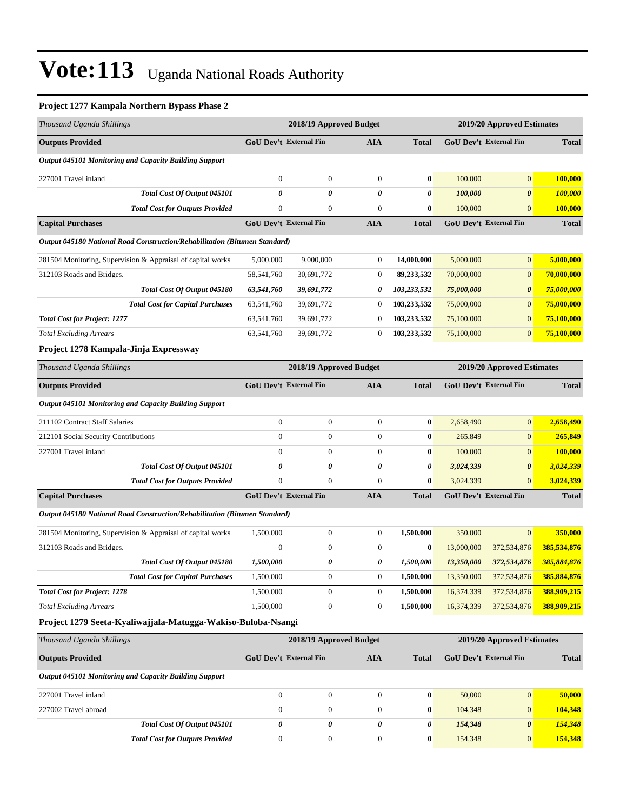#### **Project 1277 Kampala Northern Bypass Phase 2**

| Thousand Uganda Shillings                                                         |                               | 2018/19 Approved Budget |                       |                  |                        | 2019/20 Approved Estimates    |                |  |  |
|-----------------------------------------------------------------------------------|-------------------------------|-------------------------|-----------------------|------------------|------------------------|-------------------------------|----------------|--|--|
| <b>Outputs Provided</b>                                                           | GoU Dev't External Fin        |                         | <b>AIA</b>            | <b>Total</b>     |                        | <b>GoU Dev't External Fin</b> | <b>Total</b>   |  |  |
| Output 045101 Monitoring and Capacity Building Support                            |                               |                         |                       |                  |                        |                               |                |  |  |
| 227001 Travel inland                                                              | $\boldsymbol{0}$              | $\mathbf{0}$            | $\boldsymbol{0}$      | $\bf{0}$         | 100,000                | $\mathbf{0}$                  | 100,000        |  |  |
| Total Cost Of Output 045101                                                       | 0                             | 0                       | 0                     | 0                | 100,000                | $\boldsymbol{\theta}$         | 100,000        |  |  |
| <b>Total Cost for Outputs Provided</b>                                            | $\boldsymbol{0}$              | $\mathbf{0}$            | $\mathbf{0}$          | $\bf{0}$         | 100,000                | $\mathbf{0}$                  | <b>100,000</b> |  |  |
| <b>Capital Purchases</b>                                                          | GoU Dev't External Fin        |                         | AIA                   | Total            |                        | GoU Dev't External Fin        | <b>Total</b>   |  |  |
| <b>Output 045180 National Road Construction/Rehabilitation (Bitumen Standard)</b> |                               |                         |                       |                  |                        |                               |                |  |  |
| 281504 Monitoring, Supervision & Appraisal of capital works                       | 5,000,000                     | 9,000,000               | $\mathbf{0}$          | 14,000,000       | 5,000,000              | $\mathbf{0}$                  | 5,000,000      |  |  |
| 312103 Roads and Bridges.                                                         | 58,541,760                    | 30,691,772              | $\boldsymbol{0}$      | 89,233,532       | 70,000,000             | $\boldsymbol{0}$              | 70,000,000     |  |  |
| Total Cost Of Output 045180                                                       | 63,541,760                    | 39,691,772              | 0                     | 103,233,532      | 75,000,000             | $\boldsymbol{\theta}$         | 75,000,000     |  |  |
| <b>Total Cost for Capital Purchases</b>                                           | 63,541,760                    | 39,691,772              | $\mathbf{0}$          | 103,233,532      | 75,000,000             | $\boldsymbol{0}$              | 75,000,000     |  |  |
| <b>Total Cost for Project: 1277</b>                                               | 63,541,760                    | 39,691,772              | $\mathbf{0}$          | 103,233,532      | 75,100,000             | $\boldsymbol{0}$              | 75,100,000     |  |  |
| <b>Total Excluding Arrears</b>                                                    | 63,541,760                    | 39,691,772              | $\boldsymbol{0}$      | 103,233,532      | 75,100,000             | $\mathbf{0}$                  | 75,100,000     |  |  |
| Project 1278 Kampala-Jinja Expressway                                             |                               |                         |                       |                  |                        |                               |                |  |  |
| Thousand Uganda Shillings                                                         |                               | 2018/19 Approved Budget |                       |                  |                        | 2019/20 Approved Estimates    |                |  |  |
| <b>Outputs Provided</b>                                                           | <b>GoU Dev't External Fin</b> |                         | <b>AIA</b>            | <b>Total</b>     |                        | <b>GoU Dev't External Fin</b> | <b>Total</b>   |  |  |
| <b>Output 045101 Monitoring and Capacity Building Support</b>                     |                               |                         |                       |                  |                        |                               |                |  |  |
| 211102 Contract Staff Salaries                                                    | $\boldsymbol{0}$              | $\boldsymbol{0}$        | $\boldsymbol{0}$      | $\bf{0}$         | 2,658,490              | $\boldsymbol{0}$              | 2,658,490      |  |  |
| 212101 Social Security Contributions                                              | $\boldsymbol{0}$              | $\mathbf{0}$            | $\mathbf{0}$          | $\boldsymbol{0}$ | 265,849                | $\mathbf{0}$                  | 265,849        |  |  |
| 227001 Travel inland                                                              | $\boldsymbol{0}$              | $\boldsymbol{0}$        | $\boldsymbol{0}$      | $\bf{0}$         | 100,000                | $\boldsymbol{0}$              | 100,000        |  |  |
| Total Cost Of Output 045101                                                       | $\boldsymbol{\theta}$         | $\boldsymbol{\theta}$   | $\boldsymbol{\theta}$ | 0                | 3,024,339              | $\boldsymbol{\theta}$         | 3,024,339      |  |  |
| <b>Total Cost for Outputs Provided</b>                                            | $\mathbf{0}$                  | $\mathbf{0}$            | $\mathbf{0}$          | $\bf{0}$         | 3,024,339              | $\overline{0}$                | 3,024,339      |  |  |
| <b>Capital Purchases</b>                                                          | <b>GoU Dev't External Fin</b> |                         | <b>AIA</b>            | <b>Total</b>     |                        | <b>GoU Dev't External Fin</b> | <b>Total</b>   |  |  |
| Output 045180 National Road Construction/Rehabilitation (Bitumen Standard)        |                               |                         |                       |                  |                        |                               |                |  |  |
| 281504 Monitoring, Supervision & Appraisal of capital works                       | 1,500,000                     | $\boldsymbol{0}$        | $\boldsymbol{0}$      | 1,500,000        | 350,000                | $\mathbf{0}$                  | 350,000        |  |  |
| 312103 Roads and Bridges.                                                         | $\boldsymbol{0}$              | $\mathbf{0}$            | $\boldsymbol{0}$      | $\bf{0}$         | 13,000,000             | 372,534,876                   | 385,534,876    |  |  |
| Total Cost Of Output 045180                                                       | 1,500,000                     | 0                       | 0                     | 1,500,000        | 13,350,000             | 372,534,876                   | 385,884,876    |  |  |
| <b>Total Cost for Capital Purchases</b>                                           | 1,500,000                     | $\boldsymbol{0}$        | $\overline{0}$        | 1,500,000        |                        | 13,350,000 372,534,876        | 385,884,876    |  |  |
| <b>Total Cost for Project: 1278</b>                                               | 1,500,000                     | $\boldsymbol{0}$        | $\mathbf{0}$          | 1,500,000        | 16,374,339             | 372,534,876                   | 388,909,215    |  |  |
| <b>Total Excluding Arrears</b>                                                    | 1,500,000                     | $\boldsymbol{0}$        | $\mathbf{0}$          | 1,500,000        | 16,374,339             | 372,534,876                   | 388,909,215    |  |  |
| Project 1279 Seeta-Kyaliwajjala-Matugga-Wakiso-Buloba-Nsangi                      |                               |                         |                       |                  |                        |                               |                |  |  |
| Thousand Uganda Shillings                                                         |                               | 2018/19 Approved Budget |                       |                  |                        | 2019/20 Approved Estimates    |                |  |  |
| <b>Outputs Provided</b>                                                           | <b>GoU Dev't External Fin</b> |                         | AIA                   | <b>Total</b>     | GoU Dev't External Fin |                               | <b>Total</b>   |  |  |
| Output 045101 Monitoring and Capacity Building Support                            |                               |                         |                       |                  |                        |                               |                |  |  |
| 227001 Travel inland                                                              | $\boldsymbol{0}$              | $\boldsymbol{0}$        | $\boldsymbol{0}$      | $\bf{0}$         | 50,000                 | $\mathbf{0}$                  | 50,000         |  |  |
| 227002 Travel abroad                                                              | $\boldsymbol{0}$              | $\mathbf{0}$            | $\mathbf{0}$          | $\bf{0}$         | 104,348                | $\mathbf{0}$                  | 104,348        |  |  |
| Total Cost Of Output 045101                                                       | $\pmb{\theta}$                | $\pmb{\theta}$          | 0                     | 0                | 154,348                | $\pmb{\theta}$                | 154,348        |  |  |
| <b>Total Cost for Outputs Provided</b>                                            | $\boldsymbol{0}$              | $\boldsymbol{0}$        | $\boldsymbol{0}$      | $\boldsymbol{0}$ | 154,348                | $\boldsymbol{0}$              | 154,348        |  |  |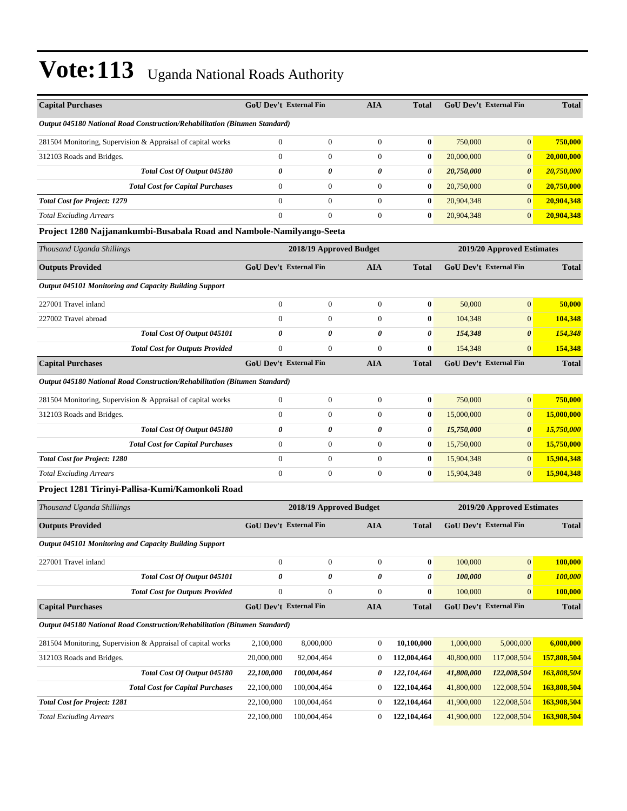| <b>Capital Purchases</b>                                                          | <b>GoU Dev't External Fin</b> |                         | <b>AIA</b>            | <b>Total</b>          | <b>GoU Dev't External Fin</b> |                            | <b>Total</b> |
|-----------------------------------------------------------------------------------|-------------------------------|-------------------------|-----------------------|-----------------------|-------------------------------|----------------------------|--------------|
| Output 045180 National Road Construction/Rehabilitation (Bitumen Standard)        |                               |                         |                       |                       |                               |                            |              |
| 281504 Monitoring, Supervision & Appraisal of capital works                       | $\boldsymbol{0}$              | $\theta$                | $\mathbf{0}$          | $\bf{0}$              | 750,000                       | $\mathbf{0}$               | 750,000      |
| 312103 Roads and Bridges.                                                         | $\overline{0}$                | $\theta$                | $\theta$              | $\bf{0}$              | 20,000,000                    | $\mathbf{0}$               | 20,000,000   |
| Total Cost Of Output 045180                                                       | 0                             | $\boldsymbol{\theta}$   | 0                     | 0                     | 20,750,000                    | $\boldsymbol{\theta}$      | 20,750,000   |
| <b>Total Cost for Capital Purchases</b>                                           | $\overline{0}$                | $\mathbf{0}$            | $\theta$              | $\bf{0}$              | 20,750,000                    | $\mathbf{0}$               | 20,750,000   |
| <b>Total Cost for Project: 1279</b>                                               | $\overline{0}$                | $\mathbf{0}$            | $\boldsymbol{0}$      | $\bf{0}$              | 20,904,348                    | $\mathbf{0}$               | 20,904,348   |
| <b>Total Excluding Arrears</b>                                                    | $\overline{0}$                | $\theta$                | $\mathbf{0}$          | $\bf{0}$              | 20,904,348                    | $\mathbf{0}$               | 20,904,348   |
| Project 1280 Najjanankumbi-Busabala Road and Nambole-Namilyango-Seeta             |                               |                         |                       |                       |                               |                            |              |
| Thousand Uganda Shillings                                                         |                               | 2018/19 Approved Budget |                       |                       | 2019/20 Approved Estimates    |                            |              |
| <b>Outputs Provided</b>                                                           | <b>GoU Dev't External Fin</b> |                         | <b>AIA</b>            | <b>Total</b>          | <b>GoU Dev't External Fin</b> |                            | <b>Total</b> |
| <b>Output 045101 Monitoring and Capacity Building Support</b>                     |                               |                         |                       |                       |                               |                            |              |
| 227001 Travel inland                                                              | $\overline{0}$                | $\mathbf{0}$            | $\theta$              | $\bf{0}$              | 50,000                        | $\mathbf{0}$               | 50,000       |
| 227002 Travel abroad                                                              | $\mathbf{0}$                  | $\mathbf{0}$            | $\theta$              | $\bf{0}$              | 104,348                       | $\mathbf{0}$               | 104,348      |
| Total Cost Of Output 045101                                                       | 0                             | $\boldsymbol{\theta}$   | $\boldsymbol{\theta}$ | $\theta$              | 154,348                       | $\boldsymbol{\theta}$      | 154,348      |
| <b>Total Cost for Outputs Provided</b>                                            | $\boldsymbol{0}$              | $\theta$                | $\boldsymbol{0}$      | $\bf{0}$              | 154,348                       | $\mathbf{0}$               | 154,348      |
| <b>Capital Purchases</b>                                                          | <b>GoU Dev't External Fin</b> |                         | <b>AIA</b>            | <b>Total</b>          | <b>GoU Dev't External Fin</b> |                            | <b>Total</b> |
| <b>Output 045180 National Road Construction/Rehabilitation (Bitumen Standard)</b> |                               |                         |                       |                       |                               |                            |              |
| 281504 Monitoring, Supervision & Appraisal of capital works                       | $\boldsymbol{0}$              | $\theta$                | $\mathbf{0}$          | $\bf{0}$              | 750,000                       | $\mathbf{0}$               | 750,000      |
| 312103 Roads and Bridges.                                                         | $\overline{0}$                | $\theta$                | $\theta$              | $\bf{0}$              | 15,000,000                    | $\mathbf{0}$               | 15,000,000   |
| Total Cost Of Output 045180                                                       | 0                             | $\boldsymbol{\theta}$   | 0                     | 0                     | 15,750,000                    | $\boldsymbol{\theta}$      | 15,750,000   |
| <b>Total Cost for Capital Purchases</b>                                           | $\overline{0}$                | $\theta$                | $\theta$              | $\bf{0}$              | 15,750,000                    | $\mathbf{0}$               | 15,750,000   |
| <b>Total Cost for Project: 1280</b>                                               | $\overline{0}$                | $\mathbf{0}$            | $\boldsymbol{0}$      | $\bf{0}$              | 15,904,348                    | $\mathbf{0}$               | 15,904,348   |
| <b>Total Excluding Arrears</b>                                                    | $\mathbf{0}$                  | $\theta$                | $\mathbf{0}$          | $\bf{0}$              | 15,904,348                    | $\mathbf{0}$               | 15,904,348   |
| Project 1281 Tirinyi-Pallisa-Kumi/Kamonkoli Road                                  |                               |                         |                       |                       |                               |                            |              |
| Thousand Uganda Shillings                                                         |                               | 2018/19 Approved Budget |                       |                       |                               | 2019/20 Approved Estimates |              |
| <b>Outputs Provided</b>                                                           | <b>GoU Dev't External Fin</b> |                         | <b>AIA</b>            | <b>Total</b>          | <b>GoU Dev't External Fin</b> |                            | <b>Total</b> |
| <b>Output 045101 Monitoring and Capacity Building Support</b>                     |                               |                         |                       |                       |                               |                            |              |
| 227001 Travel inland                                                              | $\boldsymbol{0}$              | $\mathbf{0}$            | $\boldsymbol{0}$      | $\bf{0}$              | 100,000                       | $\mathbf{0}$               | 100,000      |
| Total Cost Of Output 045101                                                       | 0                             | $\boldsymbol{\theta}$   | 0                     | $\boldsymbol{\theta}$ | 100,000                       | $\boldsymbol{\theta}$      | 100,000      |
| <b>Total Cost for Outputs Provided</b>                                            | $\boldsymbol{0}$              | $\mathbf{0}$            | $\boldsymbol{0}$      | $\bf{0}$              | 100,000                       | $\mathbf{0}$               | 100,000      |
| <b>Capital Purchases</b>                                                          | GoU Dev't External Fin        |                         | <b>AIA</b>            | <b>Total</b>          | GoU Dev't External Fin        |                            | <b>Total</b> |
| Output 045180 National Road Construction/Rehabilitation (Bitumen Standard)        |                               |                         |                       |                       |                               |                            |              |
| 281504 Monitoring, Supervision & Appraisal of capital works                       | 2,100,000                     | 8,000,000               | $\boldsymbol{0}$      | 10,100,000            | 1,000,000                     | 5,000,000                  | 6,000,000    |
| 312103 Roads and Bridges.                                                         | 20,000,000                    | 92,004,464              | $\boldsymbol{0}$      | 112,004,464           | 40,800,000                    | 117,008,504                | 157,808,504  |
| Total Cost Of Output 045180                                                       | 22,100,000                    | 100,004,464             | 0                     | 122,104,464           | 41,800,000                    | 122,008,504                | 163,808,504  |
| <b>Total Cost for Capital Purchases</b>                                           | 22,100,000                    | 100,004,464             | $\boldsymbol{0}$      | 122,104,464           | 41,800,000                    | 122,008,504                | 163,808,504  |
| <b>Total Cost for Project: 1281</b>                                               | 22,100,000                    | 100,004,464             | $\boldsymbol{0}$      | 122,104,464           | 41,900,000                    | 122,008,504                | 163,908,504  |
| <b>Total Excluding Arrears</b>                                                    | 22,100,000                    | 100,004,464             | $\boldsymbol{0}$      | 122,104,464           | 41,900,000                    | 122,008,504                | 163,908,504  |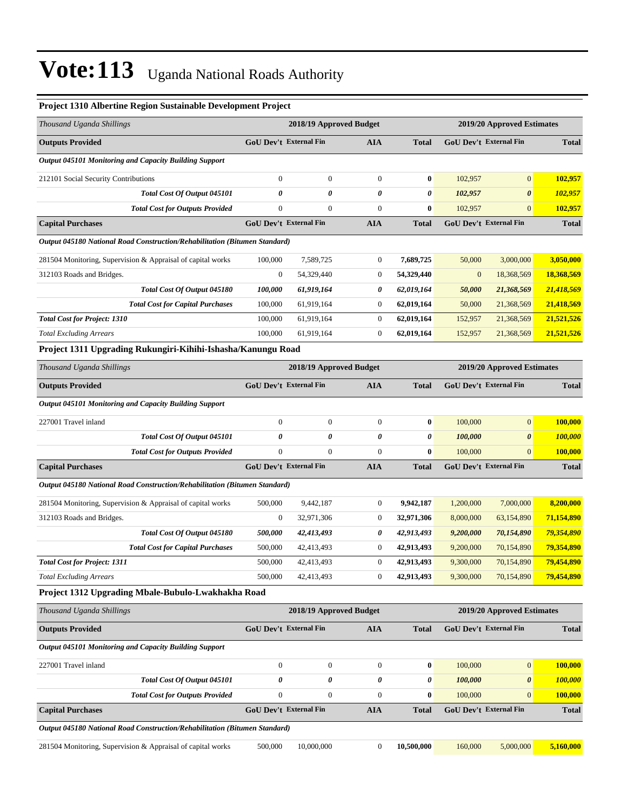| Project 1310 Albertine Region Sustainable Development Project                     |                               |                         |                  |                  |                            |                            |                |
|-----------------------------------------------------------------------------------|-------------------------------|-------------------------|------------------|------------------|----------------------------|----------------------------|----------------|
| Thousand Uganda Shillings                                                         |                               | 2018/19 Approved Budget |                  |                  |                            | 2019/20 Approved Estimates |                |
| <b>Outputs Provided</b>                                                           | GoU Dev't External Fin        |                         | AIA              | <b>Total</b>     | GoU Dev't External Fin     |                            | <b>Total</b>   |
| <b>Output 045101 Monitoring and Capacity Building Support</b>                     |                               |                         |                  |                  |                            |                            |                |
| 212101 Social Security Contributions                                              | $\overline{0}$                | $\mathbf{0}$            | $\boldsymbol{0}$ | $\boldsymbol{0}$ | 102,957                    | $\mathbf{0}$               | 102,957        |
| Total Cost Of Output 045101                                                       | 0                             | 0                       | 0                | 0                | 102,957                    | $\boldsymbol{\theta}$      | 102,957        |
| <b>Total Cost for Outputs Provided</b>                                            | $\boldsymbol{0}$              | $\boldsymbol{0}$        | $\boldsymbol{0}$ | $\bf{0}$         | 102,957                    | $\mathbf{0}$               | 102,957        |
| <b>Capital Purchases</b>                                                          | <b>GoU Dev't External Fin</b> |                         | <b>AIA</b>       | <b>Total</b>     | GoU Dev't External Fin     |                            | <b>Total</b>   |
| <b>Output 045180 National Road Construction/Rehabilitation (Bitumen Standard)</b> |                               |                         |                  |                  |                            |                            |                |
| 281504 Monitoring, Supervision & Appraisal of capital works                       | 100,000                       | 7,589,725               | $\boldsymbol{0}$ | 7,689,725        | 50,000                     | 3,000,000                  | 3,050,000      |
| 312103 Roads and Bridges.                                                         | $\boldsymbol{0}$              | 54,329,440              | $\boldsymbol{0}$ | 54,329,440       | $\mathbf{0}$               | 18,368,569                 | 18,368,569     |
| Total Cost Of Output 045180                                                       | 100,000                       | 61,919,164              | 0                | 62,019,164       | 50,000                     | 21,368,569                 | 21,418,569     |
| <b>Total Cost for Capital Purchases</b>                                           | 100,000                       | 61,919,164              | $\boldsymbol{0}$ | 62,019,164       | 50,000                     | 21,368,569                 | 21,418,569     |
| <b>Total Cost for Project: 1310</b>                                               | 100,000                       | 61,919,164              | $\boldsymbol{0}$ | 62,019,164       | 152,957                    | 21,368,569                 | 21,521,526     |
| <b>Total Excluding Arrears</b>                                                    | 100,000                       | 61,919,164              | $\boldsymbol{0}$ | 62,019,164       | 152,957                    | 21,368,569                 | 21,521,526     |
| Project 1311 Upgrading Rukungiri-Kihihi-Ishasha/Kanungu Road                      |                               |                         |                  |                  |                            |                            |                |
| Thousand Uganda Shillings                                                         |                               | 2018/19 Approved Budget |                  |                  | 2019/20 Approved Estimates |                            |                |
| <b>Outputs Provided</b>                                                           | GoU Dev't External Fin        |                         | AIA              | <b>Total</b>     | GoU Dev't External Fin     | Total                      |                |
| Output 045101 Monitoring and Capacity Building Support                            |                               |                         |                  |                  |                            |                            |                |
| 227001 Travel inland                                                              | $\boldsymbol{0}$              | $\boldsymbol{0}$        | $\boldsymbol{0}$ | $\bf{0}$         | 100,000                    | $\mathbf{0}$               | 100,000        |
| Total Cost Of Output 045101                                                       | 0                             | 0                       | $\theta$         | 0                | 100,000                    | $\boldsymbol{\theta}$      | 100,000        |
| <b>Total Cost for Outputs Provided</b>                                            | $\overline{0}$                | $\mathbf{0}$            | $\overline{0}$   | $\bf{0}$         | 100,000                    | $\mathbf{0}$               | 100,000        |
| <b>Capital Purchases</b>                                                          | GoU Dev't External Fin        |                         | <b>AIA</b>       | <b>Total</b>     | GoU Dev't External Fin     |                            | <b>Total</b>   |
| <b>Output 045180 National Road Construction/Rehabilitation (Bitumen Standard)</b> |                               |                         |                  |                  |                            |                            |                |
| 281504 Monitoring, Supervision & Appraisal of capital works                       | 500,000                       | 9,442,187               | $\boldsymbol{0}$ | 9,942,187        | 1,200,000                  | 7,000,000                  | 8,200,000      |
| 312103 Roads and Bridges.                                                         | $\boldsymbol{0}$              | 32,971,306              | 0                | 32,971,306       | 8,000,000                  | 63,154,890                 | 71,154,890     |
| Total Cost Of Output 045180                                                       | 500,000                       | 42,413,493              | 0                | 42,913,493       | 9,200,000                  | 70,154,890                 | 79,354,890     |
| <b>Total Cost for Capital Purchases</b>                                           | 500,000                       | 42,413,493              | $\boldsymbol{0}$ | 42,913,493       | 9,200,000                  | 70,154,890                 | 79,354,890     |
| <b>Total Cost for Project: 1311</b>                                               | 500,000                       | 42,413,493              | $\boldsymbol{0}$ | 42,913,493       | 9,300,000                  | 70,154,890                 | 79,454,890     |
| <b>Total Excluding Arrears</b>                                                    | 500,000                       | 42,413,493              | $\boldsymbol{0}$ | 42,913,493       | 9,300,000                  | 70,154,890                 | 79,454,890     |
| Project 1312 Upgrading Mbale-Bubulo-Lwakhakha Road                                |                               |                         |                  |                  |                            |                            |                |
| Thousand Uganda Shillings                                                         |                               | 2018/19 Approved Budget |                  |                  |                            | 2019/20 Approved Estimates |                |
| <b>Outputs Provided</b>                                                           | GoU Dev't External Fin        |                         | AIA              | <b>Total</b>     | GoU Dev't External Fin     |                            | <b>Total</b>   |
| Output 045101 Monitoring and Capacity Building Support                            |                               |                         |                  |                  |                            |                            |                |
| 227001 Travel inland                                                              | $\boldsymbol{0}$              | $\boldsymbol{0}$        | $\boldsymbol{0}$ | $\boldsymbol{0}$ | 100,000                    | $\boldsymbol{0}$           | 100,000        |
| Total Cost Of Output 045101                                                       | 0                             | 0                       | 0                | 0                | 100,000                    | $\pmb{\theta}$             | <b>100,000</b> |
| <b>Total Cost for Outputs Provided</b>                                            | $\boldsymbol{0}$              | $\boldsymbol{0}$        | $\boldsymbol{0}$ | $\boldsymbol{0}$ | 100,000                    | $\mathbf{0}$               | 100,000        |
| <b>Capital Purchases</b>                                                          | GoU Dev't External Fin        |                         | <b>AIA</b>       | <b>Total</b>     | GoU Dev't External Fin     |                            | <b>Total</b>   |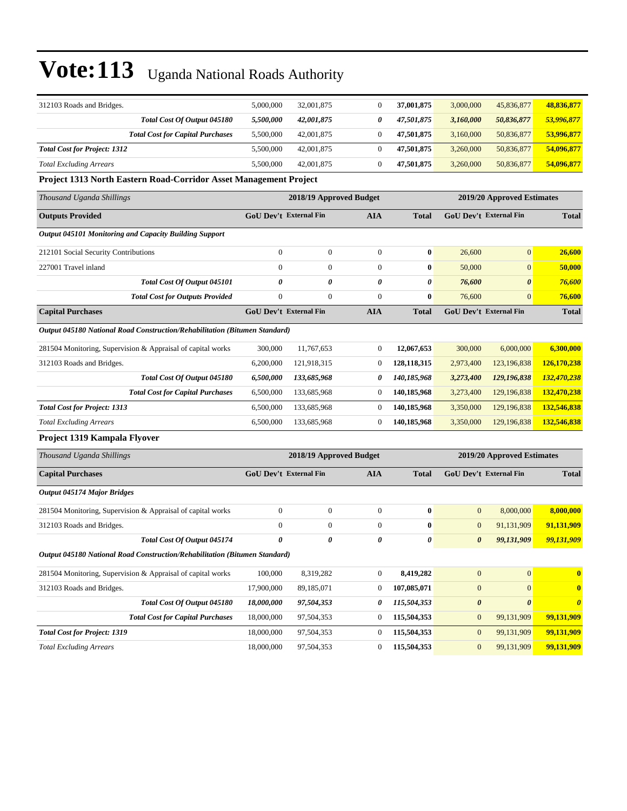| 312103 Roads and Bridges.                                                         | 5,000,000                     | 32,001,875              | $\theta$         | 37,001,875  | 3,000,000                     | 45,836,877                 | 48,836,877            |
|-----------------------------------------------------------------------------------|-------------------------------|-------------------------|------------------|-------------|-------------------------------|----------------------------|-----------------------|
| Total Cost Of Output 045180                                                       | 5,500,000                     | 42,001,875              | 0                | 47,501,875  | 3,160,000                     | 50,836,877                 | 53,996,877            |
| <b>Total Cost for Capital Purchases</b>                                           | 5,500,000                     | 42,001,875              | $\boldsymbol{0}$ | 47,501,875  | 3,160,000                     | 50,836,877                 | 53,996,877            |
| <b>Total Cost for Project: 1312</b>                                               | 5,500,000                     | 42,001,875              | $\boldsymbol{0}$ | 47,501,875  | 3,260,000                     | 50,836,877                 | 54,096,877            |
| <b>Total Excluding Arrears</b>                                                    | 5,500,000                     | 42,001,875              | $\mathbf{0}$     | 47,501,875  | 3,260,000                     | 50,836,877                 | 54,096,877            |
| Project 1313 North Eastern Road-Corridor Asset Management Project                 |                               |                         |                  |             |                               |                            |                       |
| Thousand Uganda Shillings                                                         |                               | 2018/19 Approved Budget |                  |             |                               | 2019/20 Approved Estimates |                       |
| <b>Outputs Provided</b>                                                           | <b>GoU Dev't External Fin</b> |                         | <b>AIA</b>       | Total       | <b>GoU Dev't External Fin</b> |                            | <b>Total</b>          |
| <b>Output 045101 Monitoring and Capacity Building Support</b>                     |                               |                         |                  |             |                               |                            |                       |
| 212101 Social Security Contributions                                              | $\boldsymbol{0}$              | $\mathbf{0}$            | $\theta$         | $\bf{0}$    | 26,600                        | $\mathbf{0}$               | 26,600                |
| 227001 Travel inland                                                              | $\overline{0}$                | $\boldsymbol{0}$        | $\boldsymbol{0}$ | $\bf{0}$    | 50,000                        | $\mathbf{0}$               | 50,000                |
| Total Cost Of Output 045101                                                       | 0                             | 0                       | 0                | 0           | 76,600                        | $\pmb{\theta}$             | 76,600                |
| <b>Total Cost for Outputs Provided</b>                                            | $\boldsymbol{0}$              | $\mathbf{0}$            | $\mathbf{0}$     | $\bf{0}$    | 76,600                        | $\mathbf{0}$               | 76,600                |
| <b>Capital Purchases</b>                                                          | <b>GoU Dev't External Fin</b> |                         | <b>AIA</b>       | Total       | GoU Dev't External Fin        |                            | <b>Total</b>          |
| <b>Output 045180 National Road Construction/Rehabilitation (Bitumen Standard)</b> |                               |                         |                  |             |                               |                            |                       |
| 281504 Monitoring, Supervision & Appraisal of capital works                       | 300,000                       | 11,767,653              | $\boldsymbol{0}$ | 12,067,653  | 300,000                       | 6,000,000                  | 6,300,000             |
| 312103 Roads and Bridges.                                                         | 6,200,000                     | 121,918,315             | $\boldsymbol{0}$ | 128,118,315 | 2,973,400                     | 123,196,838                | 126,170,238           |
| Total Cost Of Output 045180                                                       | 6,500,000                     | 133,685,968             | 0                | 140,185,968 | 3,273,400                     | 129,196,838                | 132,470,238           |
| <b>Total Cost for Capital Purchases</b>                                           | 6,500,000                     | 133,685,968             | $\boldsymbol{0}$ | 140,185,968 | 3,273,400                     | 129, 196, 838              | 132,470,238           |
| <b>Total Cost for Project: 1313</b>                                               | 6,500,000                     | 133,685,968             | $\mathbf{0}$     | 140,185,968 | 3,350,000                     | 129,196,838                | 132,546,838           |
| <b>Total Excluding Arrears</b>                                                    | 6,500,000                     | 133,685,968             | $\boldsymbol{0}$ | 140,185,968 | 3,350,000                     | 129, 196, 838              | 132,546,838           |
| Project 1319 Kampala Flyover                                                      |                               |                         |                  |             |                               |                            |                       |
| Thousand Uganda Shillings                                                         |                               | 2018/19 Approved Budget |                  |             | 2019/20 Approved Estimates    |                            |                       |
| <b>Capital Purchases</b>                                                          | <b>GoU Dev't External Fin</b> |                         | <b>AIA</b>       | Total       | GoU Dev't External Fin        |                            | <b>Total</b>          |
| Output 045174 Major Bridges                                                       |                               |                         |                  |             |                               |                            |                       |
| 281504 Monitoring, Supervision & Appraisal of capital works                       | $\boldsymbol{0}$              | $\mathbf{0}$            | $\boldsymbol{0}$ | $\bf{0}$    | $\mathbf{0}$                  | 8,000,000                  | 8,000,000             |
| 312103 Roads and Bridges.                                                         | $\boldsymbol{0}$              | $\mathbf{0}$            | $\boldsymbol{0}$ | $\bf{0}$    | $\mathbf{0}$                  | 91,131,909                 | 91,131,909            |
| Total Cost Of Output 045174                                                       | 0                             | 0                       | 0                | 0           | $\boldsymbol{\theta}$         | 99,131,909                 | 99,131,909            |
| <b>Output 045180 National Road Construction/Rehabilitation (Bitumen Standard)</b> |                               |                         |                  |             |                               |                            |                       |
| 281504 Monitoring, Supervision & Appraisal of capital works                       | 100,000                       | 8,319,282               | $\boldsymbol{0}$ | 8,419,282   | $\mathbf{0}$                  | $\boldsymbol{0}$           | $\bf{0}$              |
| 312103 Roads and Bridges.                                                         | 17,900,000                    | 89,185,071              | $\boldsymbol{0}$ | 107,085,071 | $\boldsymbol{0}$              | $\boldsymbol{0}$           | $\bf{0}$              |
| Total Cost Of Output 045180                                                       | 18,000,000                    | 97,504,353              | 0                | 115,504,353 | 0                             | $\boldsymbol{\theta}$      | $\boldsymbol{\theta}$ |
| <b>Total Cost for Capital Purchases</b>                                           | 18,000,000                    | 97,504,353              | $\mathbf{0}$     | 115,504,353 | $\mathbf{0}$                  | 99,131,909                 | 99,131,909            |
| <b>Total Cost for Project: 1319</b>                                               | 18,000,000                    | 97,504,353              | $\boldsymbol{0}$ | 115,504,353 | $\mathbf{0}$                  | 99,131,909                 | 99,131,909            |
| <b>Total Excluding Arrears</b>                                                    | 18,000,000                    | 97,504,353              | $\boldsymbol{0}$ | 115,504,353 | $\boldsymbol{0}$              | 99,131,909                 | 99,131,909            |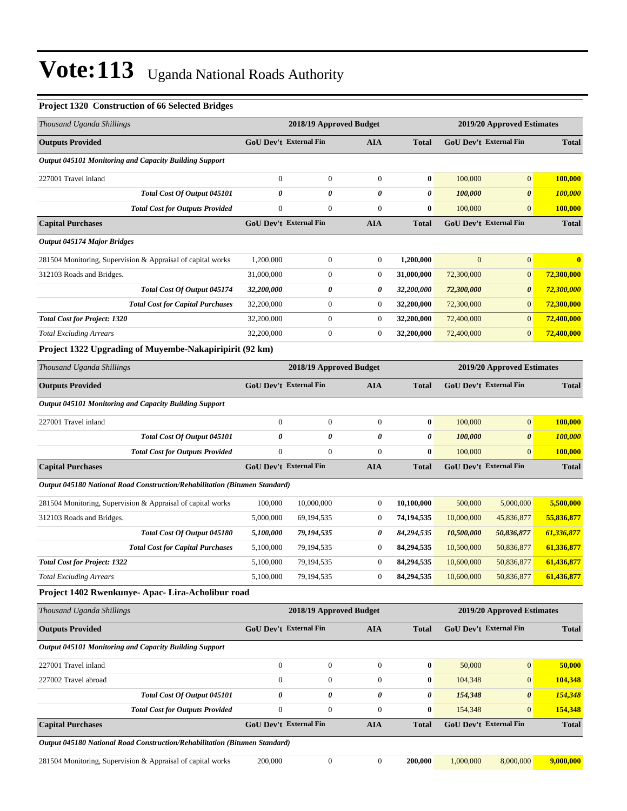#### **Project 1320 Construction of 66 Selected Bridges**

| Thousand Uganda Shillings                                                         |                               | 2018/19 Approved Budget |                  |              | 2019/20 Approved Estimates |                               |                |  |
|-----------------------------------------------------------------------------------|-------------------------------|-------------------------|------------------|--------------|----------------------------|-------------------------------|----------------|--|
| <b>Outputs Provided</b>                                                           | <b>GoU Dev't External Fin</b> |                         | <b>AIA</b>       | Total        |                            | GoU Dev't External Fin        | <b>Total</b>   |  |
| <b>Output 045101 Monitoring and Capacity Building Support</b>                     |                               |                         |                  |              |                            |                               |                |  |
| 227001 Travel inland                                                              | $\boldsymbol{0}$              | $\boldsymbol{0}$        | $\boldsymbol{0}$ | $\bf{0}$     | 100,000                    | $\mathbf{0}$                  | 100,000        |  |
| Total Cost Of Output 045101                                                       | 0                             | 0                       | 0                | 0            | 100,000                    | $\boldsymbol{\theta}$         | 100,000        |  |
| <b>Total Cost for Outputs Provided</b>                                            | $\boldsymbol{0}$              | $\mathbf{0}$            | $\mathbf{0}$     | $\bf{0}$     | 100,000                    | $\mathbf{0}$                  | <b>100,000</b> |  |
| <b>Capital Purchases</b>                                                          | <b>GoU Dev't External Fin</b> |                         | <b>AIA</b>       | <b>Total</b> |                            | GoU Dev't External Fin        | <b>Total</b>   |  |
| <b>Output 045174 Major Bridges</b>                                                |                               |                         |                  |              |                            |                               |                |  |
| 281504 Monitoring, Supervision & Appraisal of capital works                       | 1,200,000                     | $\mathbf{0}$            | $\mathbf{0}$     | 1,200,000    | $\boldsymbol{0}$           | $\boldsymbol{0}$              | $\bf{0}$       |  |
| 312103 Roads and Bridges.                                                         | 31,000,000                    | $\mathbf{0}$            | $\boldsymbol{0}$ | 31,000,000   | 72,300,000                 | $\mathbf{0}$                  | 72,300,000     |  |
| Total Cost Of Output 045174                                                       | 32,200,000                    | 0                       | 0                | 32,200,000   | 72,300,000                 | $\boldsymbol{\theta}$         | 72,300,000     |  |
| <b>Total Cost for Capital Purchases</b>                                           | 32,200,000                    | $\boldsymbol{0}$        | $\mathbf{0}$     | 32,200,000   | 72,300,000                 | $\mathbf{0}$                  | 72,300,000     |  |
| <b>Total Cost for Project: 1320</b>                                               | 32,200,000                    | $\mathbf{0}$            | $\boldsymbol{0}$ | 32,200,000   | 72,400,000                 | $\boldsymbol{0}$              | 72,400,000     |  |
| <b>Total Excluding Arrears</b>                                                    | 32,200,000                    | $\mathbf{0}$            | $\boldsymbol{0}$ | 32,200,000   | 72,400,000                 | $\boldsymbol{0}$              | 72,400,000     |  |
| Project 1322 Upgrading of Muyembe-Nakapiripirit (92 km)                           |                               |                         |                  |              |                            |                               |                |  |
| Thousand Uganda Shillings                                                         |                               | 2018/19 Approved Budget |                  |              |                            | 2019/20 Approved Estimates    |                |  |
| <b>Outputs Provided</b>                                                           | <b>GoU Dev't External Fin</b> |                         | <b>AIA</b>       | Total        |                            | GoU Dev't External Fin        | <b>Total</b>   |  |
| <b>Output 045101 Monitoring and Capacity Building Support</b>                     |                               |                         |                  |              |                            |                               |                |  |
| 227001 Travel inland                                                              | $\boldsymbol{0}$              | $\boldsymbol{0}$        | $\theta$         | $\bf{0}$     | 100,000                    | $\mathbf{0}$                  | 100,000        |  |
| Total Cost Of Output 045101                                                       | 0                             | 0                       | 0                | $\theta$     | 100,000                    | $\boldsymbol{\theta}$         | 100,000        |  |
| <b>Total Cost for Outputs Provided</b>                                            | $\overline{0}$                | $\boldsymbol{0}$        | $\overline{0}$   | $\bf{0}$     | 100,000                    | $\mathbf{0}$                  | 100,000        |  |
| <b>Capital Purchases</b>                                                          | <b>GoU Dev't External Fin</b> |                         | <b>AIA</b>       | Total        |                            | <b>GoU Dev't External Fin</b> | <b>Total</b>   |  |
| <b>Output 045180 National Road Construction/Rehabilitation (Bitumen Standard)</b> |                               |                         |                  |              |                            |                               |                |  |
| 281504 Monitoring, Supervision & Appraisal of capital works                       | 100,000                       | 10,000,000              | $\boldsymbol{0}$ | 10,100,000   | 500,000                    | 5,000,000                     | 5,500,000      |  |
| 312103 Roads and Bridges.                                                         | 5,000,000                     | 69,194,535              | $\boldsymbol{0}$ | 74,194,535   | 10,000,000                 | 45,836,877                    | 55,836,877     |  |
| Total Cost Of Output 045180                                                       | 5,100,000                     | 79,194,535              | 0                | 84,294,535   | 10,500,000                 | 50,836,877                    | 61,336,877     |  |
| <b>Total Cost for Capital Purchases</b>                                           | 5,100,000                     | 79,194,535              | $\boldsymbol{0}$ | 84,294,535   | 10,500,000                 | 50,836,877                    | 61,336,877     |  |
| <b>Total Cost for Project: 1322</b>                                               | 5,100,000                     | 79,194,535              | $\boldsymbol{0}$ | 84,294,535   | 10,600,000                 | 50,836,877                    | 61,436,877     |  |
| <b>Total Excluding Arrears</b>                                                    | 5,100,000                     | 79,194,535              | $\boldsymbol{0}$ | 84,294,535   | 10,600,000                 | 50,836,877                    | 61,436,877     |  |
| Project 1402 Rwenkunye- Apac- Lira-Acholibur road                                 |                               |                         |                  |              |                            |                               |                |  |
| Thousand Uganda Shillings                                                         |                               | 2018/19 Approved Budget |                  |              |                            | 2019/20 Approved Estimates    |                |  |
| <b>Outputs Provided</b>                                                           | GoU Dev't External Fin        |                         | <b>AIA</b>       | <b>Total</b> |                            | <b>GoU Dev't External Fin</b> | <b>Total</b>   |  |
| Output 045101 Monitoring and Capacity Building Support                            |                               |                         |                  |              |                            |                               |                |  |
| 227001 Travel inland                                                              | $\boldsymbol{0}$              | $\mathbf{0}$            | $\mathbf{0}$     | $\bf{0}$     | 50,000                     | $\mathbf{0}$                  | 50,000         |  |
| 227002 Travel abroad                                                              | $\overline{0}$                | $\mathbf{0}$            | $\boldsymbol{0}$ | $\pmb{0}$    | 104,348                    | $\boldsymbol{0}$              | 104,348        |  |
| Total Cost Of Output 045101                                                       | 0                             | 0                       | 0                | 0            | 154,348                    | 0                             | 154,348        |  |
| <b>Total Cost for Outputs Provided</b>                                            | $\boldsymbol{0}$              | $\mathbf{0}$            | $\boldsymbol{0}$ | $\bf{0}$     | 154,348                    | $\mathbf{0}$                  | 154,348        |  |
| <b>Capital Purchases</b>                                                          | GoU Dev't External Fin        |                         | <b>AIA</b>       | Total        |                            | GoU Dev't External Fin        | <b>Total</b>   |  |
| Output 045180 National Road Construction/Rehabilitation (Bitumen Standard)        |                               |                         |                  |              |                            |                               |                |  |
| 281504 Monitoring, Supervision & Appraisal of capital works                       | 200,000                       | $\boldsymbol{0}$        | $\mathbf{0}$     | 200,000      | 1,000,000                  | 8,000,000                     | 9,000,000      |  |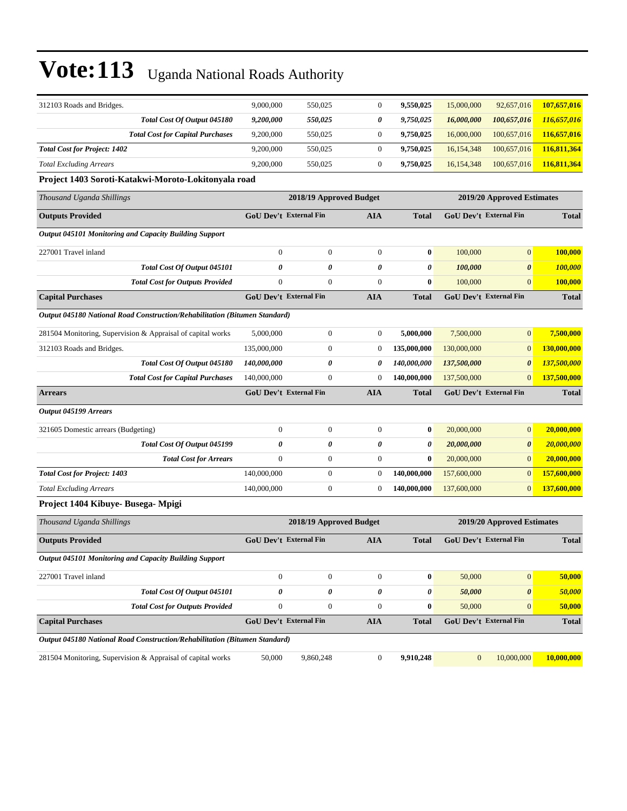| 312103 Roads and Bridges.                                                         | 9,000,000                     | 550,025                 | $\boldsymbol{0}$      | 9,550,025             | 15,000,000                    | 92,657,016                 | 107,657,016  |
|-----------------------------------------------------------------------------------|-------------------------------|-------------------------|-----------------------|-----------------------|-------------------------------|----------------------------|--------------|
| Total Cost Of Output 045180                                                       | 9,200,000                     | 550,025                 | 0                     | 9,750,025             | 16,000,000                    | 100,657,016                | 116,657,016  |
| <b>Total Cost for Capital Purchases</b>                                           | 9,200,000                     | 550,025                 | $\boldsymbol{0}$      | 9,750,025             | 16,000,000                    | 100,657,016                | 116,657,016  |
| <b>Total Cost for Project: 1402</b>                                               | 9,200,000                     | 550,025                 | $\boldsymbol{0}$      | 9,750,025             | 16,154,348                    | 100,657,016                | 116,811,364  |
| <b>Total Excluding Arrears</b>                                                    | 9,200,000                     | 550,025                 | $\boldsymbol{0}$      | 9,750,025             | 16,154,348                    | 100,657,016                | 116,811,364  |
| Project 1403 Soroti-Katakwi-Moroto-Lokitonyala road                               |                               |                         |                       |                       |                               |                            |              |
| Thousand Uganda Shillings                                                         |                               | 2018/19 Approved Budget |                       |                       |                               | 2019/20 Approved Estimates |              |
| <b>Outputs Provided</b>                                                           | GoU Dev't External Fin        |                         | AIA                   | <b>Total</b>          | <b>GoU Dev't External Fin</b> |                            | <b>Total</b> |
| <b>Output 045101 Monitoring and Capacity Building Support</b>                     |                               |                         |                       |                       |                               |                            |              |
| 227001 Travel inland                                                              | $\boldsymbol{0}$              | $\boldsymbol{0}$        | $\boldsymbol{0}$      | $\bf{0}$              | 100,000                       | $\boldsymbol{0}$           | 100,000      |
| Total Cost Of Output 045101                                                       | 0                             | 0                       | 0                     | $\boldsymbol{\theta}$ | 100,000                       | $\boldsymbol{\theta}$      | 100,000      |
| <b>Total Cost for Outputs Provided</b>                                            | $\boldsymbol{0}$              | $\boldsymbol{0}$        | $\boldsymbol{0}$      | $\bf{0}$              | 100,000                       | $\boldsymbol{0}$           | 100,000      |
| <b>Capital Purchases</b>                                                          | <b>GoU Dev't External Fin</b> |                         | <b>AIA</b>            | <b>Total</b>          | <b>GoU Dev't External Fin</b> |                            | <b>Total</b> |
| Output 045180 National Road Construction/Rehabilitation (Bitumen Standard)        |                               |                         |                       |                       |                               |                            |              |
| 281504 Monitoring, Supervision & Appraisal of capital works                       | 5,000,000                     | $\boldsymbol{0}$        | $\boldsymbol{0}$      | 5,000,000             | 7,500,000                     | $\boldsymbol{0}$           | 7,500,000    |
| 312103 Roads and Bridges.                                                         | 135,000,000                   | $\boldsymbol{0}$        | $\mathbf{0}$          | 135,000,000           | 130,000,000                   | $\boldsymbol{0}$           | 130,000,000  |
| Total Cost Of Output 045180                                                       | 140,000,000                   | 0                       | 0                     | 140,000,000           | 137,500,000                   | $\boldsymbol{\theta}$      | 137,500,000  |
| <b>Total Cost for Capital Purchases</b>                                           | 140,000,000                   | $\boldsymbol{0}$        | $\mathbf{0}$          | 140,000,000           | 137,500,000                   | $\mathbf{0}$               | 137,500,000  |
| <b>Arrears</b>                                                                    | GoU Dev't External Fin        |                         | <b>AIA</b>            | <b>Total</b>          | GoU Dev't External Fin        |                            | <b>Total</b> |
| Output 045199 Arrears                                                             |                               |                         |                       |                       |                               |                            |              |
| 321605 Domestic arrears (Budgeting)                                               | $\boldsymbol{0}$              | $\boldsymbol{0}$        | $\boldsymbol{0}$      | $\bf{0}$              | 20,000,000                    | $\mathbf{0}$               | 20,000,000   |
| Total Cost Of Output 045199                                                       | 0                             | 0                       | 0                     | 0                     | 20,000,000                    | $\boldsymbol{\theta}$      | 20,000,000   |
| <b>Total Cost for Arrears</b>                                                     | $\boldsymbol{0}$              | $\boldsymbol{0}$        | $\boldsymbol{0}$      | $\bf{0}$              | 20,000,000                    | $\boldsymbol{0}$           | 20,000,000   |
| <b>Total Cost for Project: 1403</b>                                               | 140,000,000                   | $\boldsymbol{0}$        | $\boldsymbol{0}$      | 140,000,000           | 157,600,000                   | $\mathbf{0}$               | 157,600,000  |
|                                                                                   | 140,000,000                   |                         |                       |                       | 137,600,000                   | $\boldsymbol{0}$           |              |
| <b>Total Excluding Arrears</b>                                                    |                               | $\boldsymbol{0}$        | $\boldsymbol{0}$      | 140,000,000           |                               |                            | 137,600,000  |
| Project 1404 Kibuye- Busega- Mpigi                                                |                               |                         |                       |                       |                               |                            |              |
| Thousand Uganda Shillings                                                         |                               | 2018/19 Approved Budget |                       |                       |                               | 2019/20 Approved Estimates |              |
| <b>Outputs Provided</b>                                                           | GoU Dev't External Fin        |                         | AIA                   | <b>Total</b>          | GoU Dev't External Fin        |                            | <b>Total</b> |
| <b>Output 045101 Monitoring and Capacity Building Support</b>                     |                               |                         |                       |                       |                               |                            |              |
| 227001 Travel inland                                                              | $\boldsymbol{0}$              | $\boldsymbol{0}$        | $\boldsymbol{0}$      | $\bf{0}$              | 50,000                        | $\boldsymbol{0}$           | 50,000       |
| Total Cost Of Output 045101                                                       | 0                             | 0                       | $\boldsymbol{\theta}$ | 0                     | 50,000                        | $\boldsymbol{\theta}$      | 50,000       |
| <b>Total Cost for Outputs Provided</b>                                            | $\boldsymbol{0}$              | $\boldsymbol{0}$        | $\mathbf{0}$          | $\bf{0}$              | 50,000                        | $\mathbf{0}$               | 50,000       |
| <b>Capital Purchases</b>                                                          | GoU Dev't External Fin        |                         | <b>AIA</b>            | <b>Total</b>          | <b>GoU Dev't External Fin</b> |                            | <b>Total</b> |
| <b>Output 045180 National Road Construction/Rehabilitation (Bitumen Standard)</b> |                               |                         |                       |                       |                               |                            |              |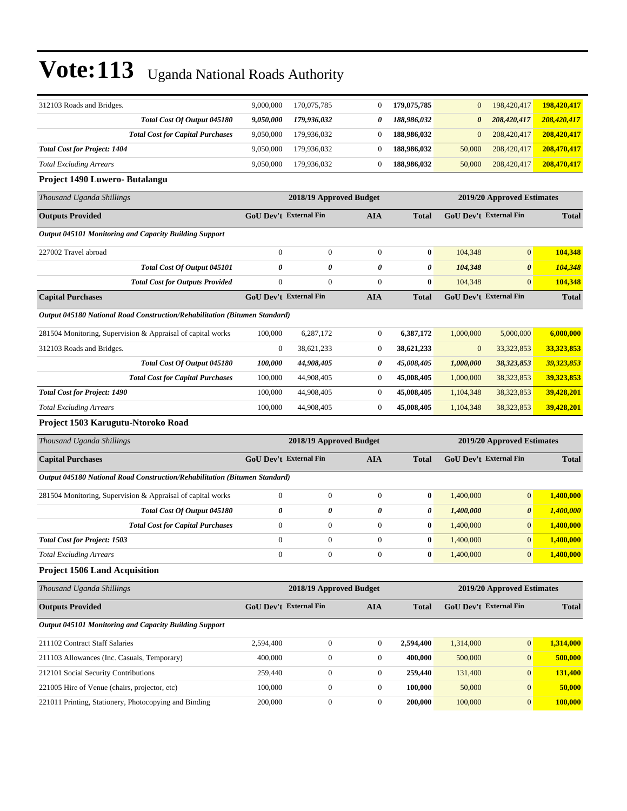| 312103 Roads and Bridges.                                                         | 9,000,000                     | 170,075,785             | $\mathbf{0}$     | 179,075,785      | $\mathbf{0}$     | 198,420,417                   | 198,420,417      |
|-----------------------------------------------------------------------------------|-------------------------------|-------------------------|------------------|------------------|------------------|-------------------------------|------------------|
| Total Cost Of Output 045180                                                       | 9,050,000                     | 179,936,032             | 0                | 188,986,032      | 0                | 208,420,417                   | 208,420,417      |
| <b>Total Cost for Capital Purchases</b>                                           | 9,050,000                     | 179,936,032             | $\mathbf{0}$     | 188,986,032      | $\mathbf{0}$     | 208,420,417                   | 208,420,417      |
| <b>Total Cost for Project: 1404</b>                                               | 9,050,000                     | 179,936,032             | $\boldsymbol{0}$ | 188,986,032      | 50,000           | 208,420,417                   | 208,470,417      |
| <b>Total Excluding Arrears</b>                                                    | 9,050,000                     | 179,936,032             | $\boldsymbol{0}$ | 188,986,032      | 50,000           | 208,420,417                   | 208,470,417      |
| Project 1490 Luwero- Butalangu                                                    |                               |                         |                  |                  |                  |                               |                  |
| Thousand Uganda Shillings                                                         |                               | 2018/19 Approved Budget |                  |                  |                  | 2019/20 Approved Estimates    |                  |
| <b>Outputs Provided</b>                                                           | <b>GoU Dev't External Fin</b> |                         | <b>AIA</b>       | <b>Total</b>     |                  | GoU Dev't External Fin        | <b>Total</b>     |
| <b>Output 045101 Monitoring and Capacity Building Support</b>                     |                               |                         |                  |                  |                  |                               |                  |
| 227002 Travel abroad                                                              | $\boldsymbol{0}$              | $\boldsymbol{0}$        | $\boldsymbol{0}$ | $\bf{0}$         | 104,348          | $\boldsymbol{0}$              | 104,348          |
| Total Cost Of Output 045101                                                       | 0                             | 0                       | 0                | 0                | 104,348          | $\boldsymbol{\theta}$         | 104,348          |
| <b>Total Cost for Outputs Provided</b>                                            | $\boldsymbol{0}$              | $\mathbf{0}$            | $\mathbf{0}$     | $\bf{0}$         | 104,348          | $\mathbf{0}$                  | 104,348          |
| <b>Capital Purchases</b>                                                          | <b>GoU Dev't External Fin</b> |                         | <b>AIA</b>       | <b>Total</b>     |                  | <b>GoU Dev't External Fin</b> | <b>Total</b>     |
| Output 045180 National Road Construction/Rehabilitation (Bitumen Standard)        |                               |                         |                  |                  |                  |                               |                  |
| 281504 Monitoring, Supervision & Appraisal of capital works                       | 100,000                       | 6,287,172               | $\boldsymbol{0}$ | 6,387,172        | 1,000,000        | 5,000,000                     | 6,000,000        |
| 312103 Roads and Bridges.                                                         | $\boldsymbol{0}$              | 38,621,233              | $\boldsymbol{0}$ | 38,621,233       | $\boldsymbol{0}$ | 33, 323, 853                  | 33,323,853       |
| Total Cost Of Output 045180                                                       | 100,000                       | 44,908,405              | 0                | 45,008,405       | 1,000,000        | 38,323,853                    | 39,323,853       |
| <b>Total Cost for Capital Purchases</b>                                           | 100,000                       | 44,908,405              | $\boldsymbol{0}$ | 45,008,405       | 1,000,000        | 38, 323, 853                  | 39,323,853       |
| <b>Total Cost for Project: 1490</b>                                               | 100,000                       | 44,908,405              | $\mathbf{0}$     | 45,008,405       | 1,104,348        | 38, 323, 853                  | 39,428,201       |
|                                                                                   |                               |                         |                  |                  |                  |                               |                  |
| <b>Total Excluding Arrears</b>                                                    | 100,000                       | 44,908,405              | $\boldsymbol{0}$ | 45,008,405       | 1,104,348        | 38, 323, 853                  | 39,428,201       |
| Project 1503 Karugutu-Ntoroko Road                                                |                               |                         |                  |                  |                  |                               |                  |
| Thousand Uganda Shillings                                                         |                               | 2018/19 Approved Budget |                  |                  |                  | 2019/20 Approved Estimates    |                  |
| <b>Capital Purchases</b>                                                          | GoU Dev't External Fin        |                         | AIA              | <b>Total</b>     |                  | GoU Dev't External Fin        | <b>Total</b>     |
| <b>Output 045180 National Road Construction/Rehabilitation (Bitumen Standard)</b> |                               |                         |                  |                  |                  |                               |                  |
| 281504 Monitoring, Supervision & Appraisal of capital works                       | $\boldsymbol{0}$              | $\boldsymbol{0}$        | $\boldsymbol{0}$ | $\boldsymbol{0}$ | 1,400,000        | $\boldsymbol{0}$              | 1,400,000        |
| Total Cost Of Output 045180                                                       | 0                             | 0                       | 0                | 0                | 1,400,000        | $\boldsymbol{\theta}$         | <u>1,400,000</u> |
| <b>Total Cost for Capital Purchases</b>                                           | $\boldsymbol{0}$              | $\mathbf{0}$            | $\boldsymbol{0}$ | $\bf{0}$         | 1,400,000        | $\mathbf{0}$                  | 1,400,000        |
| <b>Total Cost for Project: 1503</b>                                               | $\boldsymbol{0}$              | $\boldsymbol{0}$        | $\mathbf{0}$     | $\bf{0}$         | 1,400,000        | $\mathbf{0}$                  | 1,400,000        |
| Total Excluding Arrears                                                           | $\boldsymbol{0}$              | $\mathbf{0}$            | $\mathbf{0}$     | $\bf{0}$         | 1,400,000        | $\boldsymbol{0}$              | 1,400,000        |
| <b>Project 1506 Land Acquisition</b>                                              |                               |                         |                  |                  |                  |                               |                  |
| Thousand Uganda Shillings                                                         |                               | 2018/19 Approved Budget |                  |                  |                  | 2019/20 Approved Estimates    |                  |
| <b>Outputs Provided</b>                                                           | <b>GoU Dev't External Fin</b> |                         | AIA              | <b>Total</b>     |                  | GoU Dev't External Fin        | <b>Total</b>     |
| Output 045101 Monitoring and Capacity Building Support                            |                               |                         |                  |                  |                  |                               |                  |
| 211102 Contract Staff Salaries                                                    | 2,594,400                     | $\boldsymbol{0}$        | $\boldsymbol{0}$ | 2,594,400        | 1,314,000        | $\boldsymbol{0}$              | 1,314,000        |
| 211103 Allowances (Inc. Casuals, Temporary)                                       | 400,000                       | $\boldsymbol{0}$        | $\boldsymbol{0}$ | 400,000          | 500,000          | $\mathbf{0}$                  | 500,000          |
| 212101 Social Security Contributions                                              | 259,440                       | $\boldsymbol{0}$        | $\boldsymbol{0}$ | 259,440          | 131,400          | $\mathbf{0}$                  | 131,400          |
| 221005 Hire of Venue (chairs, projector, etc)                                     | 100,000                       | $\boldsymbol{0}$        | $\boldsymbol{0}$ | 100,000          | 50,000           | $\mathbf{0}$                  | 50,000           |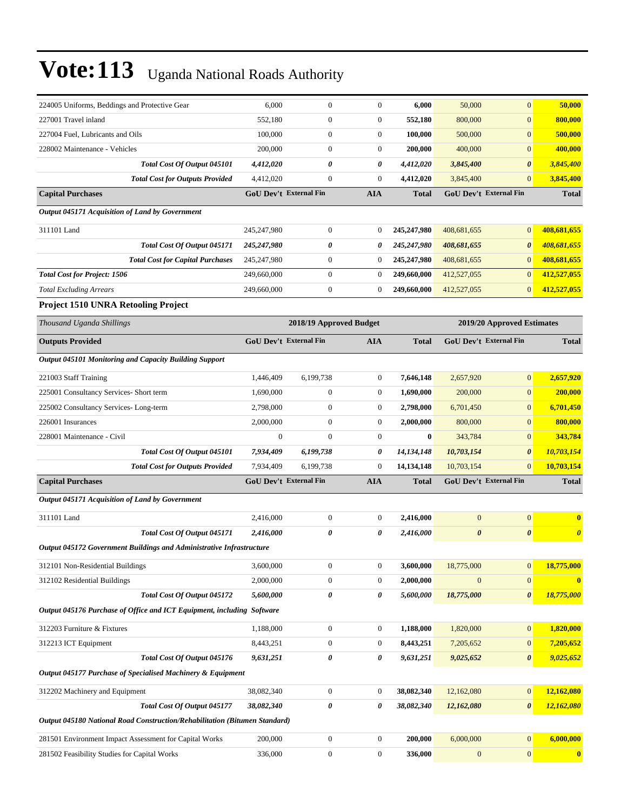| 224005 Uniforms, Beddings and Protective Gear                                                          | 6,000            | $\boldsymbol{0}$              | 0                | 6,000        | 50,000                | $\mathbf{0}$                  | 50,000                |
|--------------------------------------------------------------------------------------------------------|------------------|-------------------------------|------------------|--------------|-----------------------|-------------------------------|-----------------------|
| 227001 Travel inland                                                                                   | 552,180          | $\boldsymbol{0}$              | $\boldsymbol{0}$ | 552,180      | 800,000               | $\mathbf{0}$                  | 800,000               |
| 227004 Fuel, Lubricants and Oils                                                                       | 100,000          | $\boldsymbol{0}$              | $\boldsymbol{0}$ | 100,000      | 500,000               | $\mathbf{0}$                  | 500,000               |
| 228002 Maintenance - Vehicles                                                                          | 200,000          | $\boldsymbol{0}$              | $\boldsymbol{0}$ | 200,000      | 400,000               | $\mathbf{0}$                  | 400,000               |
| Total Cost Of Output 045101                                                                            | 4,412,020        | 0                             | 0                | 4,412,020    | 3,845,400             | $\boldsymbol{\theta}$         | 3,845,400             |
| <b>Total Cost for Outputs Provided</b>                                                                 | 4,412,020        | $\boldsymbol{0}$              | $\overline{0}$   | 4,412,020    | 3,845,400             | $\overline{0}$                | 3,845,400             |
| <b>Capital Purchases</b>                                                                               |                  | <b>GoU Dev't External Fin</b> | AIA              | <b>Total</b> |                       | GoU Dev't External Fin        | Total                 |
| Output 045171 Acquisition of Land by Government                                                        |                  |                               |                  |              |                       |                               |                       |
| 311101 Land                                                                                            | 245,247,980      | $\boldsymbol{0}$              | 0                | 245,247,980  | 408,681,655           | $\mathbf{0}$                  | 408,681,655           |
| Total Cost Of Output 045171                                                                            | 245,247,980      | 0                             | 0                | 245,247,980  | 408,681,655           | $\boldsymbol{\theta}$         | 408,681,655           |
| <b>Total Cost for Capital Purchases</b>                                                                | 245,247,980      | $\boldsymbol{0}$              | 0                | 245,247,980  | 408,681,655           | $\mathbf{0}$                  | 408,681,655           |
| <b>Total Cost for Project: 1506</b>                                                                    | 249,660,000      | $\boldsymbol{0}$              | $\mathbf{0}$     | 249,660,000  | 412,527,055           | $\mathbf{0}$                  | 412,527,055           |
| <b>Total Excluding Arrears</b>                                                                         | 249,660,000      | $\boldsymbol{0}$              | 0                | 249,660,000  | 412,527,055           | $\mathbf{0}$                  | 412,527,055           |
| <b>Project 1510 UNRA Retooling Project</b>                                                             |                  |                               |                  |              |                       |                               |                       |
| Thousand Uganda Shillings                                                                              |                  | 2018/19 Approved Budget       |                  |              |                       | 2019/20 Approved Estimates    |                       |
| <b>Outputs Provided</b>                                                                                |                  | GoU Dev't External Fin        | AIA              | <b>Total</b> |                       | <b>GoU Dev't External Fin</b> | <b>Total</b>          |
|                                                                                                        |                  |                               |                  |              |                       |                               |                       |
| Output 045101 Monitoring and Capacity Building Support                                                 |                  |                               |                  |              |                       |                               |                       |
| 221003 Staff Training                                                                                  | 1,446,409        | 6,199,738                     | 0                | 7,646,148    | 2,657,920             | $\mathbf{0}$                  | 2,657,920             |
| 225001 Consultancy Services- Short term                                                                | 1,690,000        | $\boldsymbol{0}$              | $\boldsymbol{0}$ | 1,690,000    | 200,000               | $\mathbf{0}$                  | 200,000               |
| 225002 Consultancy Services-Long-term                                                                  | 2,798,000        | $\boldsymbol{0}$              | $\boldsymbol{0}$ | 2,798,000    | 6,701,450             | $\mathbf{0}$                  | 6,701,450             |
| 226001 Insurances                                                                                      | 2,000,000        | $\boldsymbol{0}$              | $\boldsymbol{0}$ | 2,000,000    | 800,000               | $\mathbf{0}$                  | 800,000               |
| 228001 Maintenance - Civil                                                                             | $\boldsymbol{0}$ | $\mathbf{0}$                  | $\boldsymbol{0}$ | $\bf{0}$     | 343,784               | $\mathbf{0}$                  | 343,784               |
| Total Cost Of Output 045101                                                                            | 7,934,409        | 6,199,738                     | 0                | 14,134,148   | 10,703,154            | $\boldsymbol{\theta}$         | 10,703,154            |
| <b>Total Cost for Outputs Provided</b>                                                                 | 7,934,409        | 6,199,738                     | $\boldsymbol{0}$ | 14, 134, 148 | 10,703,154            | $\mathbf{0}$                  | 10,703,154            |
| <b>Capital Purchases</b>                                                                               |                  | GoU Dev't External Fin        | AIA              | <b>Total</b> |                       | <b>GoU Dev't External Fin</b> | Total                 |
| Output 045171 Acquisition of Land by Government                                                        |                  |                               |                  |              |                       |                               |                       |
| 311101 Land                                                                                            | 2,416,000        | $\boldsymbol{0}$              | $\boldsymbol{0}$ | 2,416,000    | $\boldsymbol{0}$      | $\boldsymbol{0}$              | $\bf{0}$              |
| Total Cost Of Output 045171                                                                            | 2,416,000        | 0                             | 0                | 2,416,000    | $\boldsymbol{\theta}$ | $\boldsymbol{\theta}$         | $\boldsymbol{\theta}$ |
| <b>Output 045172 Government Buildings and Administrative Infrastructure</b>                            |                  |                               |                  |              |                       |                               |                       |
| 312101 Non-Residential Buildings                                                                       | 3,600,000        | $\boldsymbol{0}$              | $\boldsymbol{0}$ | 3,600,000    | 18,775,000            | $\boldsymbol{0}$              | 18,775,000            |
| 312102 Residential Buildings                                                                           | 2,000,000        | $\boldsymbol{0}$              | 0                | 2,000,000    | $\boldsymbol{0}$      | $\mathbf{0}$                  | $\bf{0}$              |
| Total Cost Of Output 045172                                                                            | 5,600,000        | 0                             | 0                | 5,600,000    | 18,775,000            | $\boldsymbol{\theta}$         | 18,775,000            |
| Output 045176 Purchase of Office and ICT Equipment, including Software                                 |                  |                               |                  |              |                       |                               |                       |
| 312203 Furniture & Fixtures                                                                            | 1,188,000        | $\boldsymbol{0}$              | $\boldsymbol{0}$ | 1,188,000    | 1,820,000             | $\mathbf{0}$                  | 1,820,000             |
| 312213 ICT Equipment                                                                                   | 8,443,251        | $\boldsymbol{0}$              | $\boldsymbol{0}$ | 8,443,251    | 7,205,652             | $\mathbf{0}$                  | 7,205,652             |
| Total Cost Of Output 045176                                                                            | 9,631,251        | 0                             | 0                | 9,631,251    | 9,025,652             | $\boldsymbol{\theta}$         | 9,025,652             |
| Output 045177 Purchase of Specialised Machinery & Equipment                                            |                  |                               |                  |              |                       |                               |                       |
| 312202 Machinery and Equipment                                                                         | 38,082,340       | $\boldsymbol{0}$              | 0                | 38,082,340   | 12,162,080            | $\boldsymbol{0}$              | 12,162,080            |
| Total Cost Of Output 045177                                                                            | 38,082,340       | 0                             | 0                | 38,082,340   | 12,162,080            | $\boldsymbol{\theta}$         | 12,162,080            |
| Output 045180 National Road Construction/Rehabilitation (Bitumen Standard)                             |                  |                               |                  |              |                       |                               |                       |
|                                                                                                        | 200,000          | $\boldsymbol{0}$              | $\boldsymbol{0}$ | 200,000      | 6,000,000             | $\mathbf{0}$                  | 6,000,000             |
| 281501 Environment Impact Assessment for Capital Works<br>281502 Feasibility Studies for Capital Works | 336,000          | $\boldsymbol{0}$              | $\boldsymbol{0}$ | 336,000      | $\boldsymbol{0}$      | $\mathbf{0}$                  |                       |
|                                                                                                        |                  |                               |                  |              |                       |                               | $\bf{0}$              |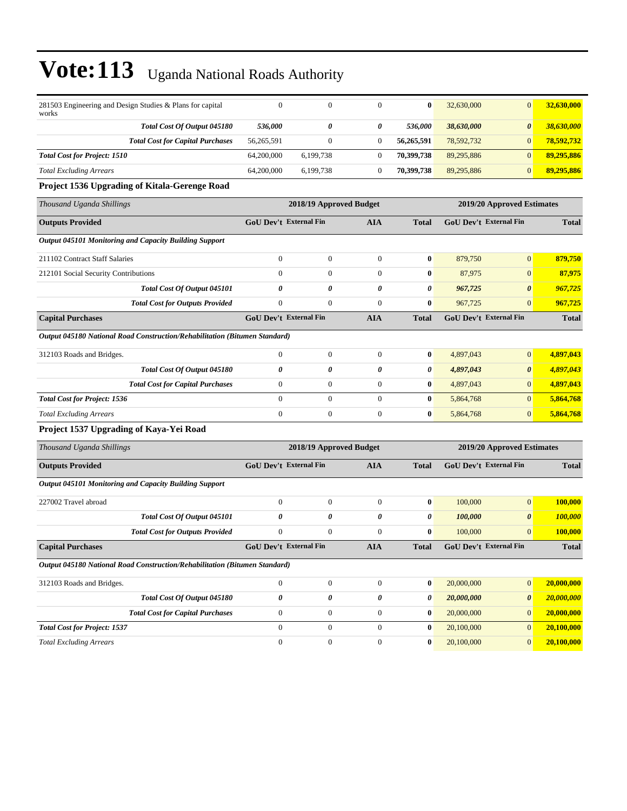| 281503 Engineering and Design Studies & Plans for capital<br>works                | $\boldsymbol{0}$              | $\mathbf{0}$            | $\mathbf{0}$          | 0                | 32,630,000                 | $\mathbf{0}$                  | 32,630,000     |
|-----------------------------------------------------------------------------------|-------------------------------|-------------------------|-----------------------|------------------|----------------------------|-------------------------------|----------------|
| Total Cost Of Output 045180                                                       | 536,000                       | 0                       | 0                     | 536,000          | 38,630,000                 | 0                             | 38,630,000     |
| <b>Total Cost for Capital Purchases</b>                                           | 56,265,591                    | $\mathbf{0}$            | $\mathbf{0}$          | 56,265,591       | 78,592,732                 | $\boldsymbol{0}$              | 78,592,732     |
| <b>Total Cost for Project: 1510</b>                                               | 64,200,000                    | 6,199,738               | $\mathbf{0}$          | 70,399,738       | 89,295,886                 | $\boldsymbol{0}$              | 89,295,886     |
| <b>Total Excluding Arrears</b>                                                    | 64,200,000                    | 6,199,738               | $\boldsymbol{0}$      | 70,399,738       | 89,295,886                 | $\mathbf{0}$                  | 89,295,886     |
| Project 1536 Upgrading of Kitala-Gerenge Road                                     |                               |                         |                       |                  |                            |                               |                |
| Thousand Uganda Shillings                                                         |                               | 2018/19 Approved Budget |                       |                  |                            | 2019/20 Approved Estimates    |                |
| <b>Outputs Provided</b>                                                           | <b>GoU Dev't External Fin</b> |                         | <b>AIA</b>            | <b>Total</b>     |                            | <b>GoU Dev't External Fin</b> | <b>Total</b>   |
| <b>Output 045101 Monitoring and Capacity Building Support</b>                     |                               |                         |                       |                  |                            |                               |                |
| 211102 Contract Staff Salaries                                                    | $\boldsymbol{0}$              | $\mathbf{0}$            | $\boldsymbol{0}$      | 0                | 879,750                    | $\boldsymbol{0}$              | 879,750        |
| 212101 Social Security Contributions                                              | $\overline{0}$                | $\mathbf{0}$            | $\mathbf{0}$          | $\bf{0}$         | 87,975                     | $\mathbf{0}$                  | 87,975         |
| Total Cost Of Output 045101                                                       | 0                             | 0                       | 0                     | 0                | 967,725                    | $\boldsymbol{\theta}$         | 967,725        |
| <b>Total Cost for Outputs Provided</b>                                            | $\overline{0}$                | $\boldsymbol{0}$        | $\boldsymbol{0}$      | $\bf{0}$         | 967,725                    | $\boldsymbol{0}$              | 967,725        |
| <b>Capital Purchases</b>                                                          | <b>GoU Dev't External Fin</b> |                         | <b>AIA</b>            | <b>Total</b>     |                            | <b>GoU Dev't External Fin</b> | <b>Total</b>   |
| <b>Output 045180 National Road Construction/Rehabilitation (Bitumen Standard)</b> |                               |                         |                       |                  |                            |                               |                |
| 312103 Roads and Bridges.                                                         | $\boldsymbol{0}$              | $\mathbf{0}$            | $\mathbf{0}$          | $\boldsymbol{0}$ | 4,897,043                  | $\boldsymbol{0}$              | 4,897,043      |
| Total Cost Of Output 045180                                                       | 0                             | 0                       | 0                     | 0                | 4,897,043                  | $\boldsymbol{\theta}$         | 4,897,043      |
| <b>Total Cost for Capital Purchases</b>                                           | $\boldsymbol{0}$              | $\overline{0}$          | $\boldsymbol{0}$      | $\bf{0}$         | 4,897,043                  | $\boldsymbol{0}$              | 4,897,043      |
| <b>Total Cost for Project: 1536</b>                                               | $\overline{0}$                | $\mathbf{0}$            | $\overline{0}$        | 0                | 5,864,768                  | $\boldsymbol{0}$              | 5,864,768      |
| <b>Total Excluding Arrears</b>                                                    | $\overline{0}$                | $\boldsymbol{0}$        | $\boldsymbol{0}$      | $\bf{0}$         | 5,864,768                  | $\boldsymbol{0}$              | 5,864,768      |
| Project 1537 Upgrading of Kaya-Yei Road                                           |                               |                         |                       |                  |                            |                               |                |
| Thousand Uganda Shillings                                                         |                               | 2018/19 Approved Budget |                       |                  | 2019/20 Approved Estimates |                               |                |
| <b>Outputs Provided</b>                                                           | <b>GoU Dev't External Fin</b> |                         | <b>AIA</b>            | <b>Total</b>     |                            | <b>GoU Dev't External Fin</b> | <b>Total</b>   |
| Output 045101 Monitoring and Capacity Building Support                            |                               |                         |                       |                  |                            |                               |                |
| 227002 Travel abroad                                                              | $\boldsymbol{0}$              | $\mathbf{0}$            | $\mathbf{0}$          | $\bf{0}$         | 100,000                    | $\boldsymbol{0}$              | 100,000        |
| Total Cost Of Output 045101                                                       | 0                             | 0                       | 0                     | 0                | 100,000                    | $\boldsymbol{\theta}$         | 100,000        |
| <b>Total Cost for Outputs Provided</b>                                            | $\mathbf{0}$                  | $\overline{0}$          | $\mathbf{0}$          | $\bf{0}$         | 100,000                    | $\overline{0}$                | <b>100,000</b> |
| <b>Capital Purchases</b>                                                          | <b>GoU Dev't External Fin</b> |                         | <b>AIA</b>            | Total            |                            | <b>GoU Dev't External Fin</b> | <b>Total</b>   |
| Output 045180 National Road Construction/Rehabilitation (Bitumen Standard)        |                               |                         |                       |                  |                            |                               |                |
| 312103 Roads and Bridges.                                                         | $\boldsymbol{0}$              | $\boldsymbol{0}$        | $\boldsymbol{0}$      | $\bf{0}$         | 20,000,000                 | $\boldsymbol{0}$              | 20,000,000     |
| Total Cost Of Output 045180                                                       | $\pmb{\theta}$                | $\pmb{\theta}$          | $\boldsymbol{\theta}$ | 0                | 20,000,000                 | 0                             | 20,000,000     |
| <b>Total Cost for Capital Purchases</b>                                           | $\boldsymbol{0}$              | $\boldsymbol{0}$        | $\boldsymbol{0}$      | $\bf{0}$         | 20,000,000                 | $\boldsymbol{0}$              | 20,000,000     |
| <b>Total Cost for Project: 1537</b>                                               | $\boldsymbol{0}$              | $\boldsymbol{0}$        | $\mathbf{0}$          | $\bf{0}$         | 20,100,000                 | $\boldsymbol{0}$              | 20,100,000     |
| <b>Total Excluding Arrears</b>                                                    | $\boldsymbol{0}$              | $\boldsymbol{0}$        | $\boldsymbol{0}$      | $\bf{0}$         | 20,100,000                 | $\boldsymbol{0}$              | 20,100,000     |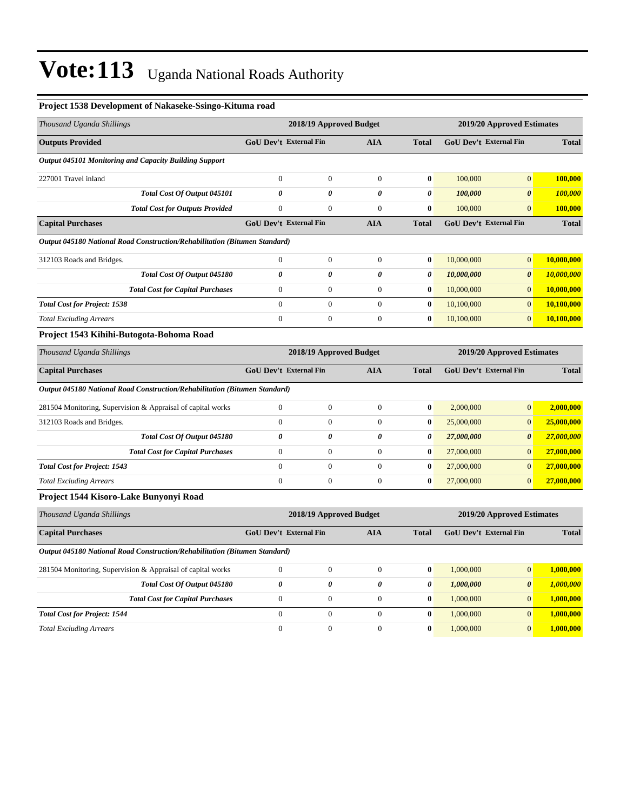| Project 1538 Development of Nakaseke-Ssingo-Kituma road                           |                                                                                              |                         |                  |                       |                               |                            |              |
|-----------------------------------------------------------------------------------|----------------------------------------------------------------------------------------------|-------------------------|------------------|-----------------------|-------------------------------|----------------------------|--------------|
| Thousand Uganda Shillings                                                         |                                                                                              | 2018/19 Approved Budget |                  |                       |                               | 2019/20 Approved Estimates |              |
| <b>Outputs Provided</b>                                                           | <b>GoU Dev't External Fin</b>                                                                |                         | AIA              | <b>Total</b>          | GoU Dev't External Fin        |                            | <b>Total</b> |
| Output 045101 Monitoring and Capacity Building Support                            |                                                                                              |                         |                  |                       |                               |                            |              |
| 227001 Travel inland                                                              | $\boldsymbol{0}$                                                                             | $\boldsymbol{0}$        | $\theta$         | $\bf{0}$              | 100,000                       | $\overline{0}$             | 100,000      |
| Total Cost Of Output 045101                                                       | 0                                                                                            | 0                       | $\theta$         | 0                     | 100,000                       | $\boldsymbol{\theta}$      | 100,000      |
| <b>Total Cost for Outputs Provided</b>                                            | $\boldsymbol{0}$                                                                             | $\mathbf{0}$            | $\mathbf{0}$     | $\bf{0}$              | 100,000                       | $\mathbf{0}$               | 100,000      |
| <b>Capital Purchases</b>                                                          | GoU Dev't External Fin                                                                       |                         | <b>AIA</b>       | <b>Total</b>          | <b>GoU Dev't External Fin</b> |                            | <b>Total</b> |
| Output 045180 National Road Construction/Rehabilitation (Bitumen Standard)        |                                                                                              |                         |                  |                       |                               |                            |              |
| 312103 Roads and Bridges.                                                         | $\boldsymbol{0}$                                                                             | $\mathbf{0}$            | $\mathbf{0}$     | $\bf{0}$              | 10,000,000                    | $\boldsymbol{0}$           | 10,000,000   |
| Total Cost Of Output 045180                                                       | 0                                                                                            | 0                       | $\theta$         | $\boldsymbol{\theta}$ | 10,000,000                    | $\boldsymbol{\theta}$      | 10,000,000   |
| <b>Total Cost for Capital Purchases</b>                                           | $\boldsymbol{0}$                                                                             | $\boldsymbol{0}$        | $\boldsymbol{0}$ | $\bf{0}$              | 10,000,000                    | $\mathbf{0}$               | 10,000,000   |
| <b>Total Cost for Project: 1538</b>                                               | $\overline{0}$                                                                               | $\overline{0}$          | $\mathbf{0}$     | $\bf{0}$              | 10,100,000                    | $\mathbf{0}$               | 10,100,000   |
| <b>Total Excluding Arrears</b>                                                    | $\boldsymbol{0}$                                                                             | $\mathbf{0}$            | $\boldsymbol{0}$ | $\bf{0}$              | 10,100,000                    | $\mathbf{0}$               | 10,100,000   |
| Project 1543 Kihihi-Butogota-Bohoma Road                                          |                                                                                              |                         |                  |                       |                               |                            |              |
| Thousand Uganda Shillings                                                         | 2018/19 Approved Budget<br>2019/20 Approved Estimates                                        |                         |                  |                       |                               |                            |              |
| <b>Capital Purchases</b>                                                          | <b>GoU Dev't External Fin</b><br><b>GoU Dev't External Fin</b><br><b>AIA</b><br><b>Total</b> |                         |                  |                       | <b>Total</b>                  |                            |              |
| <b>Output 045180 National Road Construction/Rehabilitation (Bitumen Standard)</b> |                                                                                              |                         |                  |                       |                               |                            |              |
| 281504 Monitoring, Supervision & Appraisal of capital works                       | $\boldsymbol{0}$                                                                             | $\mathbf{0}$            | $\boldsymbol{0}$ | $\bf{0}$              | 2,000,000                     | $\overline{0}$             | 2,000,000    |
| 312103 Roads and Bridges.                                                         | $\overline{0}$                                                                               | $\mathbf{0}$            | $\overline{0}$   | $\bf{0}$              | 25,000,000                    | $\boldsymbol{0}$           | 25,000,000   |
| Total Cost Of Output 045180                                                       | 0                                                                                            | 0                       | $\theta$         | 0                     | 27,000,000                    | $\boldsymbol{\theta}$      | 27,000,000   |
| <b>Total Cost for Capital Purchases</b>                                           | $\boldsymbol{0}$                                                                             | $\boldsymbol{0}$        | $\boldsymbol{0}$ | $\bf{0}$              | 27,000,000                    | $\mathbf{0}$               | 27,000,000   |
| <b>Total Cost for Project: 1543</b>                                               | $\boldsymbol{0}$                                                                             | $\boldsymbol{0}$        | $\boldsymbol{0}$ | $\bf{0}$              | 27,000,000                    | $\mathbf{0}$               | 27,000,000   |
| <b>Total Excluding Arrears</b>                                                    | $\boldsymbol{0}$                                                                             | $\boldsymbol{0}$        | $\mathbf{0}$     | $\bf{0}$              | 27,000,000                    | $\overline{0}$             | 27,000,000   |
| Project 1544 Kisoro-Lake Bunyonyi Road                                            |                                                                                              |                         |                  |                       |                               |                            |              |
| Thousand Uganda Shillings                                                         |                                                                                              | 2018/19 Approved Budget |                  |                       |                               | 2019/20 Approved Estimates |              |
| <b>Capital Purchases</b>                                                          | <b>GoU Dev't External Fin</b>                                                                |                         | AIA              | <b>Total</b>          | <b>GoU Dev't External Fin</b> |                            | <b>Total</b> |
| Output 045180 National Road Construction/Rehabilitation (Bitumen Standard)        |                                                                                              |                         |                  |                       |                               |                            |              |
| 281504 Monitoring, Supervision & Appraisal of capital works                       | $\boldsymbol{0}$                                                                             | $\boldsymbol{0}$        | $\boldsymbol{0}$ | $\bf{0}$              | 1,000,000                     | $\mathbf{0}$               | 1,000,000    |
| Total Cost Of Output 045180                                                       | 0                                                                                            | $\pmb{\theta}$          | $\pmb{\theta}$   | 0                     | 1,000,000                     | $\boldsymbol{\theta}$      | 1,000,000    |
| <b>Total Cost for Capital Purchases</b>                                           | $\boldsymbol{0}$                                                                             | $\boldsymbol{0}$        | $\boldsymbol{0}$ | $\bf{0}$              | 1,000,000                     | $\mathbf{0}$               | 1,000,000    |
| <b>Total Cost for Project: 1544</b>                                               | $\boldsymbol{0}$                                                                             | $\boldsymbol{0}$        | $\boldsymbol{0}$ | $\bf{0}$              | 1,000,000                     | $\boldsymbol{0}$           | 1,000,000    |
| <b>Total Excluding Arrears</b>                                                    | $\boldsymbol{0}$                                                                             | $\boldsymbol{0}$        | $\boldsymbol{0}$ | $\bf{0}$              | 1,000,000                     | $\mathbf{0}$               | 1,000,000    |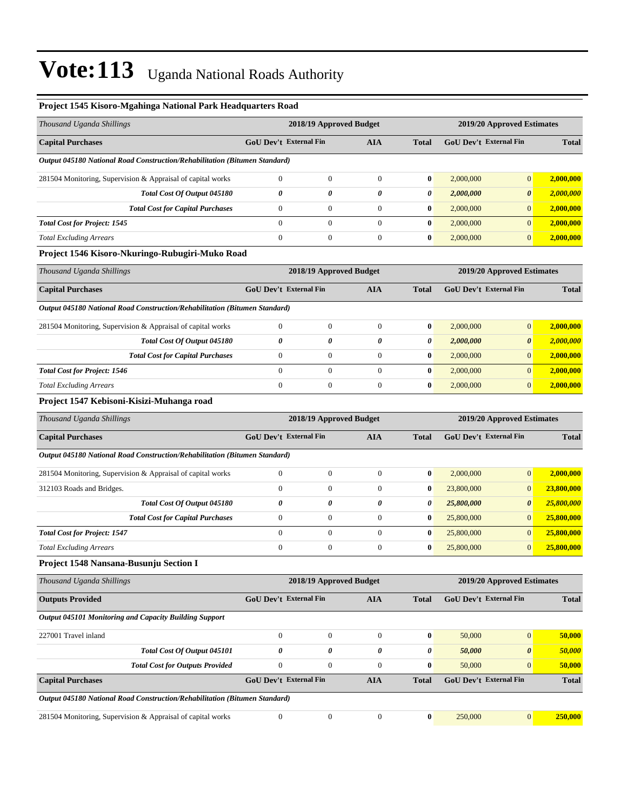| Project 1545 Kisoro-Mgahinga National Park Headquarters Road               |                                                      |                         |                         |                        |                               |                            |              |  |
|----------------------------------------------------------------------------|------------------------------------------------------|-------------------------|-------------------------|------------------------|-------------------------------|----------------------------|--------------|--|
| Thousand Uganda Shillings                                                  |                                                      |                         | 2018/19 Approved Budget |                        | 2019/20 Approved Estimates    |                            |              |  |
| <b>Capital Purchases</b>                                                   | <b>GoU Dev't External Fin</b>                        |                         | AIA                     | <b>Total</b>           | <b>GoU Dev't External Fin</b> |                            | <b>Total</b> |  |
| Output 045180 National Road Construction/Rehabilitation (Bitumen Standard) |                                                      |                         |                         |                        |                               |                            |              |  |
| 281504 Monitoring, Supervision & Appraisal of capital works                | $\boldsymbol{0}$                                     | $\boldsymbol{0}$        | $\boldsymbol{0}$        | $\boldsymbol{0}$       | 2,000,000                     | $\boldsymbol{0}$           | 2,000,000    |  |
| Total Cost Of Output 045180                                                | 0                                                    | 0                       | 0                       | 0                      | 2,000,000                     | $\pmb{\theta}$             | 2,000,000    |  |
| <b>Total Cost for Capital Purchases</b>                                    | $\boldsymbol{0}$                                     | $\boldsymbol{0}$        | $\boldsymbol{0}$        | $\bf{0}$               | 2,000,000                     | $\mathbf{0}$               | 2,000,000    |  |
| <b>Total Cost for Project: 1545</b>                                        | $\boldsymbol{0}$                                     | $\boldsymbol{0}$        | $\boldsymbol{0}$        | $\bf{0}$               | 2,000,000                     | $\mathbf{0}$               | 2,000,000    |  |
| <b>Total Excluding Arrears</b>                                             | $\boldsymbol{0}$                                     | $\boldsymbol{0}$        | $\boldsymbol{0}$        | $\bf{0}$               | 2,000,000                     | $\mathbf{0}$               | 2,000,000    |  |
| Project 1546 Kisoro-Nkuringo-Rubugiri-Muko Road                            |                                                      |                         |                         |                        |                               |                            |              |  |
| Thousand Uganda Shillings                                                  | 2018/19 Approved Budget                              |                         |                         |                        | 2019/20 Approved Estimates    |                            |              |  |
| <b>Capital Purchases</b>                                                   | GoU Dev't External Fin<br><b>AIA</b><br><b>Total</b> |                         |                         | GoU Dev't External Fin |                               | <b>Total</b>               |              |  |
| Output 045180 National Road Construction/Rehabilitation (Bitumen Standard) |                                                      |                         |                         |                        |                               |                            |              |  |
| 281504 Monitoring, Supervision & Appraisal of capital works                | $\boldsymbol{0}$                                     | $\boldsymbol{0}$        | $\boldsymbol{0}$        | $\boldsymbol{0}$       | 2,000,000                     | $\boldsymbol{0}$           | 2,000,000    |  |
| Total Cost Of Output 045180                                                | 0                                                    | 0                       | 0                       | 0                      | 2,000,000                     | $\pmb{\theta}$             | 2,000,000    |  |
| <b>Total Cost for Capital Purchases</b>                                    | $\boldsymbol{0}$                                     | $\boldsymbol{0}$        | $\boldsymbol{0}$        | $\bf{0}$               | 2,000,000                     | $\mathbf{0}$               | 2,000,000    |  |
| <b>Total Cost for Project: 1546</b>                                        | $\boldsymbol{0}$                                     | $\boldsymbol{0}$        | $\boldsymbol{0}$        | $\bf{0}$               | 2,000,000                     | $\mathbf{0}$               | 2,000,000    |  |
| <b>Total Excluding Arrears</b>                                             | $\boldsymbol{0}$                                     | $\boldsymbol{0}$        | $\boldsymbol{0}$        | $\bf{0}$               | 2,000,000                     | $\mathbf{0}$               | 2,000,000    |  |
| Project 1547 Kebisoni-Kisizi-Muhanga road                                  |                                                      |                         |                         |                        |                               |                            |              |  |
| Thousand Uganda Shillings                                                  |                                                      | 2018/19 Approved Budget |                         |                        |                               | 2019/20 Approved Estimates |              |  |
| <b>Capital Purchases</b>                                                   | GoU Dev't External Fin                               |                         | AIA                     | <b>Total</b>           | GoU Dev't External Fin        |                            | <b>Total</b> |  |
| Output 045180 National Road Construction/Rehabilitation (Bitumen Standard) |                                                      |                         |                         |                        |                               |                            |              |  |
| 281504 Monitoring, Supervision & Appraisal of capital works                | $\boldsymbol{0}$                                     | $\boldsymbol{0}$        | $\boldsymbol{0}$        | $\bf{0}$               | 2,000,000                     | $\boldsymbol{0}$           | 2,000,000    |  |
| 312103 Roads and Bridges.                                                  | $\overline{0}$                                       | $\boldsymbol{0}$        | $\boldsymbol{0}$        | $\bf{0}$               | 23,800,000                    | $\mathbf{0}$               | 23,800,000   |  |
| Total Cost Of Output 045180                                                | 0                                                    | 0                       | 0                       | 0                      | 25,800,000                    | $\boldsymbol{\theta}$      | 25,800,000   |  |
| <b>Total Cost for Capital Purchases</b>                                    | $\boldsymbol{0}$                                     | $\boldsymbol{0}$        | $\boldsymbol{0}$        | $\bf{0}$               | 25,800,000                    | $\mathbf{0}$               | 25,800,000   |  |
| <b>Total Cost for Project: 1547</b>                                        | $\boldsymbol{0}$                                     | $\boldsymbol{0}$        | $\overline{0}$          | $\bf{0}$               | 25,800,000                    | $\boldsymbol{0}$           | 25,800,000   |  |
| <b>Total Excluding Arrears</b>                                             | $\boldsymbol{0}$                                     | $\boldsymbol{0}$        | $\boldsymbol{0}$        | $\bf{0}$               | 25,800,000                    | $\boldsymbol{0}$           | 25,800,000   |  |
| Project 1548 Nansana-Busunju Section I                                     |                                                      |                         |                         |                        |                               |                            |              |  |
| Thousand Uganda Shillings                                                  |                                                      | 2018/19 Approved Budget |                         |                        |                               | 2019/20 Approved Estimates |              |  |
| <b>Outputs Provided</b>                                                    | GoU Dev't External Fin                               |                         | <b>AIA</b>              | <b>Total</b>           | GoU Dev't External Fin        |                            | <b>Total</b> |  |
| <b>Output 045101 Monitoring and Capacity Building Support</b>              |                                                      |                         |                         |                        |                               |                            |              |  |
| 227001 Travel inland                                                       | $\boldsymbol{0}$                                     | $\boldsymbol{0}$        | $\overline{0}$          | $\boldsymbol{0}$       | 50,000                        | $\boldsymbol{0}$           | 50,000       |  |
| Total Cost Of Output 045101                                                | $\boldsymbol{\theta}$                                | 0                       | 0                       | 0                      | 50,000                        | $\boldsymbol{\theta}$      | 50,000       |  |
| <b>Total Cost for Outputs Provided</b>                                     | $\boldsymbol{0}$                                     | $\boldsymbol{0}$        | $\overline{0}$          | $\bf{0}$               | 50,000                        | $\mathbf{0}$               | 50,000       |  |
| <b>Capital Purchases</b>                                                   | GoU Dev't External Fin                               |                         | <b>AIA</b>              | <b>Total</b>           | GoU Dev't External Fin        |                            | <b>Total</b> |  |
| Output 045180 National Road Construction/Rehabilitation (Bitumen Standard) |                                                      |                         |                         |                        |                               |                            |              |  |
| 281504 Monitoring, Supervision & Appraisal of capital works                | $\overline{0}$                                       | $\boldsymbol{0}$        | $\mathbf{0}$            | $\bf{0}$               | 250,000                       | $\mathbf{0}$               | 250,000      |  |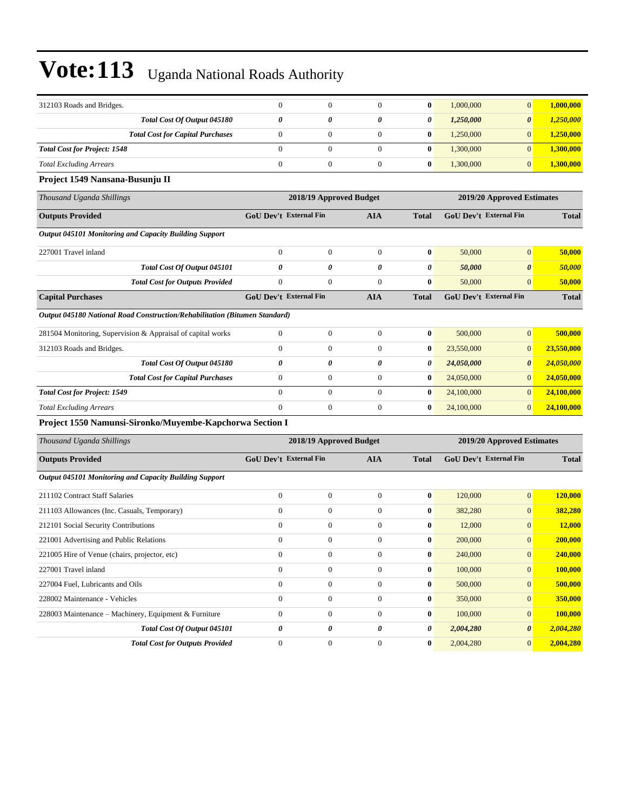| 312103 Roads and Bridges.                                                         | $\mathbf{0}$           | $\boldsymbol{0}$        | $\overline{0}$        | $\bf{0}$         | 1,000,000                     | $\boldsymbol{0}$      | 1,000,000     |
|-----------------------------------------------------------------------------------|------------------------|-------------------------|-----------------------|------------------|-------------------------------|-----------------------|---------------|
| Total Cost Of Output 045180                                                       | $\boldsymbol{\theta}$  | 0                       | 0                     | 0                | 1,250,000                     | $\boldsymbol{\theta}$ | 1,250,000     |
| <b>Total Cost for Capital Purchases</b>                                           | $\mathbf{0}$           | $\boldsymbol{0}$        | $\boldsymbol{0}$      | $\bf{0}$         | 1,250,000                     | $\overline{0}$        | 1,250,000     |
| <b>Total Cost for Project: 1548</b>                                               | $\mathbf{0}$           | $\mathbf{0}$            | $\overline{0}$        | $\bf{0}$         | 1,300,000                     | $\overline{0}$        | 1,300,000     |
| <b>Total Excluding Arrears</b>                                                    | $\mathbf{0}$           | $\mathbf{0}$            | $\mathbf{0}$          | $\bf{0}$         | 1,300,000                     | $\mathbf{0}$          | 1,300,000     |
| Project 1549 Nansana-Busunju II                                                   |                        |                         |                       |                  |                               |                       |               |
| Thousand Uganda Shillings                                                         |                        | 2018/19 Approved Budget |                       |                  | 2019/20 Approved Estimates    |                       |               |
| <b>Outputs Provided</b>                                                           | GoU Dev't External Fin |                         | <b>AIA</b>            | <b>Total</b>     | <b>GoU Dev't External Fin</b> |                       | <b>Total</b>  |
| <b>Output 045101 Monitoring and Capacity Building Support</b>                     |                        |                         |                       |                  |                               |                       |               |
| 227001 Travel inland                                                              | $\mathbf{0}$           | $\boldsymbol{0}$        | $\boldsymbol{0}$      | $\bf{0}$         | 50,000                        | $\boldsymbol{0}$      | 50,000        |
| Total Cost Of Output 045101                                                       | $\boldsymbol{\theta}$  | 0                       | $\boldsymbol{\theta}$ | 0                | 50,000                        | $\boldsymbol{\theta}$ | 50,000        |
| <b>Total Cost for Outputs Provided</b>                                            | $\mathbf{0}$           | $\mathbf{0}$            | $\boldsymbol{0}$      | $\bf{0}$         | 50,000                        | $\overline{0}$        | 50,000        |
| <b>Capital Purchases</b>                                                          | GoU Dev't External Fin |                         | <b>AIA</b>            | <b>Total</b>     | <b>GoU Dev't External Fin</b> |                       | <b>Total</b>  |
| <b>Output 045180 National Road Construction/Rehabilitation (Bitumen Standard)</b> |                        |                         |                       |                  |                               |                       |               |
| 281504 Monitoring, Supervision & Appraisal of capital works                       | $\boldsymbol{0}$       | $\boldsymbol{0}$        | $\overline{0}$        | $\bf{0}$         | 500,000                       | $\overline{0}$        | 500,000       |
| 312103 Roads and Bridges.                                                         | $\mathbf{0}$           | $\boldsymbol{0}$        | $\overline{0}$        | $\bf{0}$         | 23,550,000                    | $\overline{0}$        | 23,550,000    |
| Total Cost Of Output 045180                                                       | 0                      | 0                       | 0                     | 0                | 24,050,000                    | 0                     | 24,050,000    |
| <b>Total Cost for Capital Purchases</b>                                           | $\boldsymbol{0}$       | $\boldsymbol{0}$        | $\mathbf{0}$          | $\bf{0}$         | 24,050,000                    | $\mathbf{0}$          | 24,050,000    |
| <b>Total Cost for Project: 1549</b>                                               | $\boldsymbol{0}$       | $\boldsymbol{0}$        | $\boldsymbol{0}$      | $\bf{0}$         | 24,100,000                    | $\overline{0}$        | 24,100,000    |
| <b>Total Excluding Arrears</b>                                                    | $\mathbf{0}$           | $\boldsymbol{0}$        | $\overline{0}$        | $\bf{0}$         | 24,100,000                    | $\overline{0}$        | 24,100,000    |
| Project 1550 Namunsi-Sironko/Muyembe-Kapchorwa Section I                          |                        |                         |                       |                  |                               |                       |               |
| Thousand Uganda Shillings                                                         |                        | 2018/19 Approved Budget |                       |                  | 2019/20 Approved Estimates    |                       |               |
| <b>Outputs Provided</b>                                                           | GoU Dev't External Fin |                         | <b>AIA</b>            | <b>Total</b>     | <b>GoU Dev't External Fin</b> |                       | <b>Total</b>  |
| <b>Output 045101 Monitoring and Capacity Building Support</b>                     |                        |                         |                       |                  |                               |                       |               |
| 211102 Contract Staff Salaries                                                    | $\mathbf{0}$           | $\mathbf{0}$            | $\boldsymbol{0}$      | $\bf{0}$         | 120,000                       | $\overline{0}$        | 120,000       |
| 211103 Allowances (Inc. Casuals, Temporary)                                       | $\boldsymbol{0}$       | $\boldsymbol{0}$        | $\mathbf{0}$          | $\bf{0}$         | 382,280                       | $\overline{0}$        | 382,280       |
| 212101 Social Security Contributions                                              | $\boldsymbol{0}$       | $\boldsymbol{0}$        | $\mathbf{0}$          | $\bf{0}$         | 12,000                        | $\mathbf{0}$          | <b>12,000</b> |
| 221001 Advertising and Public Relations                                           | $\mathbf{0}$           | $\mathbf{0}$            | 0                     | $\bf{0}$         | 200,000                       | $\mathbf{0}$          | 200,000       |
| 221005 Hire of Venue (chairs, projector, etc)                                     | $\boldsymbol{0}$       | $\boldsymbol{0}$        | $\boldsymbol{0}$      | $\pmb{0}$        | 240,000                       | $\boldsymbol{0}$      | 240,000       |
| 227001 Travel inland                                                              | $\boldsymbol{0}$       | $\boldsymbol{0}$        | $\boldsymbol{0}$      | $\bf{0}$         | 100,000                       | $\mathbf{0}$          | 100,000       |
| 227004 Fuel, Lubricants and Oils                                                  | $\boldsymbol{0}$       | $\boldsymbol{0}$        | $\mathbf{0}$          | $\boldsymbol{0}$ | 500,000                       | $\mathbf{0}$          | 500,000       |
| 228002 Maintenance - Vehicles                                                     | $\boldsymbol{0}$       | $\boldsymbol{0}$        | $\boldsymbol{0}$      | $\boldsymbol{0}$ | 350,000                       | $\boldsymbol{0}$      | 350,000       |
| 228003 Maintenance – Machinery, Equipment & Furniture                             | $\boldsymbol{0}$       | $\boldsymbol{0}$        | $\mathbf{0}$          | $\bf{0}$         | 100,000                       | $\mathbf{0}$          | 100,000       |
| Total Cost Of Output 045101                                                       | $\pmb{\theta}$         | 0                       | 0                     | 0                | 2,004,280                     | $\boldsymbol{\theta}$ | 2,004,280     |
| <b>Total Cost for Outputs Provided</b>                                            | $\boldsymbol{0}$       | $\boldsymbol{0}$        | $\boldsymbol{0}$      | $\bf{0}$         | 2,004,280                     | $\mathbf{0}$          | 2,004,280     |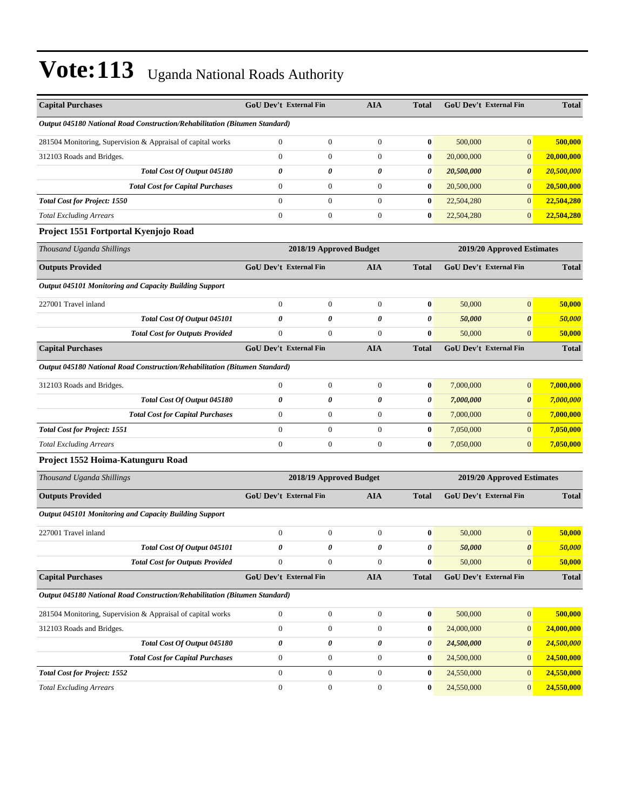| <b>Capital Purchases</b>                                                          | <b>GoU Dev't External Fin</b><br><b>AIA</b>          |                  |                       | Total                         | <b>GoU Dev't External Fin</b> |                       | <b>Total</b> |
|-----------------------------------------------------------------------------------|------------------------------------------------------|------------------|-----------------------|-------------------------------|-------------------------------|-----------------------|--------------|
| <b>Output 045180 National Road Construction/Rehabilitation (Bitumen Standard)</b> |                                                      |                  |                       |                               |                               |                       |              |
| 281504 Monitoring, Supervision & Appraisal of capital works                       | $\boldsymbol{0}$                                     | $\mathbf{0}$     | $\boldsymbol{0}$      | $\bf{0}$                      | 500,000                       | $\mathbf{0}$          | 500,000      |
| 312103 Roads and Bridges.                                                         | $\overline{0}$                                       | $\mathbf{0}$     | $\mathbf{0}$          | $\bf{0}$                      | 20,000,000                    | $\mathbf{0}$          | 20,000,000   |
| Total Cost Of Output 045180                                                       | 0                                                    | 0                | 0                     | 0                             | 20,500,000                    | $\boldsymbol{\theta}$ | 20,500,000   |
| <b>Total Cost for Capital Purchases</b>                                           | $\overline{0}$                                       | $\overline{0}$   | $\mathbf{0}$          | $\bf{0}$                      | 20,500,000                    | $\mathbf{0}$          | 20,500,000   |
| <b>Total Cost for Project: 1550</b>                                               | $\overline{0}$                                       | $\mathbf{0}$     | $\boldsymbol{0}$      | $\bf{0}$                      | 22,504,280                    | $\mathbf{0}$          | 22,504,280   |
| <b>Total Excluding Arrears</b>                                                    | $\boldsymbol{0}$                                     | $\mathbf{0}$     | $\boldsymbol{0}$      | $\bf{0}$                      | 22,504,280                    | $\mathbf{0}$          | 22,504,280   |
| Project 1551 Fortportal Kyenjojo Road                                             |                                                      |                  |                       |                               |                               |                       |              |
| Thousand Uganda Shillings                                                         | 2018/19 Approved Budget                              |                  |                       | 2019/20 Approved Estimates    |                               |                       |              |
| <b>Outputs Provided</b>                                                           | <b>GoU Dev't External Fin</b><br><b>AIA</b>          |                  | <b>Total</b>          | <b>GoU Dev't External Fin</b> |                               | <b>Total</b>          |              |
| <b>Output 045101 Monitoring and Capacity Building Support</b>                     |                                                      |                  |                       |                               |                               |                       |              |
| 227001 Travel inland                                                              | $\mathbf{0}$                                         | $\mathbf{0}$     | $\theta$              | $\bf{0}$                      | 50,000                        | $\mathbf{0}$          | 50,000       |
| Total Cost Of Output 045101                                                       | 0                                                    | 0                | $\boldsymbol{\theta}$ | $\theta$                      | 50,000                        | $\boldsymbol{\theta}$ | 50,000       |
| <b>Total Cost for Outputs Provided</b>                                            | $\overline{0}$                                       | $\mathbf{0}$     | $\mathbf{0}$          | $\bf{0}$                      | 50,000                        | $\mathbf{0}$          | 50,000       |
| <b>Capital Purchases</b>                                                          | GoU Dev't External Fin<br><b>AIA</b><br><b>Total</b> |                  |                       | GoU Dev't External Fin        |                               | <b>Total</b>          |              |
| Output 045180 National Road Construction/Rehabilitation (Bitumen Standard)        |                                                      |                  |                       |                               |                               |                       |              |
| 312103 Roads and Bridges.                                                         | 0                                                    | $\boldsymbol{0}$ | $\boldsymbol{0}$      | $\bf{0}$                      | 7,000,000                     | $\mathbf{0}$          | 7,000,000    |
| Total Cost Of Output 045180                                                       | 0                                                    | 0                | $\theta$              | 0                             | 7,000,000                     | $\boldsymbol{\theta}$ | 7,000,000    |
| <b>Total Cost for Capital Purchases</b>                                           | $\overline{0}$                                       | $\mathbf{0}$     | $\mathbf{0}$          | $\bf{0}$                      | 7,000,000                     | $\mathbf{0}$          | 7,000,000    |
| <b>Total Cost for Project: 1551</b>                                               | $\mathbf{0}$                                         | $\mathbf{0}$     | $\boldsymbol{0}$      | $\bf{0}$                      | 7,050,000                     | $\mathbf{0}$          | 7,050,000    |
| <b>Total Excluding Arrears</b>                                                    | $\overline{0}$                                       | $\mathbf{0}$     | $\boldsymbol{0}$      | $\bf{0}$                      | 7,050,000                     | $\mathbf{0}$          | 7,050,000    |
| Project 1552 Hoima-Katunguru Road                                                 |                                                      |                  |                       |                               |                               |                       |              |
| Thousand Uganda Shillings                                                         | 2018/19 Approved Budget                              |                  |                       |                               | 2019/20 Approved Estimates    |                       |              |
| <b>Outputs Provided</b>                                                           | GoU Dev't External Fin                               |                  | <b>AIA</b>            | <b>Total</b>                  | <b>GoU Dev't External Fin</b> |                       | <b>Total</b> |
| Output 045101 Monitoring and Capacity Building Support                            |                                                      |                  |                       |                               |                               |                       |              |
| 227001 Travel inland                                                              | 0                                                    | $\bf{0}$         | $\mathbf{0}$          | $\bf{0}$                      | 50,000                        | $\mathbf{0}$          | 50,000       |
| <b>Total Cost Of Output 045101</b>                                                | 0                                                    | 0                | 0                     | 0                             | 50,000                        | $\theta$              | 50,000       |
| <b>Total Cost for Outputs Provided</b>                                            | $\mathbf{0}$                                         | $\boldsymbol{0}$ | $\boldsymbol{0}$      | $\bf{0}$                      | 50,000                        | $\mathbf{0}$          | 50,000       |
| <b>Capital Purchases</b>                                                          | GoU Dev't External Fin                               |                  | <b>AIA</b>            | <b>Total</b>                  | GoU Dev't External Fin        |                       | <b>Total</b> |
| <b>Output 045180 National Road Construction/Rehabilitation (Bitumen Standard)</b> |                                                      |                  |                       |                               |                               |                       |              |
| 281504 Monitoring, Supervision & Appraisal of capital works                       | $\boldsymbol{0}$                                     | $\boldsymbol{0}$ | $\boldsymbol{0}$      | $\bf{0}$                      | 500,000                       | $\mathbf{0}$          | 500,000      |
| 312103 Roads and Bridges.                                                         | 0                                                    | $\boldsymbol{0}$ | $\boldsymbol{0}$      | $\bf{0}$                      | 24,000,000                    | $\mathbf{0}$          | 24,000,000   |
| Total Cost Of Output 045180                                                       | 0                                                    | 0                | 0                     | 0                             | 24,500,000                    | $\boldsymbol{\theta}$ | 24,500,000   |
| <b>Total Cost for Capital Purchases</b>                                           | $\boldsymbol{0}$                                     | $\boldsymbol{0}$ | $\boldsymbol{0}$      | $\bf{0}$                      | 24,500,000                    | $\mathbf{0}$          | 24,500,000   |
| <b>Total Cost for Project: 1552</b>                                               | $\boldsymbol{0}$                                     | $\mathbf{0}$     | $\boldsymbol{0}$      | $\bf{0}$                      | 24,550,000                    | $\mathbf{0}$          | 24,550,000   |
| <b>Total Excluding Arrears</b>                                                    | $\boldsymbol{0}$                                     | $\boldsymbol{0}$ | $\boldsymbol{0}$      | $\bf{0}$                      | 24,550,000                    | $\mathbf{0}$          | 24,550,000   |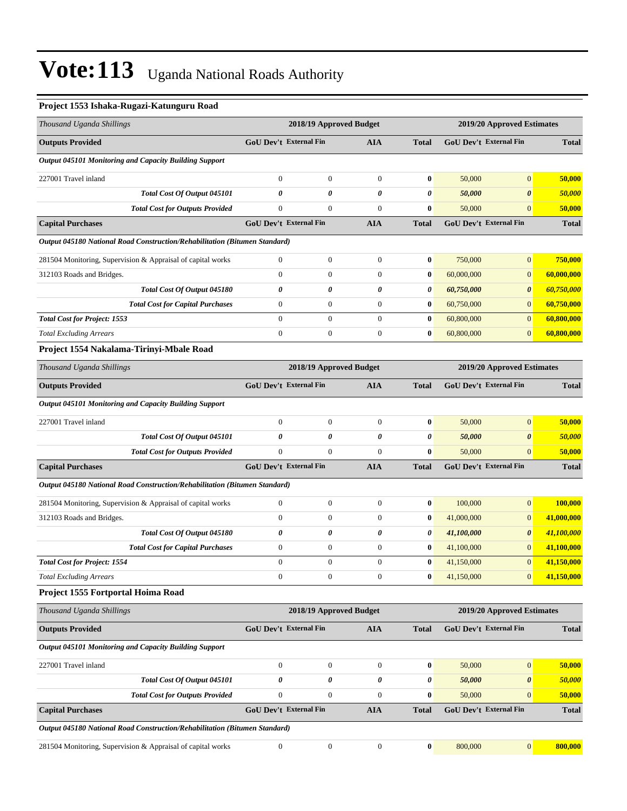#### **Project 1553 Ishaka-Rugazi-Katunguru Road**

| Thousand Uganda Shillings                                                         | 2018/19 Approved Budget                     |                  |                  | 2019/20 Approved Estimates |                               |                       |              |
|-----------------------------------------------------------------------------------|---------------------------------------------|------------------|------------------|----------------------------|-------------------------------|-----------------------|--------------|
| <b>Outputs Provided</b>                                                           | <b>GoU Dev't External Fin</b>               |                  | AIA              | <b>Total</b>               | GoU Dev't External Fin        |                       | <b>Total</b> |
| Output 045101 Monitoring and Capacity Building Support                            |                                             |                  |                  |                            |                               |                       |              |
| 227001 Travel inland                                                              | $\mathbf{0}$                                | $\boldsymbol{0}$ | $\boldsymbol{0}$ | $\bf{0}$                   | 50,000                        | $\mathbf{0}$          | 50,000       |
| Total Cost Of Output 045101                                                       | 0                                           | 0                | 0                | 0                          | 50,000                        | $\boldsymbol{\theta}$ | 50,000       |
| <b>Total Cost for Outputs Provided</b>                                            | $\boldsymbol{0}$                            | $\boldsymbol{0}$ | $\boldsymbol{0}$ | $\bf{0}$                   | 50,000                        | $\mathbf{0}$          | 50,000       |
| <b>Capital Purchases</b>                                                          | GoU Dev't External Fin                      |                  | <b>AIA</b>       | <b>Total</b>               | <b>GoU Dev't External Fin</b> |                       | <b>Total</b> |
| <b>Output 045180 National Road Construction/Rehabilitation (Bitumen Standard)</b> |                                             |                  |                  |                            |                               |                       |              |
| 281504 Monitoring, Supervision & Appraisal of capital works                       | $\boldsymbol{0}$                            | $\boldsymbol{0}$ | $\boldsymbol{0}$ | $\bf{0}$                   | 750,000                       | $\mathbf{0}$          | 750,000      |
| 312103 Roads and Bridges.                                                         | $\mathbf{0}$                                | $\boldsymbol{0}$ | $\mathbf{0}$     | $\bf{0}$                   | 60,000,000                    | $\mathbf{0}$          | 60,000,000   |
| Total Cost Of Output 045180                                                       | 0                                           | 0                | 0                | 0                          | 60,750,000                    | $\boldsymbol{\theta}$ | 60,750,000   |
| <b>Total Cost for Capital Purchases</b>                                           | $\boldsymbol{0}$                            | $\boldsymbol{0}$ | $\boldsymbol{0}$ | 0                          | 60,750,000                    | $\mathbf{0}$          | 60,750,000   |
| <b>Total Cost for Project: 1553</b>                                               | $\mathbf{0}$                                | $\boldsymbol{0}$ | $\mathbf{0}$     | $\bf{0}$                   | 60,800,000                    | $\mathbf{0}$          | 60,800,000   |
| <b>Total Excluding Arrears</b>                                                    | $\boldsymbol{0}$                            | $\boldsymbol{0}$ | $\boldsymbol{0}$ | $\bf{0}$                   | 60,800,000                    | $\boldsymbol{0}$      | 60,800,000   |
| Project 1554 Nakalama-Tirinyi-Mbale Road                                          |                                             |                  |                  |                            |                               |                       |              |
| Thousand Uganda Shillings                                                         | 2018/19 Approved Budget                     |                  |                  |                            | 2019/20 Approved Estimates    |                       |              |
| <b>Outputs Provided</b>                                                           | <b>GoU Dev't External Fin</b><br><b>AIA</b> |                  |                  | <b>Total</b>               | GoU Dev't External Fin        |                       | <b>Total</b> |
| <b>Output 045101 Monitoring and Capacity Building Support</b>                     |                                             |                  |                  |                            |                               |                       |              |
| 227001 Travel inland                                                              | $\boldsymbol{0}$                            | $\boldsymbol{0}$ | $\boldsymbol{0}$ | $\bf{0}$                   | 50,000                        | $\mathbf{0}$          | 50,000       |
| Total Cost Of Output 045101                                                       | 0                                           | 0                | 0                | $\theta$                   | 50,000                        | $\boldsymbol{\theta}$ | 50,000       |
| <b>Total Cost for Outputs Provided</b>                                            | $\mathbf{0}$                                | $\overline{0}$   | $\mathbf{0}$     | $\bf{0}$                   | 50,000                        | $\mathbf{0}$          | 50,000       |
| <b>Capital Purchases</b>                                                          | GoU Dev't External Fin                      |                  | <b>AIA</b>       | <b>Total</b>               | <b>GoU Dev't External Fin</b> |                       | <b>Total</b> |
| <b>Output 045180 National Road Construction/Rehabilitation (Bitumen Standard)</b> |                                             |                  |                  |                            |                               |                       |              |
| 281504 Monitoring, Supervision & Appraisal of capital works                       | $\boldsymbol{0}$                            | $\boldsymbol{0}$ | $\boldsymbol{0}$ | $\boldsymbol{0}$           | 100,000                       | $\mathbf{0}$          | 100,000      |
| 312103 Roads and Bridges.                                                         | $\boldsymbol{0}$                            | $\boldsymbol{0}$ | $\boldsymbol{0}$ | $\bf{0}$                   | 41,000,000                    | $\boldsymbol{0}$      | 41,000,000   |
| Total Cost Of Output 045180                                                       | $\pmb{\theta}$                              | 0                | 0                | 0                          | 41,100,000                    | $\boldsymbol{\theta}$ | 41,100,000   |
| <b>Total Cost for Capital Purchases</b>                                           | $\boldsymbol{0}$                            | $\boldsymbol{0}$ | $\boldsymbol{0}$ | $\bf{0}$                   | 41,100,000                    | $\mathbf{0}$          | 41,100,000   |
| <b>Total Cost for Project: 1554</b>                                               | $\boldsymbol{0}$                            | $\boldsymbol{0}$ | $\boldsymbol{0}$ | $\bf{0}$                   | 41,150,000                    | $\mathbf{0}$          | 41,150,000   |
| <b>Total Excluding Arrears</b>                                                    | $\mathbf{0}$                                | $\boldsymbol{0}$ | $\boldsymbol{0}$ | $\bf{0}$                   | 41,150,000                    | $\boldsymbol{0}$      | 41,150,000   |
| Project 1555 Fortportal Hoima Road                                                |                                             |                  |                  |                            |                               |                       |              |
| Thousand Uganda Shillings                                                         | 2018/19 Approved Budget                     |                  |                  |                            | 2019/20 Approved Estimates    |                       |              |
| <b>Outputs Provided</b>                                                           | <b>GoU Dev't External Fin</b><br>AIA        |                  |                  | <b>Total</b>               | <b>GoU Dev't External Fin</b> |                       | <b>Total</b> |
| Output 045101 Monitoring and Capacity Building Support                            |                                             |                  |                  |                            |                               |                       |              |
| 227001 Travel inland                                                              | $\mathbf{0}$                                | $\boldsymbol{0}$ | $\boldsymbol{0}$ | $\bf{0}$                   | 50,000                        | $\boldsymbol{0}$      | 50,000       |
| Total Cost Of Output 045101                                                       | $\pmb{\theta}$                              | 0                | 0                | 0                          | 50,000                        | $\pmb{\theta}$        | 50,000       |
| <b>Total Cost for Outputs Provided</b>                                            | $\boldsymbol{0}$                            | $\boldsymbol{0}$ | $\boldsymbol{0}$ | $\bf{0}$                   | 50,000                        | $\boldsymbol{0}$      | 50,000       |
| <b>Capital Purchases</b>                                                          | <b>GoU Dev't External Fin</b>               |                  | <b>AIA</b>       | <b>Total</b>               | GoU Dev't External Fin        |                       | <b>Total</b> |
| Output 045180 National Road Construction/Rehabilitation (Bitumen Standard)        |                                             |                  |                  |                            |                               |                       |              |
| 281504 Monitoring, Supervision & Appraisal of capital works                       | $\boldsymbol{0}$                            | $\boldsymbol{0}$ | $\boldsymbol{0}$ | $\boldsymbol{0}$           | 800,000                       | 0                     | 800,000      |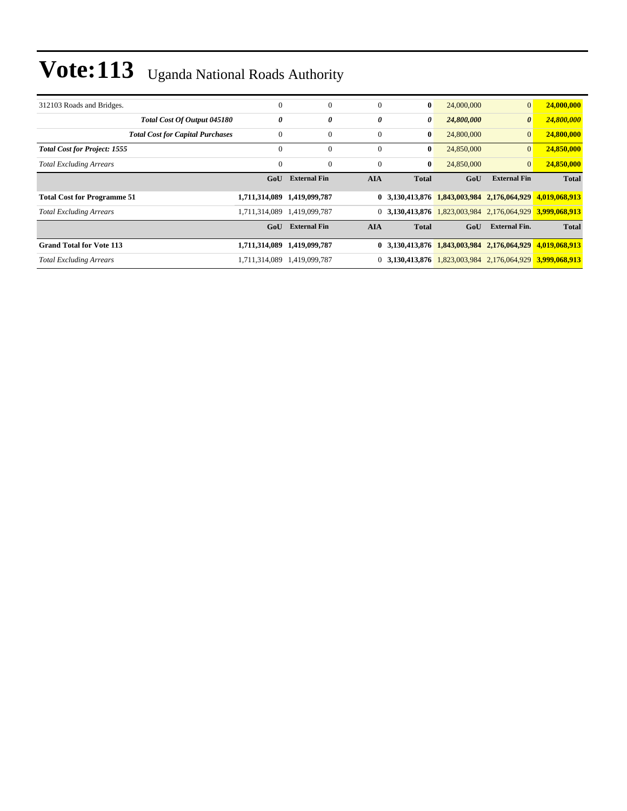| 312103 Roads and Bridges.               | $\Omega$              | $\overline{0}$              | $\Omega$     | $\bf{0}$                                                    | 24,000,000 | $\overline{0}$                              | 24,000,000    |
|-----------------------------------------|-----------------------|-----------------------------|--------------|-------------------------------------------------------------|------------|---------------------------------------------|---------------|
| Total Cost Of Output 045180             | $\boldsymbol{\theta}$ | 0                           | 0            | 0                                                           | 24,800,000 | $\boldsymbol{\theta}$                       | 24,800,000    |
| <b>Total Cost for Capital Purchases</b> | $\theta$              | $\boldsymbol{0}$            | $\mathbf{0}$ | $\bf{0}$                                                    | 24,800,000 | $\overline{0}$                              | 24,800,000    |
| <b>Total Cost for Project: 1555</b>     | $\mathbf{0}$          | $\overline{0}$              | $\Omega$     | $\bf{0}$                                                    | 24,850,000 | $\overline{0}$                              | 24,850,000    |
| <b>Total Excluding Arrears</b>          | $\overline{0}$        | $\overline{0}$              | $\Omega$     | $\bf{0}$                                                    | 24,850,000 | $\overline{0}$                              | 24,850,000    |
|                                         | GoU                   | <b>External Fin</b>         | <b>AIA</b>   | <b>Total</b>                                                | GoU        | <b>External Fin</b>                         | <b>Total</b>  |
| <b>Total Cost for Programme 51</b>      |                       | 1,711,314,089 1,419,099,787 |              |                                                             |            | 0 3,130,413,876 1,843,003,984 2,176,064,929 | 4.019.068.913 |
| <b>Total Excluding Arrears</b>          | 1,711,314,089         | 1,419,099,787               |              | $0$ 3,130,413,876 1,823,003,984 2,176,064,929 3,999,068,913 |            |                                             |               |
|                                         |                       |                             |              |                                                             |            |                                             |               |
|                                         | GoU                   | <b>External Fin</b>         | <b>AIA</b>   | <b>Total</b>                                                | GoU        | <b>External Fin.</b>                        | <b>Total</b>  |
| <b>Grand Total for Vote 113</b>         |                       | 1,711,314,089 1,419,099,787 |              |                                                             |            | 0 3,130,413,876 1,843,003,984 2,176,064,929 | 4.019.068.913 |